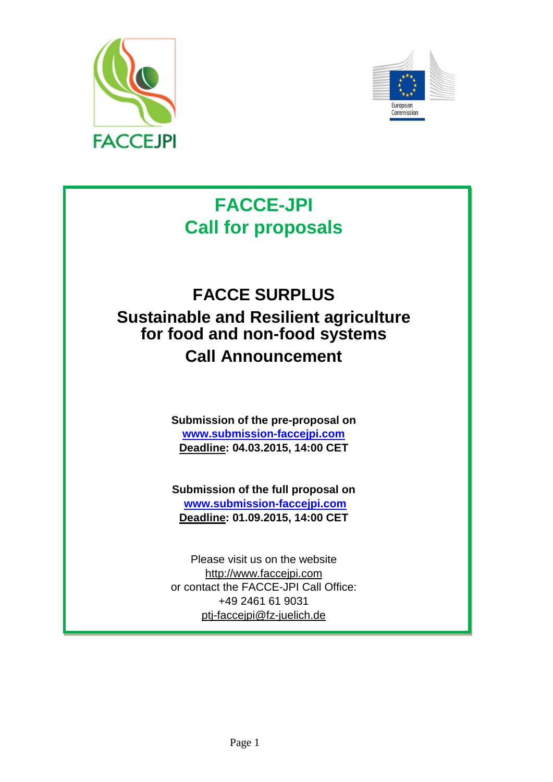



# **FACCE-JPI Call for proposals**

# **FACCE SURPLUS Sustainable and Resilient agriculture for food and non-food systems Call Announcement**

**Submission of the pre-proposal on [www.submission-faccejpi.com](http://www.submission-faccejpi.com/) Deadline: 04.03.2015, 14:00 CET**

**Submission of the full proposal on [www.submission-faccejpi.com](http://www.submission-faccejpi.com/) Deadline: 01.09.2015, 14:00 CET**

Please visit us on the website [http://www.faccejpi.com](http://www.faccejpi.com/) or contact the FACCE-JPI Call Office: +49 2461 61 9031 [ptj-faccejpi@fz-juelich.de](mailto:ptj-faccejpi@fz-juelich.de)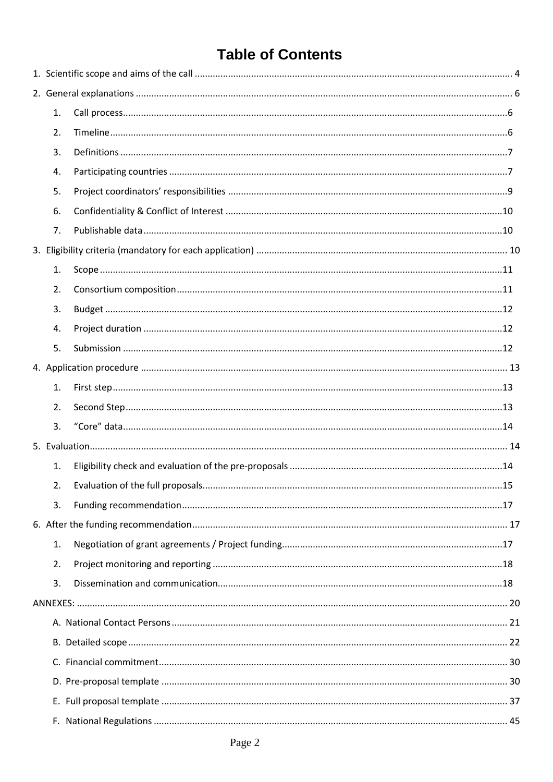## **Table of Contents**

| 1. |  |
|----|--|
| 2. |  |
| 3. |  |
| 4. |  |
| 5. |  |
| 6. |  |
| 7. |  |
|    |  |
| 1. |  |
| 2. |  |
| 3. |  |
| 4. |  |
| 5. |  |
|    |  |
| 1. |  |
| 2. |  |
| 3. |  |
|    |  |
| 1. |  |
| 2. |  |
| 3. |  |
|    |  |
| 1. |  |
| 2. |  |
| 3. |  |
|    |  |
|    |  |
|    |  |
|    |  |
|    |  |
|    |  |
|    |  |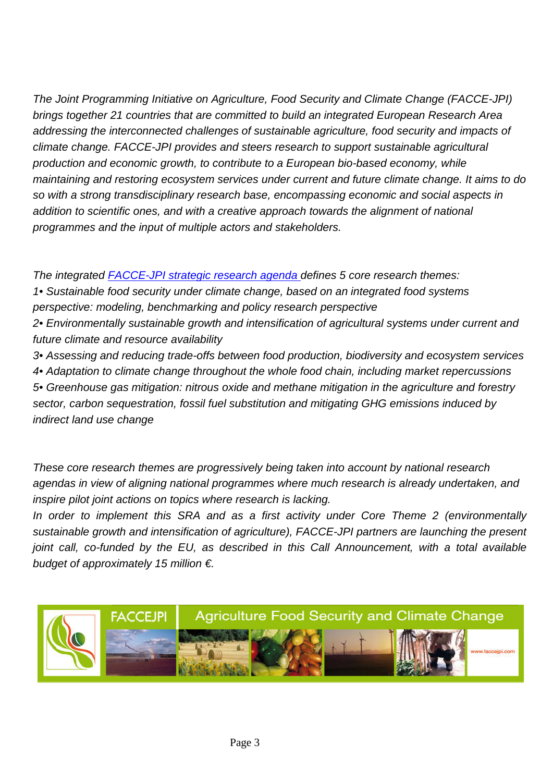*The Joint Programming Initiative on Agriculture, Food Security and Climate Change (FACCE-JPI) brings together 21 countries that are committed to build an integrated European Research Area addressing the interconnected challenges of sustainable agriculture, food security and impacts of climate change. FACCE-JPI provides and steers research to support sustainable agricultural production and economic growth, to contribute to a European bio-based economy, while maintaining and restoring ecosystem services under current and future climate change. It aims to do so with a strong transdisciplinary research base, encompassing economic and social aspects in addition to scientific ones, and with a creative approach towards the alignment of national programmes and the input of multiple actors and stakeholders.*

*The integrated [FACCE-JPI strategic research agenda](http://www.faccejpi.com/Strategic-Research-Agenda) defines 5 core research themes:*

*1• Sustainable food security under climate change, based on an integrated food systems perspective: modeling, benchmarking and policy research perspective*

*2• Environmentally sustainable growth and intensification of agricultural systems under current and future climate and resource availability*

*3• Assessing and reducing trade-offs between food production, biodiversity and ecosystem services 4• Adaptation to climate change throughout the whole food chain, including market repercussions 5• Greenhouse gas mitigation: nitrous oxide and methane mitigation in the agriculture and forestry sector, carbon sequestration, fossil fuel substitution and mitigating GHG emissions induced by indirect land use change*

*These core research themes are progressively being taken into account by national research agendas in view of aligning national programmes where much research is already undertaken, and inspire pilot joint actions on topics where research is lacking.*

*In order to implement this SRA and as a first activity under Core Theme 2 (environmentally sustainable growth and intensification of agriculture), FACCE-JPI partners are launching the present joint call, co-funded by the EU, as described in this Call Announcement, with a total available budget of approximately 15 million €.* 

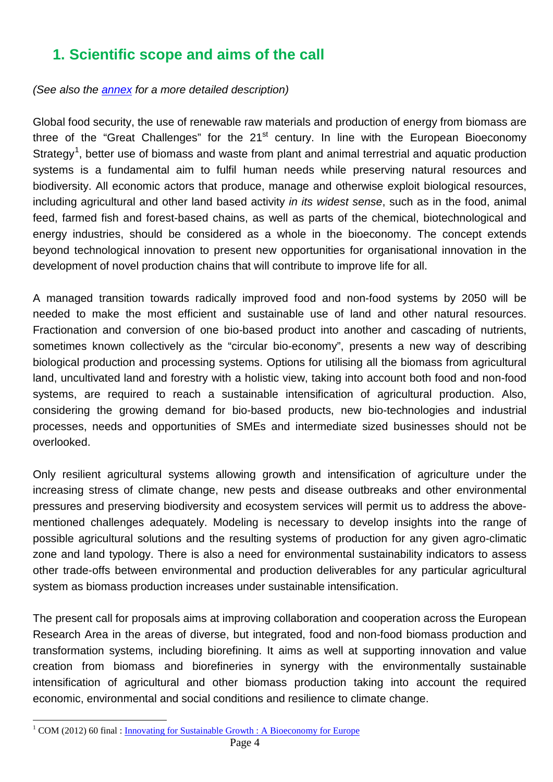## <span id="page-3-0"></span>**1. Scientific scope and aims of the call**

#### *(See also the [annex](#page-21-0) for a more detailed description)*

Global food security, the use of renewable raw materials and production of energy from biomass are three of the "Great Challenges" for the  $21<sup>st</sup>$  century. In line with the European Bioeconomy Strategy<sup>[1](#page-3-1)</sup>, better use of biomass and waste from plant and animal terrestrial and aquatic production systems is a fundamental aim to fulfil human needs while preserving natural resources and biodiversity. All economic actors that produce, manage and otherwise exploit biological resources, including agricultural and other land based activity *in its widest sense*, such as in the food, animal feed, farmed fish and forest-based chains, as well as parts of the chemical, biotechnological and energy industries, should be considered as a whole in the bioeconomy. The concept extends beyond technological innovation to present new opportunities for organisational innovation in the development of novel production chains that will contribute to improve life for all.

A managed transition towards radically improved food and non-food systems by 2050 will be needed to make the most efficient and sustainable use of land and other natural resources. Fractionation and conversion of one bio-based product into another and cascading of nutrients, sometimes known collectively as the "circular bio-economy", presents a new way of describing biological production and processing systems. Options for utilising all the biomass from agricultural land, uncultivated land and forestry with a holistic view, taking into account both food and non-food systems, are required to reach a sustainable intensification of agricultural production. Also, considering the growing demand for bio-based products, new bio-technologies and industrial processes, needs and opportunities of SMEs and intermediate sized businesses should not be overlooked.

Only resilient agricultural systems allowing growth and intensification of agriculture under the increasing stress of climate change, new pests and disease outbreaks and other environmental pressures and preserving biodiversity and ecosystem services will permit us to address the abovementioned challenges adequately. Modeling is necessary to develop insights into the range of possible agricultural solutions and the resulting systems of production for any given agro-climatic zone and land typology. There is also a need for environmental sustainability indicators to assess other trade-offs between environmental and production deliverables for any particular agricultural system as biomass production increases under sustainable intensification.

The present call for proposals aims at improving collaboration and cooperation across the European Research Area in the areas of diverse, but integrated, food and non-food biomass production and transformation systems, including biorefining. It aims as well at supporting innovation and value creation from biomass and biorefineries in synergy with the environmentally sustainable intensification of agricultural and other biomass production taking into account the required economic, environmental and social conditions and resilience to climate change.

<span id="page-3-1"></span><sup>&</sup>lt;sup>1</sup> COM (2012) 60 final : [Innovating for Sustainable Growth](http://ec.europa.eu/research/bioeconomy/pdf/201202_innovating_sustainable_growth.pdf) : A Bioeconomy for Europe  $\overline{a}$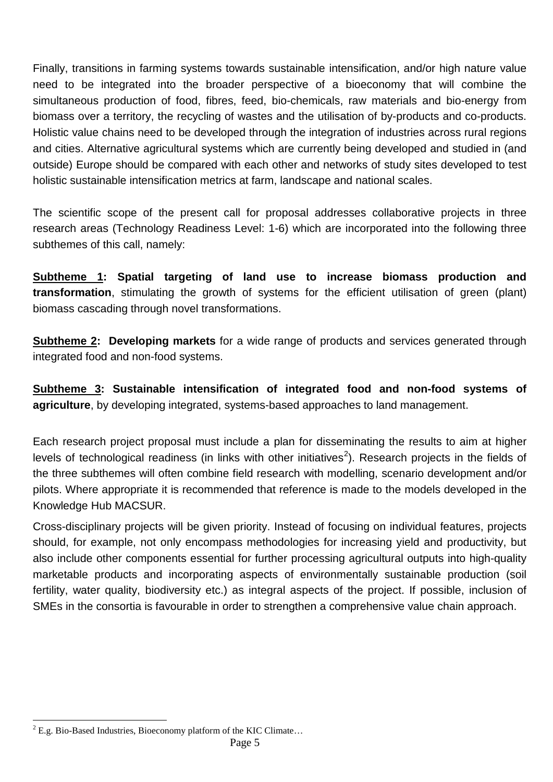Finally, transitions in farming systems towards sustainable intensification, and/or high nature value need to be integrated into the broader perspective of a bioeconomy that will combine the simultaneous production of food, fibres, feed, bio-chemicals, raw materials and bio-energy from biomass over a territory, the recycling of wastes and the utilisation of by-products and co-products. Holistic value chains need to be developed through the integration of industries across rural regions and cities. Alternative agricultural systems which are currently being developed and studied in (and outside) Europe should be compared with each other and networks of study sites developed to test holistic sustainable intensification metrics at farm, landscape and national scales.

The scientific scope of the present call for proposal addresses collaborative projects in three research areas (Technology Readiness Level: 1-6) which are incorporated into the following three subthemes of this call, namely:

**Subtheme 1: Spatial targeting of land use to increase biomass production and transformation**, stimulating the growth of systems for the efficient utilisation of green (plant) biomass cascading through novel transformations.

**Subtheme 2: Developing markets** for a wide range of products and services generated through integrated food and non-food systems.

**Subtheme 3: Sustainable intensification of integrated food and non-food systems of agriculture**, by developing integrated, systems-based approaches to land management.

Each research project proposal must include a plan for disseminating the results to aim at higher levels of technological readiness (in links with other initiatives<sup>[2](#page-4-0)</sup>). Research projects in the fields of the three subthemes will often combine field research with modelling, scenario development and/or pilots. Where appropriate it is recommended that reference is made to the models developed in the Knowledge Hub MACSUR.

Cross-disciplinary projects will be given priority. Instead of focusing on individual features, projects should, for example, not only encompass methodologies for increasing yield and productivity, but also include other components essential for further processing agricultural outputs into high-quality marketable products and incorporating aspects of environmentally sustainable production (soil fertility, water quality, biodiversity etc.) as integral aspects of the project. If possible, inclusion of SMEs in the consortia is favourable in order to strengthen a comprehensive value chain approach.

<span id="page-4-0"></span> $2$  E.g. Bio-Based Industries, Bioeconomy platform of the KIC Climate...  $\overline{a}$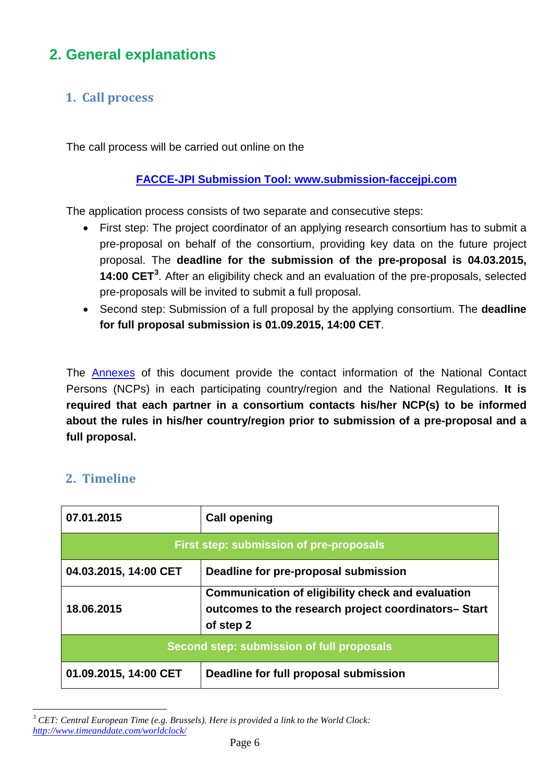## <span id="page-5-0"></span>**2. General explanations**

### <span id="page-5-1"></span>**1. Call process**

The call process will be carried out online on the

#### **[FACCE-JPI Submission](http://www.submission-faccejpi.com/) Tool: www.submission-faccejpi.com**

The application process consists of two separate and consecutive steps:

- First step: The project coordinator of an applying research consortium has to submit a pre-proposal on behalf of the consortium, providing key data on the future project proposal. The **deadline for the submission of the pre-proposal is 04.03.2015, 14:00 CET[3](#page-5-3)** . After an eligibility check and an evaluation of the pre-proposals, selected pre-proposals will be invited to submit a full proposal.
- Second step: Submission of a full proposal by the applying consortium. The **deadline for full proposal submission is 01.09.2015, 14:00 CET**.

The [Annexes](#page-20-1) of this document provide the contact information of the National Contact Persons (NCPs) in each participating country/region and the National Regulations. **It is required that each partner in a consortium contacts his/her NCP(s) to be informed about the rules in his/her country/region prior to submission of a pre-proposal and a full proposal.**

#### <span id="page-5-2"></span>**2. Timeline**

 $\overline{a}$ 

| 07.01.2015                                     | <b>Call opening</b>                                                                                                           |  |  |  |  |  |  |  |
|------------------------------------------------|-------------------------------------------------------------------------------------------------------------------------------|--|--|--|--|--|--|--|
| <b>First step: submission of pre-proposals</b> |                                                                                                                               |  |  |  |  |  |  |  |
| 04.03.2015, 14:00 CET                          | Deadline for pre-proposal submission                                                                                          |  |  |  |  |  |  |  |
| 18.06.2015                                     | <b>Communication of eligibility check and evaluation</b><br>outcomes to the research project coordinators- Start<br>of step 2 |  |  |  |  |  |  |  |
| Second step: submission of full proposals      |                                                                                                                               |  |  |  |  |  |  |  |
| 01.09.2015, 14:00 CET                          | Deadline for full proposal submission                                                                                         |  |  |  |  |  |  |  |

<span id="page-5-3"></span><sup>3</sup> *CET: Central European Time (e.g. Brussels). Here is provided a link to the World Clock: <http://www.timeanddate.com/worldclock/>*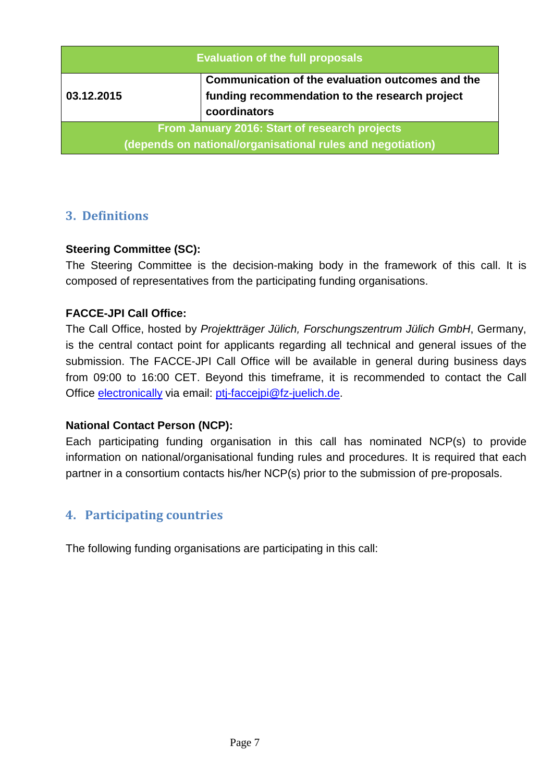| <b>Evaluation of the full proposals</b>                                                                     |                                                                                                                    |  |  |  |  |  |
|-------------------------------------------------------------------------------------------------------------|--------------------------------------------------------------------------------------------------------------------|--|--|--|--|--|
| 03.12.2015                                                                                                  | Communication of the evaluation outcomes and the<br>funding recommendation to the research project<br>coordinators |  |  |  |  |  |
| From January 2016: Start of research projects<br>(depends on national/organisational rules and negotiation) |                                                                                                                    |  |  |  |  |  |

#### <span id="page-6-0"></span>**3. Definitions**

#### **Steering Committee (SC):**

The Steering Committee is the decision-making body in the framework of this call. It is composed of representatives from the participating funding organisations.

#### **FACCE-JPI Call Office:**

The Call Office, hosted by *Projektträger Jülich, Forschungszentrum Jülich GmbH*, Germany, is the central contact point for applicants regarding all technical and general issues of the submission. The FACCE-JPI Call Office will be available in general during business days from 09:00 to 16:00 CET. Beyond this timeframe, it is recommended to contact the Call Office [electronically](mailto:ptj-faccejpi@fz-juelich.de) via email: [ptj-faccejpi@fz-juelich.de.](mailto:ptj-faccejpi@fz-juelich.de)

#### **National Contact Person (NCP):**

Each participating funding organisation in this call has nominated NCP(s) to provide information on national/organisational funding rules and procedures. It is required that each partner in a consortium contacts his/her NCP(s) prior to the submission of pre-proposals.

#### <span id="page-6-1"></span>**4. Participating countries**

The following funding organisations are participating in this call: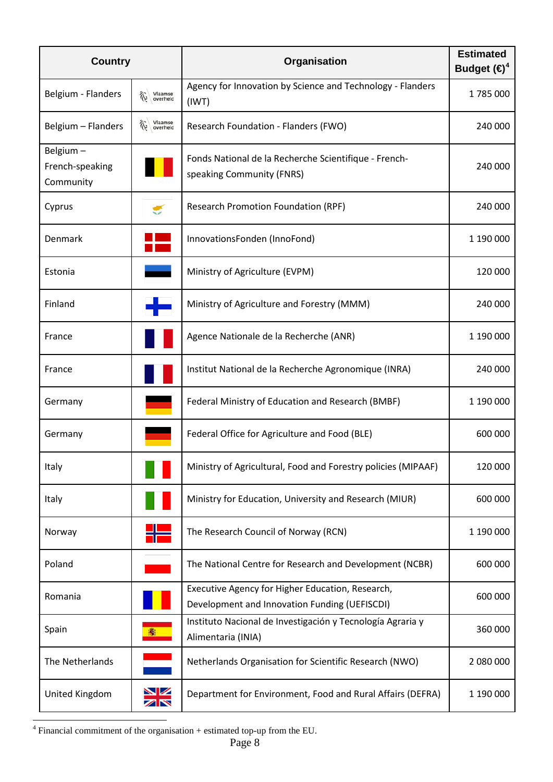| <b>Country</b>                           |                          | Organisation                                                                                      | <b>Estimated</b><br>Budget $(\bigoplus^4)$ |
|------------------------------------------|--------------------------|---------------------------------------------------------------------------------------------------|--------------------------------------------|
| Belgium - Flanders                       | Vlaamse<br>overheid<br>兖 | Agency for Innovation by Science and Technology - Flanders<br>(IWT)                               | 1785000                                    |
| Belgium - Flanders                       | Vlaamse<br>overheid<br>郤 | Research Foundation - Flanders (FWO)                                                              | 240 000                                    |
| Belgium-<br>French-speaking<br>Community |                          | Fonds National de la Recherche Scientifique - French-<br>speaking Community (FNRS)                | 240 000                                    |
| Cyprus                                   | €                        | <b>Research Promotion Foundation (RPF)</b>                                                        | 240 000                                    |
| Denmark                                  |                          | InnovationsFonden (InnoFond)                                                                      | 1 190 000                                  |
| Estonia                                  |                          | Ministry of Agriculture (EVPM)                                                                    | 120 000                                    |
| Finland                                  |                          | Ministry of Agriculture and Forestry (MMM)                                                        | 240 000                                    |
| France                                   |                          | Agence Nationale de la Recherche (ANR)                                                            | 1 190 000                                  |
| France                                   |                          | Institut National de la Recherche Agronomique (INRA)                                              | 240 000                                    |
| Germany                                  |                          | Federal Ministry of Education and Research (BMBF)                                                 | 1 190 000                                  |
| Germany                                  |                          | Federal Office for Agriculture and Food (BLE)                                                     | 600 000                                    |
| Italy                                    |                          | Ministry of Agricultural, Food and Forestry policies (MIPAAF)                                     | 120 000                                    |
| Italy                                    |                          | Ministry for Education, University and Research (MIUR)                                            | 600 000                                    |
| Norway                                   |                          | The Research Council of Norway (RCN)                                                              | 1 190 000                                  |
| Poland                                   |                          | The National Centre for Research and Development (NCBR)                                           | 600 000                                    |
| Romania                                  |                          | Executive Agency for Higher Education, Research,<br>Development and Innovation Funding (UEFISCDI) | 600 000                                    |
| Spain                                    | 騫                        | Instituto Nacional de Investigación y Tecnología Agraria y<br>Alimentaria (INIA)                  | 360 000                                    |
| The Netherlands                          |                          | Netherlands Organisation for Scientific Research (NWO)                                            | 2 080 000                                  |
| United Kingdom                           | $\frac{\sum x}{\sum x}$  | Department for Environment, Food and Rural Affairs (DEFRA)                                        | 1 190 000                                  |

<span id="page-7-0"></span> $4$  Financial commitment of the organisation + estimated top-up from the EU.  $\overline{a}$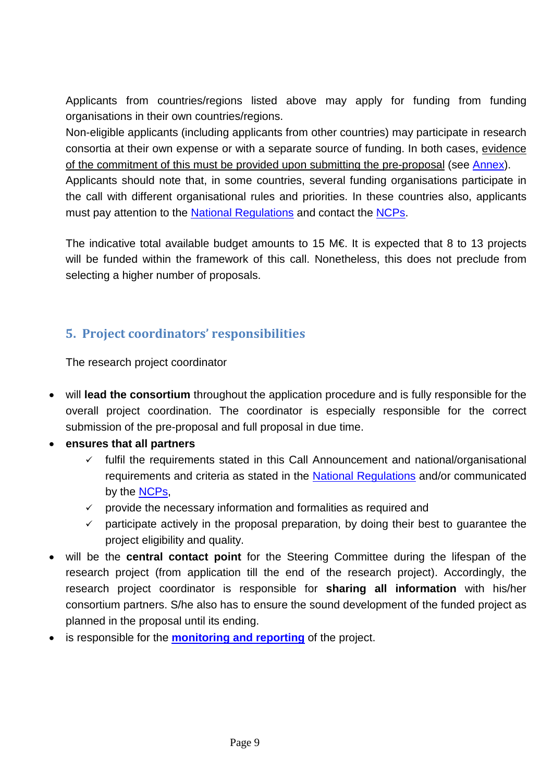Applicants from countries/regions listed above may apply for funding from funding organisations in their own countries/regions.

Non-eligible applicants (including applicants from other countries) may participate in research consortia at their own expense or with a separate source of funding. In both cases, evidence of the commitment of this must be provided upon submitting the pre-proposal (see [Annex\)](#page-29-0).

Applicants should note that, in some countries, several funding organisations participate in the call with different organisational rules and priorities. In these countries also, applicants must pay attention to the [National Regulations](#page-44-0) and contact the [NCPs.](#page-20-1)

The indicative total available budget amounts to 15 M€. It is expected that 8 to 13 projects will be funded within the framework of this call. Nonetheless, this does not preclude from selecting a higher number of proposals.

### <span id="page-8-0"></span>**5. Project coordinators' responsibilities**

The research project coordinator

- will **lead the consortium** throughout the application procedure and is fully responsible for the overall project coordination. The coordinator is especially responsible for the correct submission of the pre-proposal and full proposal in due time.
- **ensures that all partners** 
	- $\checkmark$  fulfil the requirements stated in this Call Announcement and national/organisational requirements and criteria as stated in the **National Regulations** and/or communicated by the [NCPs,](#page-20-1)
	- $\checkmark$  provide the necessary information and formalities as required and
	- $\checkmark$  participate actively in the proposal preparation, by doing their best to quarantee the project eligibility and quality.
- will be the **central contact point** for the Steering Committee during the lifespan of the research project (from application till the end of the research project). Accordingly, the research project coordinator is responsible for **sharing all information** with his/her consortium partners. S/he also has to ensure the sound development of the funded project as planned in the proposal until its ending.
- is responsible for the **[monitoring and reporting](#page-17-0)** of the project.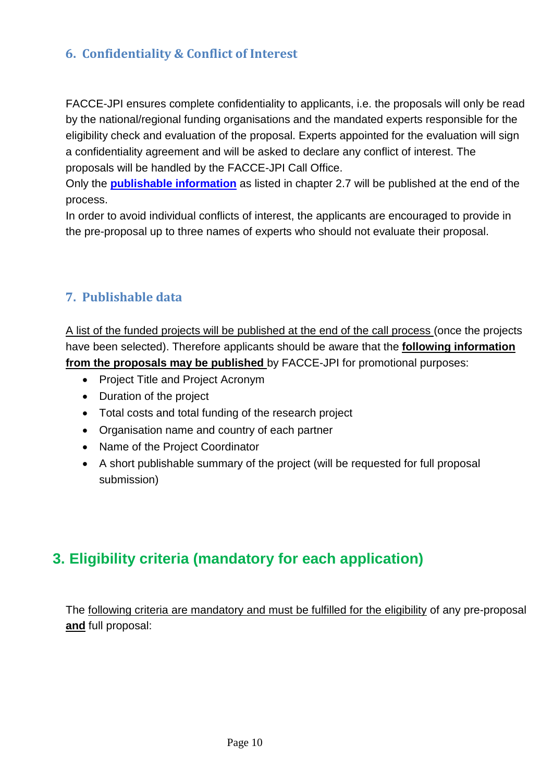### <span id="page-9-0"></span>**6. Confidentiality & Conflict of Interest**

FACCE-JPI ensures complete confidentiality to applicants, i.e. the proposals will only be read by the national/regional funding organisations and the mandated experts responsible for the eligibility check and evaluation of the proposal. Experts appointed for the evaluation will sign a confidentiality agreement and will be asked to declare any conflict of interest. The proposals will be handled by the FACCE-JPI Call Office.

Only the **[publishable information](#page-9-1)** as listed in chapter 2.7 will be published at the end of the process.

In order to avoid individual conflicts of interest, the applicants are encouraged to provide in the pre-proposal up to three names of experts who should not evaluate their proposal.

#### <span id="page-9-1"></span>**7. Publishable data**

A list of the funded projects will be published at the end of the call process (once the projects have been selected). Therefore applicants should be aware that the **following information from the proposals may be published** by FACCE-JPI for promotional purposes:

- Project Title and Project Acronym
- Duration of the project
- Total costs and total funding of the research project
- Organisation name and country of each partner
- Name of the Project Coordinator
- A short publishable summary of the project (will be requested for full proposal submission)

## <span id="page-9-2"></span>**3. Eligibility criteria (mandatory for each application)**

The following criteria are mandatory and must be fulfilled for the eligibility of any pre-proposal **and** full proposal: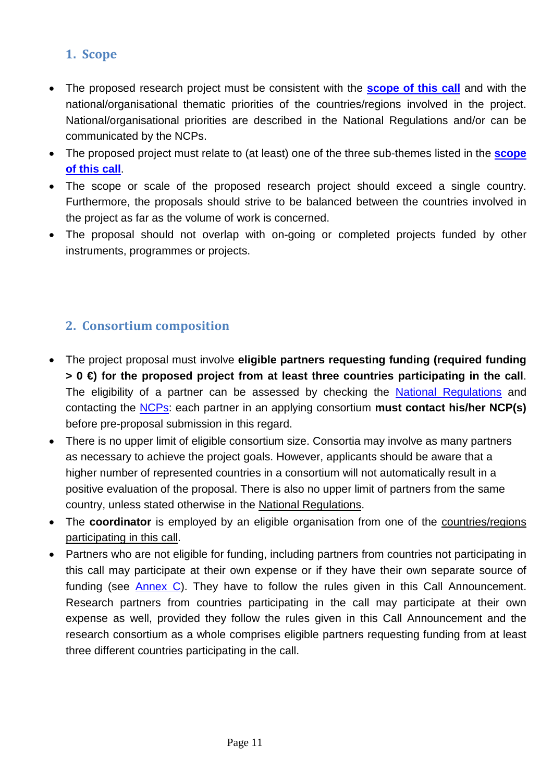### <span id="page-10-0"></span>**1. Scope**

- The proposed research project must be consistent with the **[scope of this call](#page-3-0)** and with the national/organisational thematic priorities of the countries/regions involved in the project. National/organisational priorities are described in the National Regulations and/or can be communicated by the NCPs.
- The proposed project must relate to (at least) one of the three sub-themes listed in the **[scope](#page-3-0)  [of this call](#page-3-0)**.
- The scope or scale of the proposed research project should exceed a single country. Furthermore, the proposals should strive to be balanced between the countries involved in the project as far as the volume of work is concerned.
- The proposal should not overlap with on-going or completed projects funded by other instruments, programmes or projects.

### <span id="page-10-1"></span>**2. Consortium composition**

- The project proposal must involve **eligible partners requesting funding (required funding > 0 €) for the proposed project from at least three countries participating in the call**. The eligibility of a partner can be assessed by checking the [National Regulations](#page-44-0) and contacting the [NCPs:](#page-20-1) each partner in an applying consortium **must contact his/her NCP(s)** before pre-proposal submission in this regard.
- There is no upper limit of eligible consortium size. Consortia may involve as many partners as necessary to achieve the project goals. However, applicants should be aware that a higher number of represented countries in a consortium will not automatically result in a positive evaluation of the proposal. There is also no upper limit of partners from the same country, unless stated otherwise in the National Regulations.
- The **coordinator** is employed by an eligible organisation from one of the countries/regions participating in this call.
- Partners who are not eligible for funding, including partners from countries not participating in this call may participate at their own expense or if they have their own separate source of funding (see [Annex C\)](#page-29-0). They have to follow the rules given in this Call Announcement. Research partners from countries participating in the call may participate at their own expense as well, provided they follow the rules given in this Call Announcement and the research consortium as a whole comprises eligible partners requesting funding from at least three different countries participating in the call.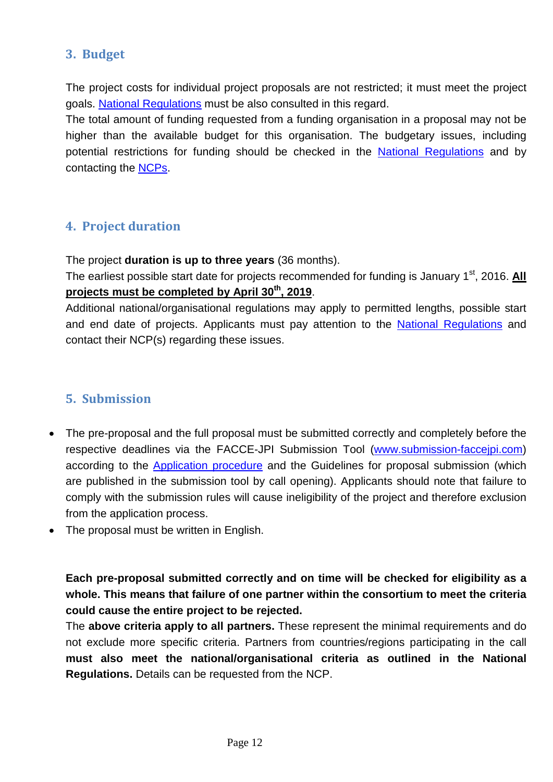#### <span id="page-11-0"></span>**3. Budget**

The project costs for individual project proposals are not restricted; it must meet the project goals. [National Regulations](#page-44-0) must be also consulted in this regard.

The total amount of funding requested from a funding organisation in a proposal may not be higher than the available budget for this organisation. The budgetary issues, including potential restrictions for funding should be checked in the [National Regulations](#page-44-0) and by contacting the [NCPs.](#page-20-1)

#### <span id="page-11-1"></span>**4. Project duration**

The project **duration is up to three years** (36 months).

The earliest possible start date for projects recommended for funding is January 1<sup>st</sup>, 2016. All **projects must be completed by April 30th, 2019**.

Additional national/organisational regulations may apply to permitted lengths, possible start and end date of projects. Applicants must pay attention to the [National Regulations](#page-44-0) and contact their NCP(s) regarding these issues.

#### <span id="page-11-2"></span>**5. Submission**

- The pre-proposal and the full proposal must be submitted correctly and completely before the respective deadlines via the FACCE-JPI Submission Tool [\(www.submission-faccejpi.com\)](http://www.submission-faccejpi.com/) according to the [Application procedure](#page-12-0) and the Guidelines for proposal submission (which are published in the submission tool by call opening). Applicants should note that failure to comply with the submission rules will cause ineligibility of the project and therefore exclusion from the application process.
- The proposal must be written in English.

**Each pre-proposal submitted correctly and on time will be checked for eligibility as a whole. This means that failure of one partner within the consortium to meet the criteria could cause the entire project to be rejected.** 

The **above criteria apply to all partners.** These represent the minimal requirements and do not exclude more specific criteria. Partners from countries/regions participating in the call **must also meet the national/organisational criteria as outlined in the National Regulations.** Details can be requested from the NCP.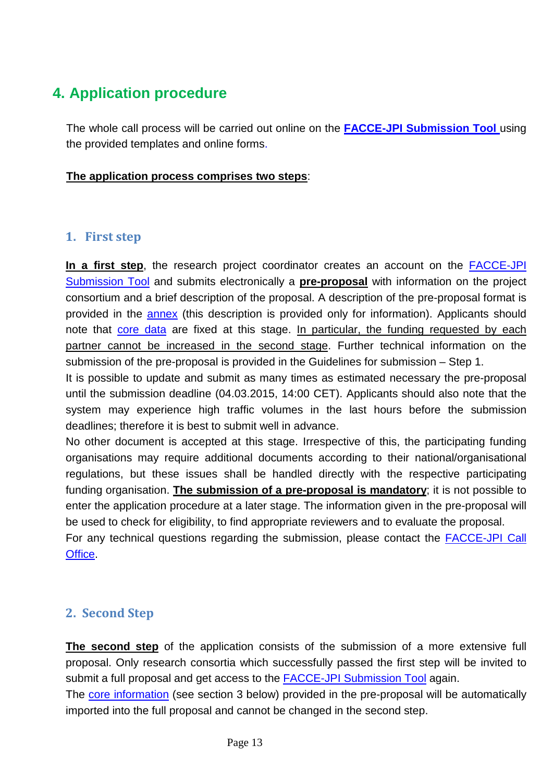## <span id="page-12-0"></span>**4. Application procedure**

The whole call process will be carried out online on the **[FACCE-JPI Submission](http://www.submission-faccejpi.com/) Tool** using the provided templates and online forms.

#### **The application process comprises two steps**:

#### <span id="page-12-1"></span>**1. First step**

**In a first step**, the research project coordinator creates an account on the [FACCE-JPI](http://www.submission-faccejpi.com/)  [Submission Tool](http://www.submission-faccejpi.com/) and submits electronically a **pre-proposal** with information on the project consortium and a brief description of the proposal. A description of the pre-proposal format is provided in the [annex](#page-29-1) (this description is provided only for information). Applicants should note that core data are fixed at this stage. In particular, the funding requested by each partner cannot be increased in the second stage. Further technical information on the submission of the pre-proposal is provided in the Guidelines for submission – Step 1.

It is possible to update and submit as many times as estimated necessary the pre-proposal until the submission deadline (04.03.2015, 14:00 CET). Applicants should also note that the system may experience high traffic volumes in the last hours before the submission deadlines; therefore it is best to submit well in advance.

No other document is accepted at this stage. Irrespective of this, the participating funding organisations may require additional documents according to their national/organisational regulations, but these issues shall be handled directly with the respective participating funding organisation. **The submission of a pre-proposal is mandatory**; it is not possible to enter the application procedure at a later stage. The information given in the pre-proposal will be used to check for eligibility, to find appropriate reviewers and to evaluate the proposal.

For any technical questions regarding the submission, please contact the [FACCE-JPI Call](mailto:ptj-faccejpi@fz-juelich.de)  [Office.](mailto:ptj-faccejpi@fz-juelich.de)

#### <span id="page-12-2"></span>**2. Second Step**

**The second step** of the application consists of the submission of a more extensive full proposal. Only research consortia which successfully passed the first step will be invited to submit a full proposal and get access to the [FACCE-JPI Submission Tool](http://www.submission-faccejpi.com/) again.

The core information (see section 3 below) provided in the pre-proposal will be automatically imported into the full proposal and cannot be changed in the second step.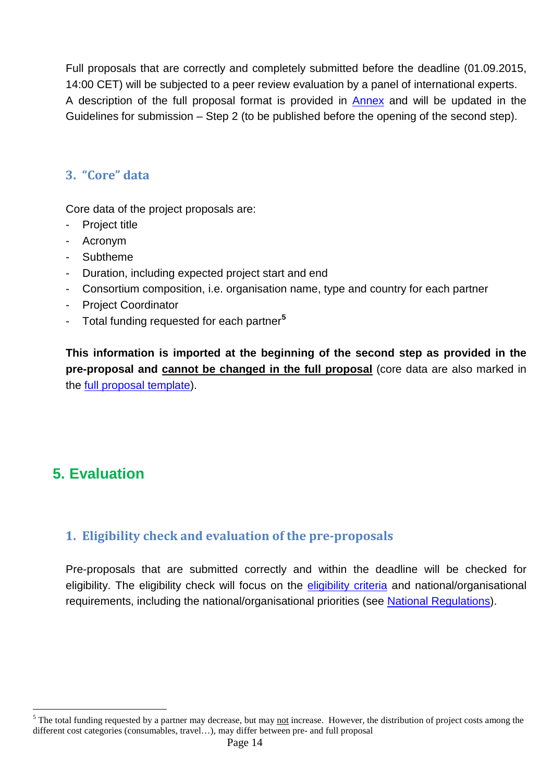Full proposals that are correctly and completely submitted before the deadline (01.09.2015, 14:00 CET) will be subjected to a peer review evaluation by a panel of international experts. A description of the full proposal format is provided in [Annex](#page-36-0) and will be updated in the Guidelines for submission – Step 2 (to be published before the opening of the second step).

### <span id="page-13-0"></span>**3. "Core" data**

Core data of the project proposals are:

- Project title
- Acronym
- Subtheme
- Duration, including expected project start and end
- Consortium composition, i.e. organisation name, type and country for each partner
- Project Coordinator
- Total funding requested for each partner**[5](#page-13-3)**

**This information is imported at the beginning of the second step as provided in the pre-proposal and cannot be changed in the full proposal** (core data are also marked in the [full proposal template\)](#page-36-0).

## <span id="page-13-1"></span>**5. Evaluation**

 $\overline{a}$ 

#### <span id="page-13-2"></span>**1. Eligibility check and evaluation of the pre-proposals**

Pre-proposals that are submitted correctly and within the deadline will be checked for eligibility. The eligibility check will focus on the [eligibility criteria](#page-9-2) and national/organisational requirements, including the national/organisational priorities (see [National Regulations\)](#page-44-0).

<span id="page-13-3"></span> $5$  The total funding requested by a partner may decrease, but may not increase. However, the distribution of project costs among the different cost categories (consumables, travel…), may differ between pre- and full proposal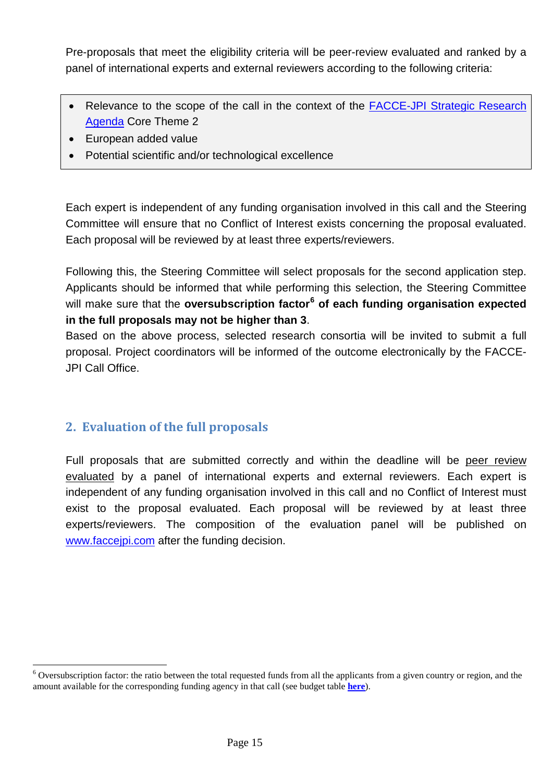Pre-proposals that meet the eligibility criteria will be peer-review evaluated and ranked by a panel of international experts and external reviewers according to the following criteria:

- Relevance to the scope of the call in the context of the FACCE-JPI Strategic Research [Agenda](https://www.faccejpi.com/Strategic-Research-Agenda) Core Theme 2
- European added value
- Potential scientific and/or technological excellence

Each expert is independent of any funding organisation involved in this call and the Steering Committee will ensure that no Conflict of Interest exists concerning the proposal evaluated. Each proposal will be reviewed by at least three experts/reviewers.

Following this, the Steering Committee will select proposals for the second application step. Applicants should be informed that while performing this selection, the Steering Committee will make sure that the **oversubscription factor[6](#page-14-1) of each funding organisation expected in the full proposals may not be higher than 3**.

Based on the above process, selected research consortia will be invited to submit a full proposal. Project coordinators will be informed of the outcome electronically by the FACCE-JPI Call Office.

#### <span id="page-14-0"></span>**2. Evaluation of the full proposals**

 $\overline{a}$ 

Full proposals that are submitted correctly and within the deadline will be peer review evaluated by a panel of international experts and external reviewers. Each expert is independent of any funding organisation involved in this call and no Conflict of Interest must exist to the proposal evaluated. Each proposal will be reviewed by at least three experts/reviewers. The composition of the evaluation panel will be published on [www.faccejpi.com](http://www.faccejpi.com/) after the funding decision.

<span id="page-14-1"></span> $6$  Oversubscription factor: the ratio between the total requested funds from all the applicants from a given country or region, and the amount available for the corresponding funding agency in that call (see budget table **here**).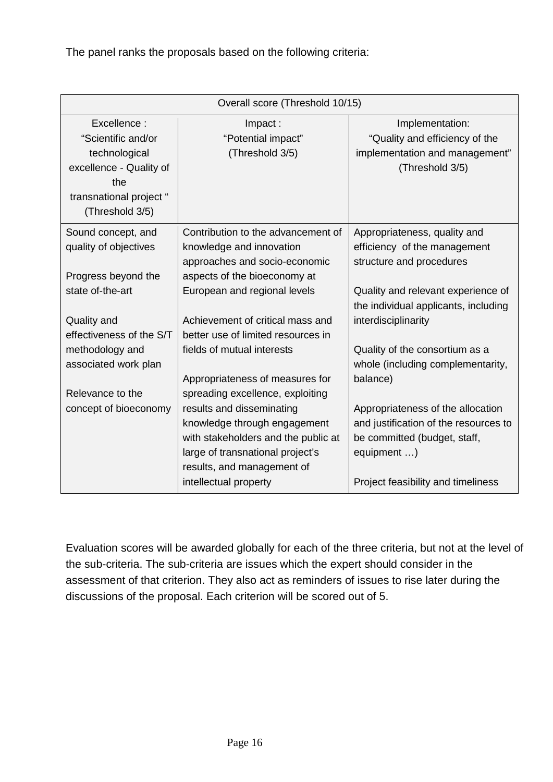The panel ranks the proposals based on the following criteria:

| Overall score (Threshold 10/15) |                                     |                                       |  |  |  |  |  |  |  |
|---------------------------------|-------------------------------------|---------------------------------------|--|--|--|--|--|--|--|
| Excellence:                     | Impact:                             | Implementation:                       |  |  |  |  |  |  |  |
| "Scientific and/or              | "Potential impact"                  | "Quality and efficiency of the        |  |  |  |  |  |  |  |
| technological                   | (Threshold 3/5)                     | implementation and management"        |  |  |  |  |  |  |  |
| excellence - Quality of         |                                     | (Threshold 3/5)                       |  |  |  |  |  |  |  |
| the                             |                                     |                                       |  |  |  |  |  |  |  |
| transnational project "         |                                     |                                       |  |  |  |  |  |  |  |
| (Threshold 3/5)                 |                                     |                                       |  |  |  |  |  |  |  |
| Sound concept, and              | Contribution to the advancement of  | Appropriateness, quality and          |  |  |  |  |  |  |  |
| quality of objectives           | knowledge and innovation            | efficiency of the management          |  |  |  |  |  |  |  |
|                                 | approaches and socio-economic       | structure and procedures              |  |  |  |  |  |  |  |
| Progress beyond the             | aspects of the bioeconomy at        |                                       |  |  |  |  |  |  |  |
| state of-the-art                | European and regional levels        | Quality and relevant experience of    |  |  |  |  |  |  |  |
|                                 |                                     | the individual applicants, including  |  |  |  |  |  |  |  |
| Quality and                     | Achievement of critical mass and    | interdisciplinarity                   |  |  |  |  |  |  |  |
| effectiveness of the S/T        | better use of limited resources in  |                                       |  |  |  |  |  |  |  |
| methodology and                 | fields of mutual interests          | Quality of the consortium as a        |  |  |  |  |  |  |  |
| associated work plan            |                                     | whole (including complementarity,     |  |  |  |  |  |  |  |
|                                 | Appropriateness of measures for     | balance)                              |  |  |  |  |  |  |  |
| Relevance to the                | spreading excellence, exploiting    |                                       |  |  |  |  |  |  |  |
| concept of bioeconomy           | results and disseminating           | Appropriateness of the allocation     |  |  |  |  |  |  |  |
|                                 | knowledge through engagement        | and justification of the resources to |  |  |  |  |  |  |  |
|                                 | with stakeholders and the public at | be committed (budget, staff,          |  |  |  |  |  |  |  |
|                                 | large of transnational project's    | equipment )                           |  |  |  |  |  |  |  |
|                                 | results, and management of          |                                       |  |  |  |  |  |  |  |
|                                 | intellectual property               | Project feasibility and timeliness    |  |  |  |  |  |  |  |

Evaluation scores will be awarded globally for each of the three criteria, but not at the level of the sub-criteria. The sub-criteria are issues which the expert should consider in the assessment of that criterion. They also act as reminders of issues to rise later during the discussions of the proposal. Each criterion will be scored out of 5.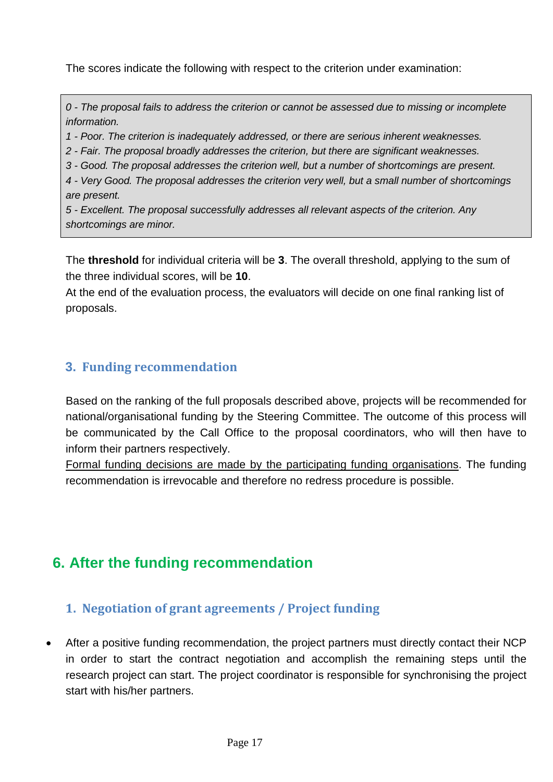The scores indicate the following with respect to the criterion under examination:

*0 - The proposal fails to address the criterion or cannot be assessed due to missing or incomplete information.* 

*1 - Poor. The criterion is inadequately addressed, or there are serious inherent weaknesses.* 

*2 - Fair. The proposal broadly addresses the criterion, but there are significant weaknesses.* 

*3 - Good. The proposal addresses the criterion well, but a number of shortcomings are present.* 

*4 - Very Good. The proposal addresses the criterion very well, but a small number of shortcomings are present.* 

*5 - Excellent. The proposal successfully addresses all relevant aspects of the criterion. Any shortcomings are minor.*

The **threshold** for individual criteria will be **3**. The overall threshold, applying to the sum of the three individual scores, will be **10**.

At the end of the evaluation process, the evaluators will decide on one final ranking list of proposals.

### <span id="page-16-0"></span>**3. Funding recommendation**

Based on the ranking of the full proposals described above, projects will be recommended for national/organisational funding by the Steering Committee. The outcome of this process will be communicated by the Call Office to the proposal coordinators, who will then have to inform their partners respectively.

Formal funding decisions are made by the participating funding organisations. The funding recommendation is irrevocable and therefore no redress procedure is possible.

## <span id="page-16-1"></span>**6. After the funding recommendation**

#### <span id="page-16-2"></span>**1. Negotiation of grant agreements / Project funding**

• After a positive funding recommendation, the project partners must directly contact their NCP in order to start the contract negotiation and accomplish the remaining steps until the research project can start. The project coordinator is responsible for synchronising the project start with his/her partners.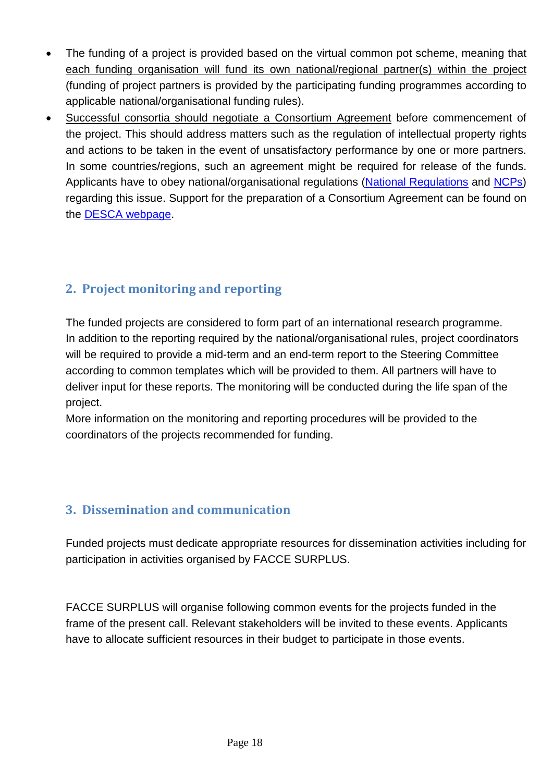- The funding of a project is provided based on the virtual common pot scheme, meaning that each funding organisation will fund its own national/regional partner(s) within the project (funding of project partners is provided by the participating funding programmes according to applicable national/organisational funding rules).
- Successful consortia should negotiate a Consortium Agreement before commencement of the project. This should address matters such as the regulation of intellectual property rights and actions to be taken in the event of unsatisfactory performance by one or more partners. In some countries/regions, such an agreement might be required for release of the funds. Applicants have to obey national/organisational regulations [\(National Regulations](#page-44-0) and [NCPs\)](#page-20-1) regarding this issue. Support for the preparation of a Consortium Agreement can be found on the [DESCA webpage.](http://www.desca-2020.eu/)

### <span id="page-17-0"></span>**2. Project monitoring and reporting**

The funded projects are considered to form part of an international research programme. In addition to the reporting required by the national/organisational rules, project coordinators will be required to provide a mid-term and an end-term report to the Steering Committee according to common templates which will be provided to them. All partners will have to deliver input for these reports. The monitoring will be conducted during the life span of the project.

More information on the monitoring and reporting procedures will be provided to the coordinators of the projects recommended for funding.

### <span id="page-17-1"></span>**3. Dissemination and communication**

Funded projects must dedicate appropriate resources for dissemination activities including for participation in activities organised by FACCE SURPLUS.

FACCE SURPLUS will organise following common events for the projects funded in the frame of the present call. Relevant stakeholders will be invited to these events. Applicants have to allocate sufficient resources in their budget to participate in those events.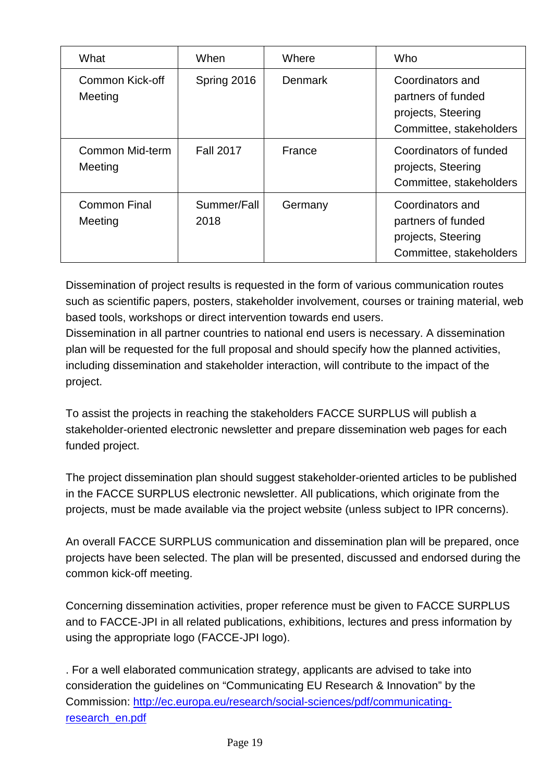| What                           | When                | Where   | Who                                                                                     |
|--------------------------------|---------------------|---------|-----------------------------------------------------------------------------------------|
| Common Kick-off<br>Meeting     | Spring 2016         | Denmark | Coordinators and<br>partners of funded<br>projects, Steering<br>Committee, stakeholders |
| Common Mid-term<br>Meeting     | <b>Fall 2017</b>    | France  | Coordinators of funded<br>projects, Steering<br>Committee, stakeholders                 |
| <b>Common Final</b><br>Meeting | Summer/Fall<br>2018 | Germany | Coordinators and<br>partners of funded<br>projects, Steering<br>Committee, stakeholders |

Dissemination of project results is requested in the form of various communication routes such as scientific papers, posters, stakeholder involvement, courses or training material, web based tools, workshops or direct intervention towards end users.

Dissemination in all partner countries to national end users is necessary. A dissemination plan will be requested for the full proposal and should specify how the planned activities, including dissemination and stakeholder interaction, will contribute to the impact of the project.

To assist the projects in reaching the stakeholders FACCE SURPLUS will publish a stakeholder-oriented electronic newsletter and prepare dissemination web pages for each funded project.

The project dissemination plan should suggest stakeholder-oriented articles to be published in the FACCE SURPLUS electronic newsletter. All publications, which originate from the projects, must be made available via the project website (unless subject to IPR concerns).

An overall FACCE SURPLUS communication and dissemination plan will be prepared, once projects have been selected. The plan will be presented, discussed and endorsed during the common kick-off meeting.

Concerning dissemination activities, proper reference must be given to FACCE SURPLUS and to FACCE-JPI in all related publications, exhibitions, lectures and press information by using the appropriate logo (FACCE-JPI logo).

. For a well elaborated communication strategy, applicants are advised to take into consideration the guidelines on "Communicating EU Research & Innovation" by the Commission: [http://ec.europa.eu/research/social-sciences/pdf/communicating](http://ec.europa.eu/research/social-sciences/pdf/communicating-research_en.pdf)[research\\_en.pdf](http://ec.europa.eu/research/social-sciences/pdf/communicating-research_en.pdf)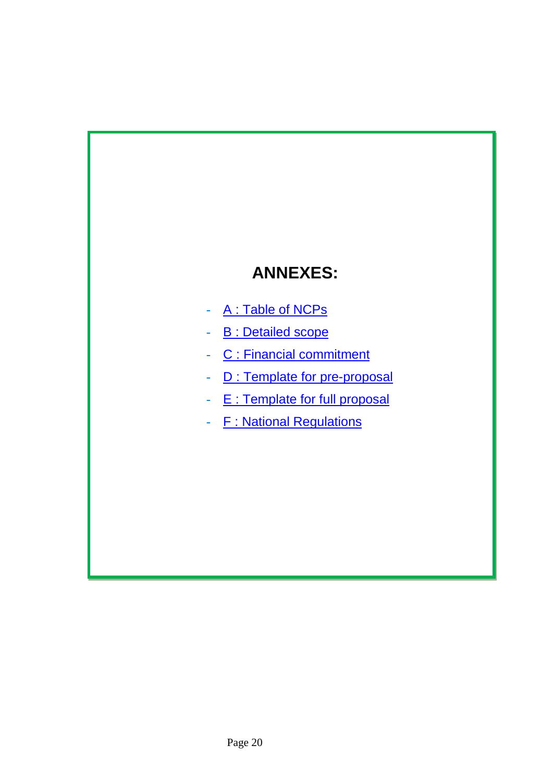# **ANNEXES:**

- A : Table of NCPs
- **B** : Detailed scope
- C : Financial commitment
- D : Template for pre-proposal
- E : Template for full proposal
- F: National Regulations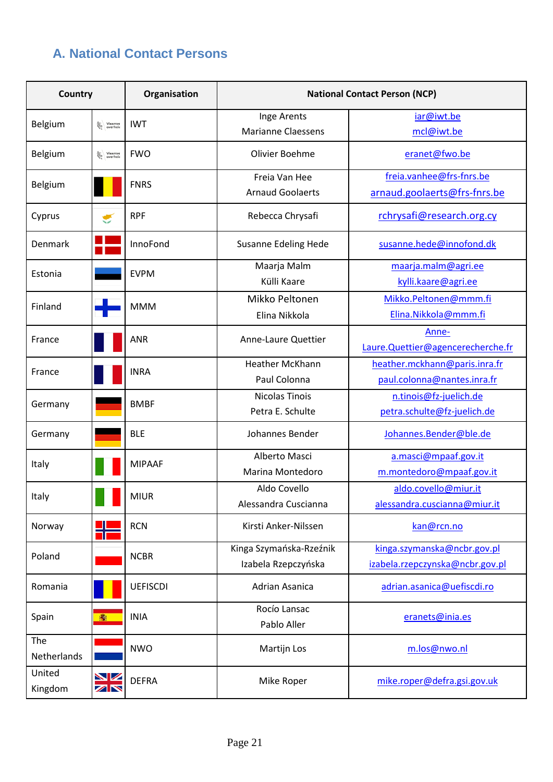## <span id="page-20-1"></span><span id="page-20-0"></span>**A. National Contact Persons**

| <b>Country</b>                                |                               | Organisation    | <b>National Contact Person (NCP)</b> |                                   |  |  |  |  |
|-----------------------------------------------|-------------------------------|-----------------|--------------------------------------|-----------------------------------|--|--|--|--|
| Belgium<br>Vlaamse<br>Queerheid<br><b>IWT</b> |                               | Inge Arents     | iar@iwt.be                           |                                   |  |  |  |  |
|                                               |                               |                 | <b>Marianne Claessens</b>            | mcl@iwt.be                        |  |  |  |  |
| Belgium                                       | Vlaamse<br>Queerheid          | <b>FWO</b>      | Olivier Boehme                       | eranet@fwo.be                     |  |  |  |  |
|                                               |                               | <b>FNRS</b>     | Freia Van Hee                        | freia.vanhee@frs-fnrs.be          |  |  |  |  |
| Belgium                                       |                               |                 | <b>Arnaud Goolaerts</b>              | arnaud.goolaerts@frs-fnrs.be      |  |  |  |  |
| Cyprus                                        | ≝                             | <b>RPF</b>      | Rebecca Chrysafi                     | rchrysafi@research.org.cy         |  |  |  |  |
| Denmark                                       |                               | InnoFond        | <b>Susanne Edeling Hede</b>          | susanne.hede@innofond.dk          |  |  |  |  |
| Estonia                                       |                               | <b>EVPM</b>     | Maarja Malm                          | maarja.malm@agri.ee               |  |  |  |  |
|                                               |                               |                 | Külli Kaare                          | kylli.kaare@agri.ee               |  |  |  |  |
| Finland                                       |                               | <b>MMM</b>      | Mikko Peltonen                       | Mikko.Peltonen@mmm.fi             |  |  |  |  |
|                                               |                               |                 | Elina Nikkola                        | Elina.Nikkola@mmm.fi              |  |  |  |  |
| France                                        |                               | <b>ANR</b>      | Anne-Laure Quettier                  | Anne-                             |  |  |  |  |
|                                               |                               |                 |                                      | Laure.Quettier@agencerecherche.fr |  |  |  |  |
| France                                        |                               | <b>INRA</b>     | Heather McKhann                      | heather.mckhann@paris.inra.fr     |  |  |  |  |
|                                               |                               |                 | Paul Colonna                         | paul.colonna@nantes.inra.fr       |  |  |  |  |
| Germany                                       |                               | <b>BMBF</b>     | Nicolas Tinois                       | n.tinois@fz-juelich.de            |  |  |  |  |
|                                               |                               |                 | Petra E. Schulte                     | petra.schulte@fz-juelich.de       |  |  |  |  |
| Germany                                       |                               | <b>BLE</b>      | Johannes Bender                      | Johannes.Bender@ble.de            |  |  |  |  |
| Italy                                         |                               | <b>MIPAAF</b>   | Alberto Masci                        | a.masci@mpaaf.gov.it              |  |  |  |  |
|                                               |                               |                 | Marina Montedoro                     | m.montedoro@mpaaf.gov.it          |  |  |  |  |
| Italy                                         |                               | <b>MIUR</b>     | Aldo Covello                         | aldo.covello@miur.it              |  |  |  |  |
|                                               |                               |                 | Alessandra Cuscianna                 | alessandra.cuscianna@miur.it      |  |  |  |  |
| Norway                                        |                               | <b>RCN</b>      | Kirsti Anker-Nilssen                 | kan@rcn.no                        |  |  |  |  |
| Poland                                        |                               | <b>NCBR</b>     | Kinga Szymańska-Rzeźnik              | kinga.szymanska@ncbr.gov.pl       |  |  |  |  |
|                                               |                               |                 | Izabela Rzepczyńska                  | izabela.rzepczynska@ncbr.gov.pl   |  |  |  |  |
| Romania                                       |                               | <b>UEFISCDI</b> | Adrian Asanica                       | adrian.asanica@uefiscdi.ro        |  |  |  |  |
| Spain                                         | 編                             | <b>INIA</b>     | Rocío Lansac                         | eranets@inia.es                   |  |  |  |  |
|                                               |                               |                 | Pablo Aller                          |                                   |  |  |  |  |
| The<br>Netherlands                            |                               | <b>NWO</b>      | Martijn Los                          | m.los@nwo.nl                      |  |  |  |  |
| United<br>Kingdom                             | NИ<br>$\overline{\mathbb{Z}}$ | <b>DEFRA</b>    | Mike Roper                           | mike.roper@defra.gsi.gov.uk       |  |  |  |  |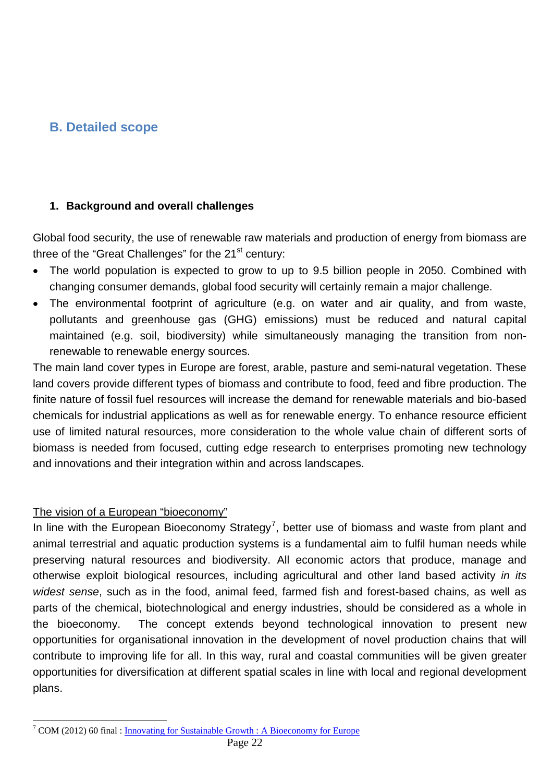### <span id="page-21-0"></span>**B. Detailed scope**

#### **1. Background and overall challenges**

Global food security, the use of renewable raw materials and production of energy from biomass are three of the "Great Challenges" for the  $21<sup>st</sup>$  century:

- The world population is expected to grow to up to 9.5 billion people in 2050. Combined with changing consumer demands, global food security will certainly remain a major challenge.
- The environmental footprint of agriculture (e.g. on water and air quality, and from waste, pollutants and greenhouse gas (GHG) emissions) must be reduced and natural capital maintained (e.g. soil, biodiversity) while simultaneously managing the transition from nonrenewable to renewable energy sources.

The main land cover types in Europe are forest, arable, pasture and semi-natural vegetation. These land covers provide different types of biomass and contribute to food, feed and fibre production. The finite nature of fossil fuel resources will increase the demand for renewable materials and bio-based chemicals for industrial applications as well as for renewable energy. To enhance resource efficient use of limited natural resources, more consideration to the whole value chain of different sorts of biomass is needed from focused, cutting edge research to enterprises promoting new technology and innovations and their integration within and across landscapes.

#### The vision of a European "bioeconomy"

In line with the European Bioeconomy Strategy<sup>[7](#page-21-1)</sup>, better use of biomass and waste from plant and animal terrestrial and aquatic production systems is a fundamental aim to fulfil human needs while preserving natural resources and biodiversity. All economic actors that produce, manage and otherwise exploit biological resources, including agricultural and other land based activity *in its widest sense*, such as in the food, animal feed, farmed fish and forest-based chains, as well as parts of the chemical, biotechnological and energy industries, should be considered as a whole in the bioeconomy. The concept extends beyond technological innovation to present new opportunities for organisational innovation in the development of novel production chains that will contribute to improving life for all. In this way, rural and coastal communities will be given greater opportunities for diversification at different spatial scales in line with local and regional development plans.

<span id="page-21-1"></span><sup>&</sup>lt;sup>7</sup> COM (2012) 60 final : [Innovating for Sustainable Growth](http://ec.europa.eu/research/bioeconomy/pdf/201202_innovating_sustainable_growth.pdf) : A Bioeconomy for Europe  $\overline{a}$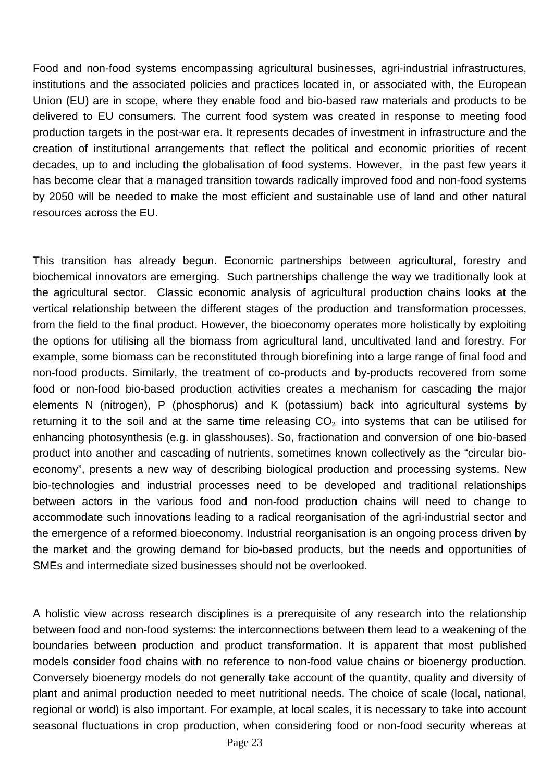Food and non-food systems encompassing agricultural businesses, agri-industrial infrastructures, institutions and the associated policies and practices located in, or associated with, the European Union (EU) are in scope, where they enable food and bio-based raw materials and products to be delivered to EU consumers. The current food system was created in response to meeting food production targets in the post-war era. It represents decades of investment in infrastructure and the creation of institutional arrangements that reflect the political and economic priorities of recent decades, up to and including the globalisation of food systems. However, in the past few years it has become clear that a managed transition towards radically improved food and non-food systems by 2050 will be needed to make the most efficient and sustainable use of land and other natural resources across the EU.

This transition has already begun. Economic partnerships between agricultural, forestry and biochemical innovators are emerging. Such partnerships challenge the way we traditionally look at the agricultural sector. Classic economic analysis of agricultural production chains looks at the vertical relationship between the different stages of the production and transformation processes, from the field to the final product. However, the bioeconomy operates more holistically by exploiting the options for utilising all the biomass from agricultural land, uncultivated land and forestry. For example, some biomass can be reconstituted through biorefining into a large range of final food and non-food products. Similarly, the treatment of co-products and by-products recovered from some food or non-food bio-based production activities creates a mechanism for cascading the major elements N (nitrogen), P (phosphorus) and K (potassium) back into agricultural systems by returning it to the soil and at the same time releasing  $CO<sub>2</sub>$  into systems that can be utilised for enhancing photosynthesis (e.g. in glasshouses). So, fractionation and conversion of one bio-based product into another and cascading of nutrients, sometimes known collectively as the "circular bioeconomy", presents a new way of describing biological production and processing systems. New bio-technologies and industrial processes need to be developed and traditional relationships between actors in the various food and non-food production chains will need to change to accommodate such innovations leading to a radical reorganisation of the agri-industrial sector and the emergence of a reformed bioeconomy. Industrial reorganisation is an ongoing process driven by the market and the growing demand for bio-based products, but the needs and opportunities of SMEs and intermediate sized businesses should not be overlooked.

A holistic view across research disciplines is a prerequisite of any research into the relationship between food and non-food systems: the interconnections between them lead to a weakening of the boundaries between production and product transformation. It is apparent that most published models consider food chains with no reference to non-food value chains or bioenergy production. Conversely bioenergy models do not generally take account of the quantity, quality and diversity of plant and animal production needed to meet nutritional needs. The choice of scale (local, national, regional or world) is also important. For example, at local scales, it is necessary to take into account seasonal fluctuations in crop production, when considering food or non-food security whereas at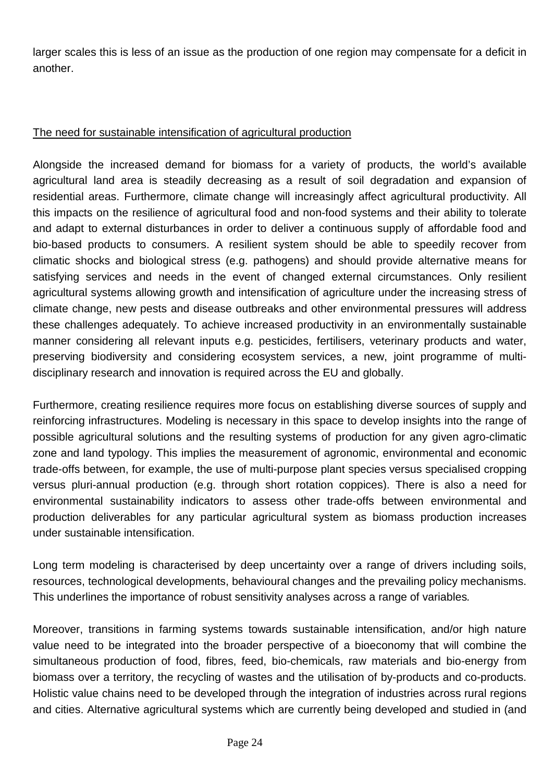larger scales this is less of an issue as the production of one region may compensate for a deficit in another.

#### The need for sustainable intensification of agricultural production

Alongside the increased demand for biomass for a variety of products, the world's available agricultural land area is steadily decreasing as a result of soil degradation and expansion of residential areas. Furthermore, climate change will increasingly affect agricultural productivity. All this impacts on the resilience of agricultural food and non-food systems and their ability to tolerate and adapt to external disturbances in order to deliver a continuous supply of affordable food and bio-based products to consumers. A resilient system should be able to speedily recover from climatic shocks and biological stress (e.g. pathogens) and should provide alternative means for satisfying services and needs in the event of changed external circumstances. Only resilient agricultural systems allowing growth and intensification of agriculture under the increasing stress of climate change, new pests and disease outbreaks and other environmental pressures will address these challenges adequately. To achieve increased productivity in an environmentally sustainable manner considering all relevant inputs e.g. pesticides, fertilisers, veterinary products and water, preserving biodiversity and considering ecosystem services, a new, joint programme of multidisciplinary research and innovation is required across the EU and globally.

Furthermore, creating resilience requires more focus on establishing diverse sources of supply and reinforcing infrastructures. Modeling is necessary in this space to develop insights into the range of possible agricultural solutions and the resulting systems of production for any given agro-climatic zone and land typology. This implies the measurement of agronomic, environmental and economic trade-offs between, for example, the use of multi-purpose plant species versus specialised cropping versus pluri-annual production (e.g. through short rotation coppices). There is also a need for environmental sustainability indicators to assess other trade-offs between environmental and production deliverables for any particular agricultural system as biomass production increases under sustainable intensification.

Long term modeling is characterised by deep uncertainty over a range of drivers including soils, resources, technological developments, behavioural changes and the prevailing policy mechanisms. This underlines the importance of robust sensitivity analyses across a range of variables*.*

Moreover, transitions in farming systems towards sustainable intensification, and/or high nature value need to be integrated into the broader perspective of a bioeconomy that will combine the simultaneous production of food, fibres, feed, bio-chemicals, raw materials and bio-energy from biomass over a territory, the recycling of wastes and the utilisation of by-products and co-products. Holistic value chains need to be developed through the integration of industries across rural regions and cities. Alternative agricultural systems which are currently being developed and studied in (and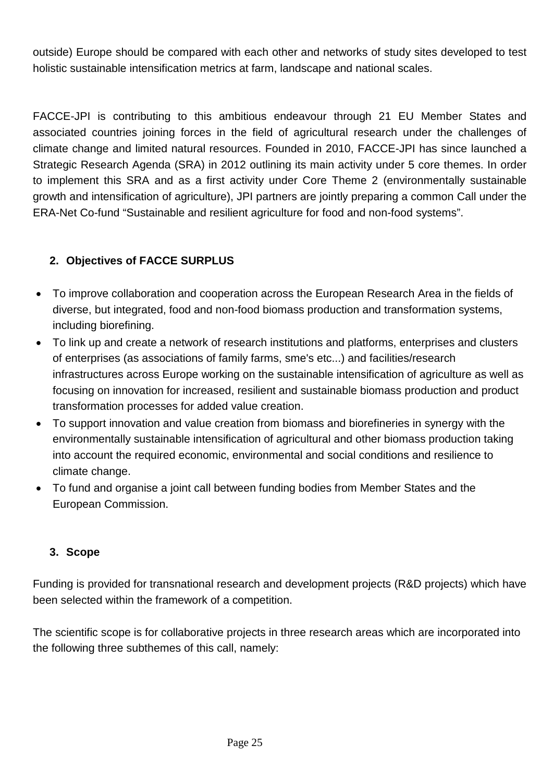outside) Europe should be compared with each other and networks of study sites developed to test holistic sustainable intensification metrics at farm, landscape and national scales.

FACCE-JPI is contributing to this ambitious endeavour through 21 EU Member States and associated countries joining forces in the field of agricultural research under the challenges of climate change and limited natural resources. Founded in 2010, FACCE-JPI has since launched a Strategic Research Agenda (SRA) in 2012 outlining its main activity under 5 core themes. In order to implement this SRA and as a first activity under Core Theme 2 (environmentally sustainable growth and intensification of agriculture), JPI partners are jointly preparing a common Call under the ERA-Net Co-fund "Sustainable and resilient agriculture for food and non-food systems".

#### **2. Objectives of FACCE SURPLUS**

- To improve collaboration and cooperation across the European Research Area in the fields of diverse, but integrated, food and non-food biomass production and transformation systems, including biorefining.
- To link up and create a network of research institutions and platforms, enterprises and clusters of enterprises (as associations of family farms, sme's etc...) and facilities/research infrastructures across Europe working on the sustainable intensification of agriculture as well as focusing on innovation for increased, resilient and sustainable biomass production and product transformation processes for added value creation.
- To support innovation and value creation from biomass and biorefineries in synergy with the environmentally sustainable intensification of agricultural and other biomass production taking into account the required economic, environmental and social conditions and resilience to climate change.
- To fund and organise a joint call between funding bodies from Member States and the European Commission.

#### **3. Scope**

Funding is provided for transnational research and development projects (R&D projects) which have been selected within the framework of a competition.

The scientific scope is for collaborative projects in three research areas which are incorporated into the following three subthemes of this call, namely: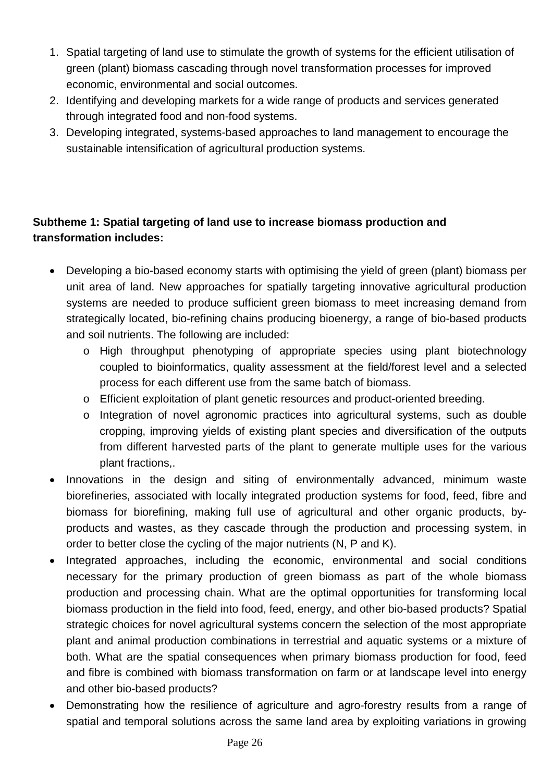- 1. Spatial targeting of land use to stimulate the growth of systems for the efficient utilisation of green (plant) biomass cascading through novel transformation processes for improved economic, environmental and social outcomes.
- 2. Identifying and developing markets for a wide range of products and services generated through integrated food and non-food systems.
- 3. Developing integrated, systems-based approaches to land management to encourage the sustainable intensification of agricultural production systems.

#### **Subtheme 1: Spatial targeting of land use to increase biomass production and transformation includes:**

- Developing a bio-based economy starts with optimising the yield of green (plant) biomass per unit area of land. New approaches for spatially targeting innovative agricultural production systems are needed to produce sufficient green biomass to meet increasing demand from strategically located, bio-refining chains producing bioenergy, a range of bio-based products and soil nutrients. The following are included:
	- o High throughput phenotyping of appropriate species using plant biotechnology coupled to bioinformatics, quality assessment at the field/forest level and a selected process for each different use from the same batch of biomass.
	- o Efficient exploitation of plant genetic resources and product-oriented breeding.
	- o Integration of novel agronomic practices into agricultural systems, such as double cropping, improving yields of existing plant species and diversification of the outputs from different harvested parts of the plant to generate multiple uses for the various plant fractions,.
- Innovations in the design and siting of environmentally advanced, minimum waste biorefineries, associated with locally integrated production systems for food, feed, fibre and biomass for biorefining, making full use of agricultural and other organic products, byproducts and wastes, as they cascade through the production and processing system, in order to better close the cycling of the major nutrients (N, P and K).
- Integrated approaches, including the economic, environmental and social conditions necessary for the primary production of green biomass as part of the whole biomass production and processing chain. What are the optimal opportunities for transforming local biomass production in the field into food, feed, energy, and other bio-based products? Spatial strategic choices for novel agricultural systems concern the selection of the most appropriate plant and animal production combinations in terrestrial and aquatic systems or a mixture of both. What are the spatial consequences when primary biomass production for food, feed and fibre is combined with biomass transformation on farm or at landscape level into energy and other bio-based products?
- Demonstrating how the resilience of agriculture and agro-forestry results from a range of spatial and temporal solutions across the same land area by exploiting variations in growing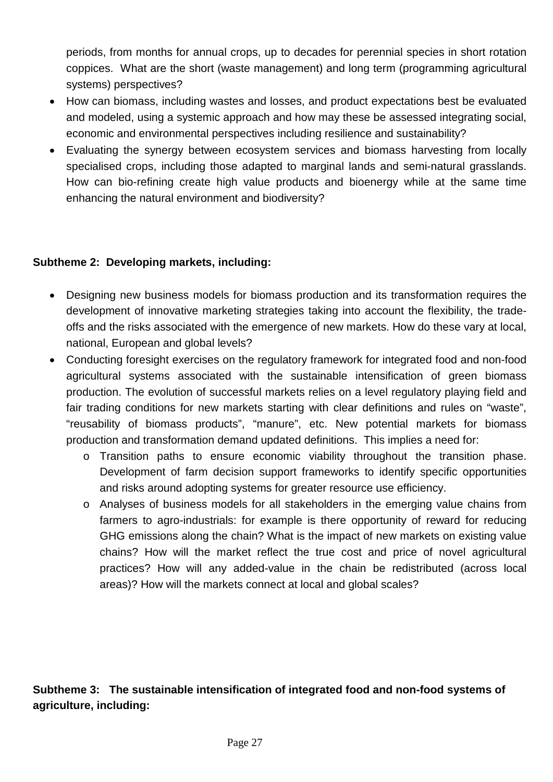periods, from months for annual crops, up to decades for perennial species in short rotation coppices. What are the short (waste management) and long term (programming agricultural systems) perspectives?

- How can biomass, including wastes and losses, and product expectations best be evaluated and modeled, using a systemic approach and how may these be assessed integrating social, economic and environmental perspectives including resilience and sustainability?
- Evaluating the synergy between ecosystem services and biomass harvesting from locally specialised crops, including those adapted to marginal lands and semi-natural grasslands. How can bio-refining create high value products and bioenergy while at the same time enhancing the natural environment and biodiversity?

#### **Subtheme 2: Developing markets, including:**

- Designing new business models for biomass production and its transformation requires the development of innovative marketing strategies taking into account the flexibility, the tradeoffs and the risks associated with the emergence of new markets. How do these vary at local, national, European and global levels?
- Conducting foresight exercises on the regulatory framework for integrated food and non-food agricultural systems associated with the sustainable intensification of green biomass production. The evolution of successful markets relies on a level regulatory playing field and fair trading conditions for new markets starting with clear definitions and rules on "waste", "reusability of biomass products", "manure", etc. New potential markets for biomass production and transformation demand updated definitions. This implies a need for:
	- o Transition paths to ensure economic viability throughout the transition phase. Development of farm decision support frameworks to identify specific opportunities and risks around adopting systems for greater resource use efficiency.
	- o Analyses of business models for all stakeholders in the emerging value chains from farmers to agro-industrials: for example is there opportunity of reward for reducing GHG emissions along the chain? What is the impact of new markets on existing value chains? How will the market reflect the true cost and price of novel agricultural practices? How will any added-value in the chain be redistributed (across local areas)? How will the markets connect at local and global scales?

**Subtheme 3: The sustainable intensification of integrated food and non-food systems of agriculture, including:**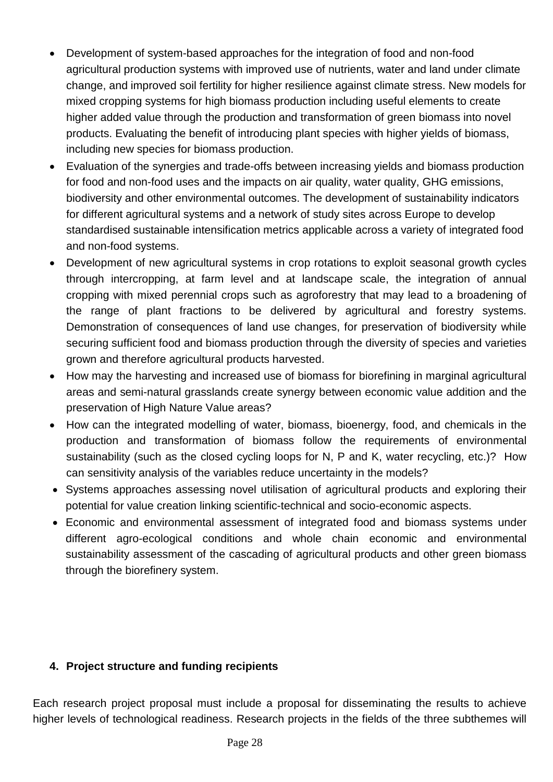- Development of system-based approaches for the integration of food and non-food agricultural production systems with improved use of nutrients, water and land under climate change, and improved soil fertility for higher resilience against climate stress. New models for mixed cropping systems for high biomass production including useful elements to create higher added value through the production and transformation of green biomass into novel products. Evaluating the benefit of introducing plant species with higher yields of biomass, including new species for biomass production.
- Evaluation of the synergies and trade-offs between increasing yields and biomass production for food and non-food uses and the impacts on air quality, water quality, GHG emissions, biodiversity and other environmental outcomes. The development of sustainability indicators for different agricultural systems and a network of study sites across Europe to develop standardised sustainable intensification metrics applicable across a variety of integrated food and non-food systems.
- Development of new agricultural systems in crop rotations to exploit seasonal growth cycles through intercropping, at farm level and at landscape scale, the integration of annual cropping with mixed perennial crops such as agroforestry that may lead to a broadening of the range of plant fractions to be delivered by agricultural and forestry systems. Demonstration of consequences of land use changes, for preservation of biodiversity while securing sufficient food and biomass production through the diversity of species and varieties grown and therefore agricultural products harvested.
- How may the harvesting and increased use of biomass for biorefining in marginal agricultural areas and semi-natural grasslands create synergy between economic value addition and the preservation of High Nature Value areas?
- How can the integrated modelling of water, biomass, bioenergy, food, and chemicals in the production and transformation of biomass follow the requirements of environmental sustainability (such as the closed cycling loops for N, P and K, water recycling, etc.)? How can sensitivity analysis of the variables reduce uncertainty in the models?
- Systems approaches assessing novel utilisation of agricultural products and exploring their potential for value creation linking scientific-technical and socio-economic aspects.
- Economic and environmental assessment of integrated food and biomass systems under different agro-ecological conditions and whole chain economic and environmental sustainability assessment of the cascading of agricultural products and other green biomass through the biorefinery system.

#### **4. Project structure and funding recipients**

Each research project proposal must include a proposal for disseminating the results to achieve higher levels of technological readiness. Research projects in the fields of the three subthemes will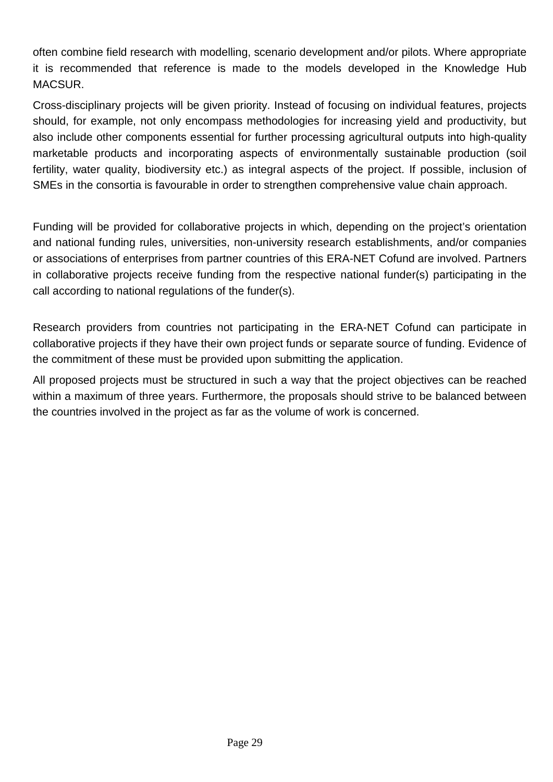often combine field research with modelling, scenario development and/or pilots. Where appropriate it is recommended that reference is made to the models developed in the Knowledge Hub MACSUR.

Cross-disciplinary projects will be given priority. Instead of focusing on individual features, projects should, for example, not only encompass methodologies for increasing yield and productivity, but also include other components essential for further processing agricultural outputs into high-quality marketable products and incorporating aspects of environmentally sustainable production (soil fertility, water quality, biodiversity etc.) as integral aspects of the project. If possible, inclusion of SMEs in the consortia is favourable in order to strengthen comprehensive value chain approach.

Funding will be provided for collaborative projects in which, depending on the project's orientation and national funding rules, universities, non-university research establishments, and/or companies or associations of enterprises from partner countries of this ERA-NET Cofund are involved. Partners in collaborative projects receive funding from the respective national funder(s) participating in the call according to national regulations of the funder(s).

Research providers from countries not participating in the ERA-NET Cofund can participate in collaborative projects if they have their own project funds or separate source of funding. Evidence of the commitment of these must be provided upon submitting the application.

All proposed projects must be structured in such a way that the project objectives can be reached within a maximum of three years. Furthermore, the proposals should strive to be balanced between the countries involved in the project as far as the volume of work is concerned.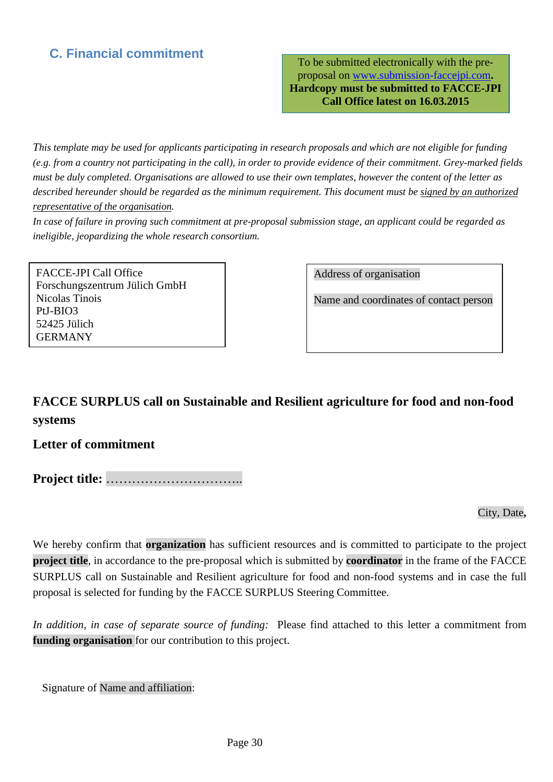### <span id="page-29-0"></span>**C. Financial commitment**

To be submitted electronically with the preproposal on [www.submission-faccejpi.com](http://www.submission-faccejpi.com/)**. Hardcopy must be submitted to FACCE-JPI Call Office latest on 16.03.2015**

*This template may be used for applicants participating in research proposals and which are not eligible for funding (e.g. from a country not participating in the call), in order to provide evidence of their commitment. Grey-marked fields must be duly completed. Organisations are allowed to use their own templates, however the content of the letter as described hereunder should be regarded as the minimum requirement. This document must be signed by an authorized representative of the organisation.*

*In case of failure in proving such commitment at pre-proposal submission stage, an applicant could be regarded as ineligible, jeopardizing the whole research consortium.*

FACCE-JPI Call Office Forschungszentrum Jülich GmbH Nicolas Tinois PtJ-BIO3 52425 Jülich GERMANY

Address of organisation

Name and coordinates of contact person

## **FACCE SURPLUS call on Sustainable and Resilient agriculture for food and non-food systems**

#### **Letter of commitment**

**Project title:** …………………………..

City, Date**,**

We hereby confirm that **organization** has sufficient resources and is committed to participate to the project **project title**, in accordance to the pre-proposal which is submitted by **coordinator** in the frame of the FACCE SURPLUS call on Sustainable and Resilient agriculture for food and non-food systems and in case the full proposal is selected for funding by the FACCE SURPLUS Steering Committee.

*In addition, in case of separate source of funding:* Please find attached to this letter a commitment from **funding organisation** for our contribution to this project.

<span id="page-29-1"></span>Signature of Name and affiliation: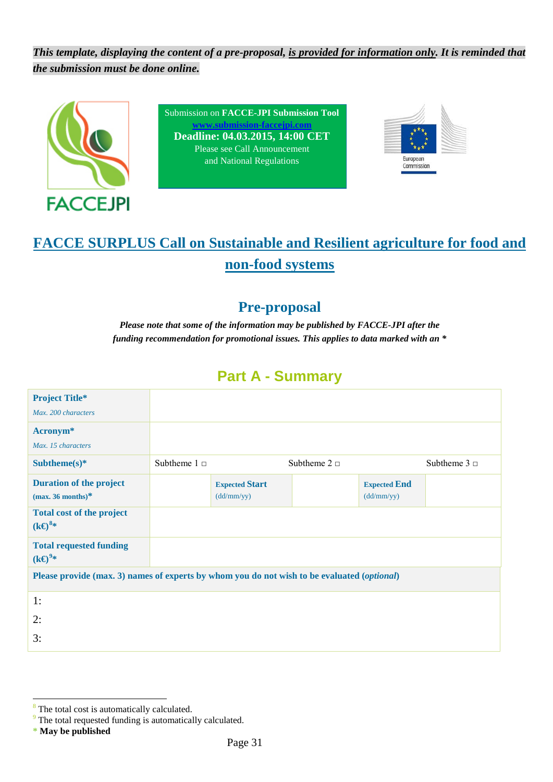*This template, displaying the content of a pre-proposal, is provided for information only. It is reminded that the submission must be done online.*



Submission on **FACCE-JPI Submission Tool w.submission-facceipi.co Deadline: 04.03.2015, 14:00 CET** Please see Call Announcement and National Regulations



# **FACCE SURPLUS Call on Sustainable and Resilient agriculture for food and non-food systems**

## **Pre-proposal**

*Please note that some of the information may be published by FACCE-JPI after the funding recommendation for promotional issues. This applies to data marked with an \**

## **Part A - Summary**

| <b>Project Title*</b>                                                                       |                   |                                     |                   |                                   |                   |
|---------------------------------------------------------------------------------------------|-------------------|-------------------------------------|-------------------|-----------------------------------|-------------------|
| Max. 200 characters                                                                         |                   |                                     |                   |                                   |                   |
| Acronym <sup>*</sup>                                                                        |                   |                                     |                   |                                   |                   |
| Max. 15 characters                                                                          |                   |                                     |                   |                                   |                   |
| Subtheme $(s)$ *                                                                            | Subtheme $1 \Box$ |                                     | Subtheme $2 \Box$ |                                   | Subtheme $3 \Box$ |
| <b>Duration of the project</b><br>(max. 36 months) $*$                                      |                   | <b>Expected Start</b><br>(dd/mm/yy) |                   | <b>Expected End</b><br>(dd/mm/yy) |                   |
| <b>Total cost of the project</b><br>$(k\Theta^{8*})$                                        |                   |                                     |                   |                                   |                   |
| <b>Total requested funding</b><br>$(k \Theta^{9*})$                                         |                   |                                     |                   |                                   |                   |
| Please provide (max. 3) names of experts by whom you do not wish to be evaluated (optional) |                   |                                     |                   |                                   |                   |
| 1:                                                                                          |                   |                                     |                   |                                   |                   |
| 2:                                                                                          |                   |                                     |                   |                                   |                   |
| 3:                                                                                          |                   |                                     |                   |                                   |                   |

<sup>&</sup>lt;sup>8</sup> The total cost is automatically calculated.  $\overline{a}$ 

<span id="page-30-1"></span><span id="page-30-0"></span><sup>&</sup>lt;sup>9</sup> The total requested funding is automatically calculated.

**<sup>\*</sup> May be published**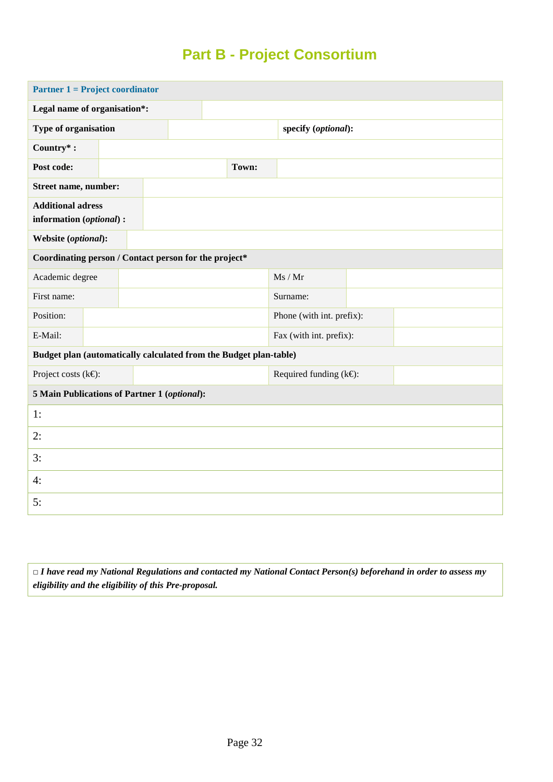## **Part B - Project Consortium**

| <b>Partner 1 = Project coordinator</b>                            |  |  |  |  |       |                              |  |  |  |
|-------------------------------------------------------------------|--|--|--|--|-------|------------------------------|--|--|--|
| Legal name of organisation*:                                      |  |  |  |  |       |                              |  |  |  |
| Type of organisation                                              |  |  |  |  |       | specify (optional):          |  |  |  |
| Country*:                                                         |  |  |  |  |       |                              |  |  |  |
| Post code:                                                        |  |  |  |  | Town: |                              |  |  |  |
| Street name, number:                                              |  |  |  |  |       |                              |  |  |  |
| <b>Additional adress</b><br>information (optional) :              |  |  |  |  |       |                              |  |  |  |
| Website (optional):                                               |  |  |  |  |       |                              |  |  |  |
| Coordinating person / Contact person for the project*             |  |  |  |  |       |                              |  |  |  |
| Academic degree                                                   |  |  |  |  |       | Ms / Mr                      |  |  |  |
| First name:                                                       |  |  |  |  |       | Surname:                     |  |  |  |
| Position:                                                         |  |  |  |  |       | Phone (with int. prefix):    |  |  |  |
| E-Mail:                                                           |  |  |  |  |       | Fax (with int. prefix):      |  |  |  |
| Budget plan (automatically calculated from the Budget plan-table) |  |  |  |  |       |                              |  |  |  |
| Project costs ( $k \in$ ):                                        |  |  |  |  |       | Required funding $(k \in)$ : |  |  |  |
| 5 Main Publications of Partner 1 (optional):                      |  |  |  |  |       |                              |  |  |  |
| 1:                                                                |  |  |  |  |       |                              |  |  |  |
| 2:                                                                |  |  |  |  |       |                              |  |  |  |
| 3:                                                                |  |  |  |  |       |                              |  |  |  |
| 4:                                                                |  |  |  |  |       |                              |  |  |  |
| 5:                                                                |  |  |  |  |       |                              |  |  |  |

**□** *I have read my National Regulations and contacted my National Contact Person(s) beforehand in order to assess my eligibility and the eligibility of this Pre-proposal.*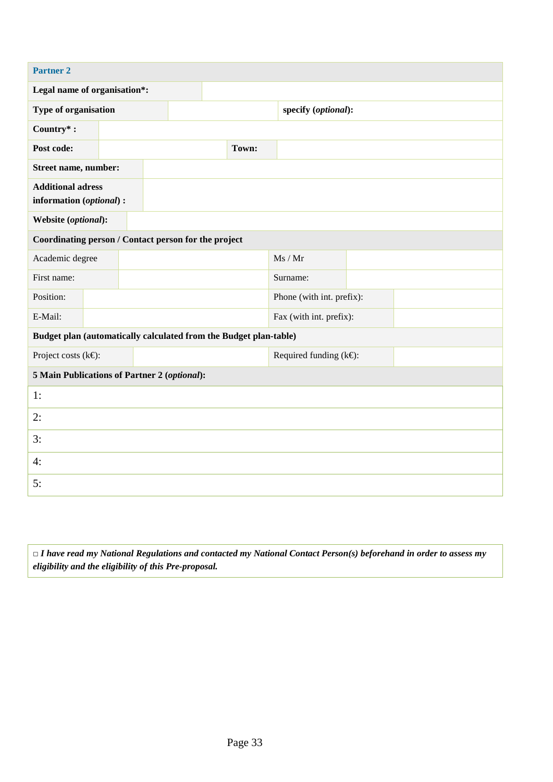| <b>Partner 2</b>                                                  |  |  |  |  |       |                                 |  |  |  |
|-------------------------------------------------------------------|--|--|--|--|-------|---------------------------------|--|--|--|
| Legal name of organisation*:                                      |  |  |  |  |       |                                 |  |  |  |
| Type of organisation                                              |  |  |  |  |       | specify (optional):             |  |  |  |
| Country*:                                                         |  |  |  |  |       |                                 |  |  |  |
| Post code:                                                        |  |  |  |  | Town: |                                 |  |  |  |
| Street name, number:                                              |  |  |  |  |       |                                 |  |  |  |
| <b>Additional adress</b><br>information (optional) :              |  |  |  |  |       |                                 |  |  |  |
| Website (optional):                                               |  |  |  |  |       |                                 |  |  |  |
| Coordinating person / Contact person for the project              |  |  |  |  |       |                                 |  |  |  |
| Academic degree                                                   |  |  |  |  |       | Ms / Mr                         |  |  |  |
| First name:                                                       |  |  |  |  |       | Surname:                        |  |  |  |
| Position:                                                         |  |  |  |  |       | Phone (with int. prefix):       |  |  |  |
| E-Mail:                                                           |  |  |  |  |       | Fax (with int. prefix):         |  |  |  |
| Budget plan (automatically calculated from the Budget plan-table) |  |  |  |  |       |                                 |  |  |  |
| Project costs ( $k \in$ ):                                        |  |  |  |  |       | Required funding $(k \Theta)$ : |  |  |  |
| 5 Main Publications of Partner 2 (optional):                      |  |  |  |  |       |                                 |  |  |  |
| 1:                                                                |  |  |  |  |       |                                 |  |  |  |
| 2:                                                                |  |  |  |  |       |                                 |  |  |  |
| 3:                                                                |  |  |  |  |       |                                 |  |  |  |
| 4:                                                                |  |  |  |  |       |                                 |  |  |  |
| 5:                                                                |  |  |  |  |       |                                 |  |  |  |

**□** *I have read my National Regulations and contacted my National Contact Person(s) beforehand in order to assess my eligibility and the eligibility of this Pre-proposal.*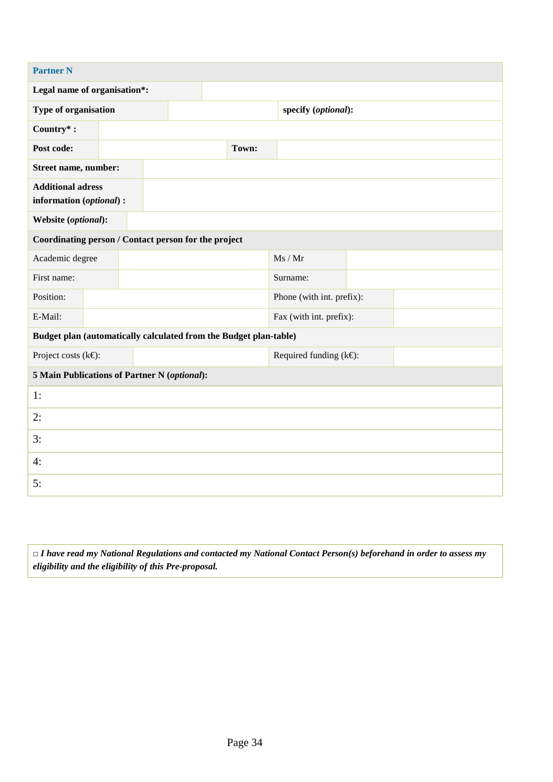| <b>Partner N</b>                                                  |  |  |  |  |       |                                 |  |  |  |
|-------------------------------------------------------------------|--|--|--|--|-------|---------------------------------|--|--|--|
| Legal name of organisation*:                                      |  |  |  |  |       |                                 |  |  |  |
| Type of organisation                                              |  |  |  |  |       | specify (optional):             |  |  |  |
| Country*:                                                         |  |  |  |  |       |                                 |  |  |  |
| Post code:                                                        |  |  |  |  | Town: |                                 |  |  |  |
| Street name, number:                                              |  |  |  |  |       |                                 |  |  |  |
| <b>Additional adress</b><br>information (optional) :              |  |  |  |  |       |                                 |  |  |  |
| Website (optional):                                               |  |  |  |  |       |                                 |  |  |  |
| Coordinating person / Contact person for the project              |  |  |  |  |       |                                 |  |  |  |
| Academic degree                                                   |  |  |  |  |       | Ms / Mr                         |  |  |  |
| First name:                                                       |  |  |  |  |       | Surname:                        |  |  |  |
| Position:                                                         |  |  |  |  |       | Phone (with int. prefix):       |  |  |  |
| E-Mail:                                                           |  |  |  |  |       | Fax (with int. prefix):         |  |  |  |
| Budget plan (automatically calculated from the Budget plan-table) |  |  |  |  |       |                                 |  |  |  |
| Project costs ( $k \in$ ):                                        |  |  |  |  |       | Required funding $(k \Theta)$ : |  |  |  |
| 5 Main Publications of Partner N (optional):                      |  |  |  |  |       |                                 |  |  |  |
| 1:                                                                |  |  |  |  |       |                                 |  |  |  |
| 2:                                                                |  |  |  |  |       |                                 |  |  |  |
| 3:                                                                |  |  |  |  |       |                                 |  |  |  |
| 4:                                                                |  |  |  |  |       |                                 |  |  |  |
| 5:                                                                |  |  |  |  |       |                                 |  |  |  |

**□** *I have read my National Regulations and contacted my National Contact Person(s) beforehand in order to assess my eligibility and the eligibility of this Pre-proposal.*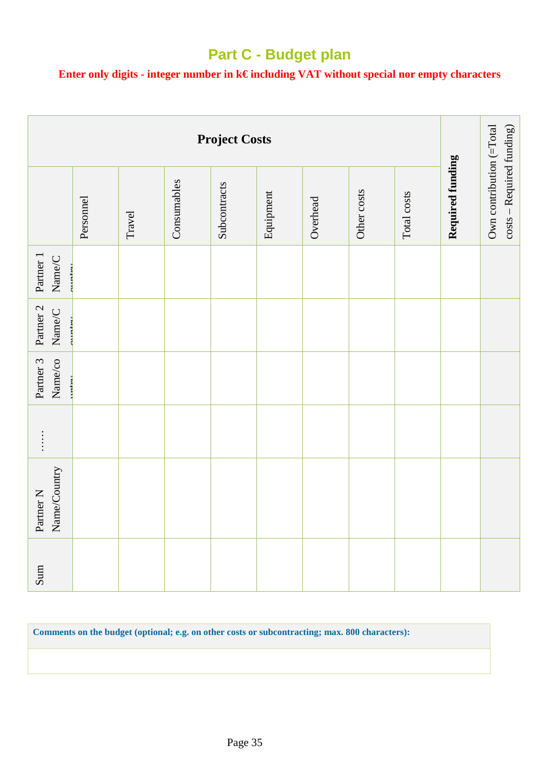## **Part C - Budget plan**

#### **Enter only digits - integer number in k€ including VAT without special nor empty characters**

|                                                                          | <b>Project Costs</b> |        |             |              |           |          |             |             |                  |                                                       |  |
|--------------------------------------------------------------------------|----------------------|--------|-------------|--------------|-----------|----------|-------------|-------------|------------------|-------------------------------------------------------|--|
|                                                                          | Personnel            | Travel | Consumables | Subcontracts | Equipment | Overhead | Other costs | Total costs | Required funding | Own contribution (=Total<br>costs - Required funding) |  |
| Partner 1<br>$\ensuremath{\mathsf{Name}}\xspace/\ensuremath{\mathsf{C}}$ |                      |        |             |              |           |          |             |             |                  |                                                       |  |
| Partner 2<br>$\ensuremath{\mathsf{Name}}\xspace/\ensuremath{\mathsf{C}}$ |                      |        |             |              |           |          |             |             |                  |                                                       |  |
| Partner 3<br>Name/co                                                     |                      |        |             |              |           |          |             |             |                  |                                                       |  |
| $\vdots$                                                                 |                      |        |             |              |           |          |             |             |                  |                                                       |  |
| Name/Country<br>Partner <sub>N</sub>                                     |                      |        |             |              |           |          |             |             |                  |                                                       |  |
| Sum                                                                      |                      |        |             |              |           |          |             |             |                  |                                                       |  |

**Comments on the budget (optional; e.g. on other costs or subcontracting; max. 800 characters):**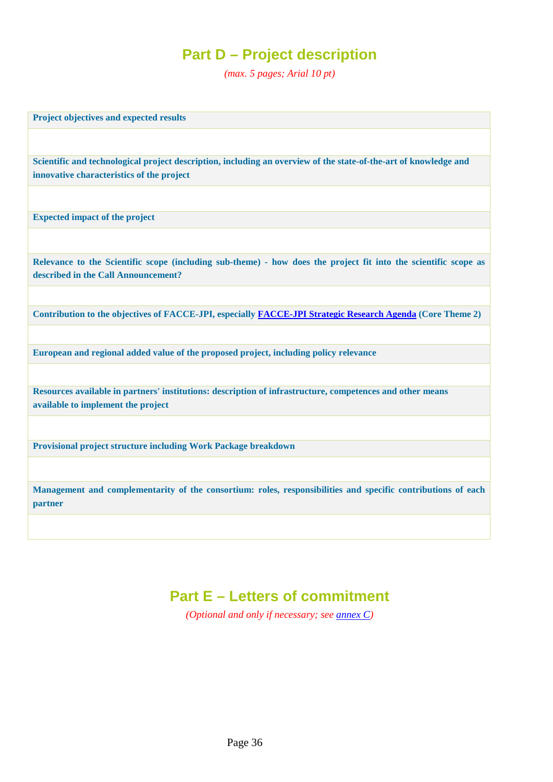## **Part D – Project description**

*(max. 5 pages; Arial 10 pt)*

**Project objectives and expected results**

**Scientific and technological project description, including an overview of the state-of-the-art of knowledge and innovative characteristics of the project**

**Expected impact of the project**

**Relevance to the Scientific scope (including sub-theme) - how does the project fit into the scientific scope as described in the Call Announcement?**

**Contribution to the objectives of FACCE-JPI, especially [FACCE-JPI Strategic Research Agenda](http://www.faccejpi.com/Strategic-Research-Agenda) (Core Theme 2)**

**European and regional added value of the proposed project, including policy relevance**

**Resources available in partners' institutions: description of infrastructure, competences and other means available to implement the project**

**Provisional project structure including Work Package breakdown**

**Management and complementarity of the consortium: roles, responsibilities and specific contributions of each partner**

## **Part E – Letters of commitment**

*(Optional and only if necessary; see [annex C\)](#page-29-0)*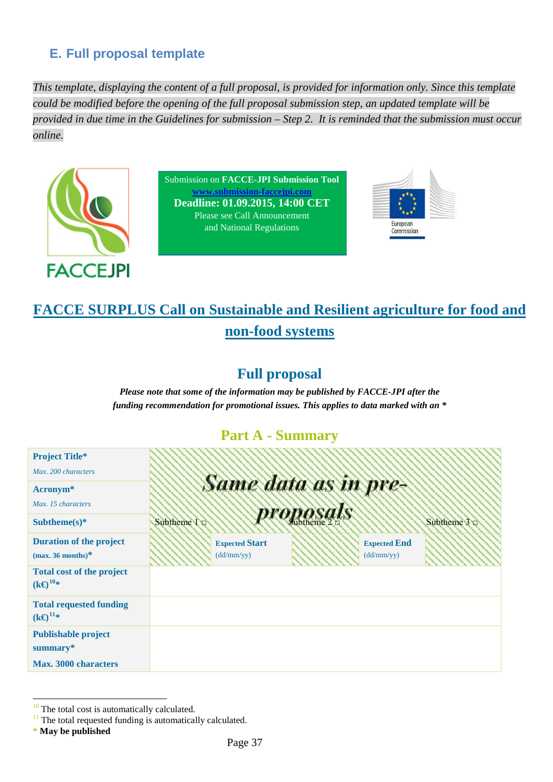# **E. Full proposal template**

*This template, displaying the content of a full proposal, is provided for information only. Since this template could be modified before the opening of the full proposal submission step, an updated template will be provided in due time in the Guidelines for submission – Step 2. It is reminded that the submission must occur online.*



Submission on **FACCE-JPI Submission Tool [www.submission-faccejpi.com](http://www.submission-faccejpi.com/) Deadline: 01.09.2015, 14:00 CET** Please see Call Announcement and National Regulations



# **FACCE SURPLUS Call on Sustainable and Resilient agriculture for food and non-food systems**

# **Full proposal**

*Please note that some of the information may be published by FACCE-JPI after the funding recommendation for promotional issues. This applies to data marked with an \**

# **Part A - Summary**

| <b>Project Title*</b>                                  |                   |                       |           |                     |              |
|--------------------------------------------------------|-------------------|-----------------------|-----------|---------------------|--------------|
| Max. 200 characters                                    |                   |                       |           |                     |              |
| Acronym <sup>*</sup>                                   |                   | Same data as in pre-  |           |                     |              |
| Max. 15 characters                                     |                   |                       |           |                     |              |
| Subtheme(s) $*$                                        | Subtheme $1 \Box$ |                       | proposals |                     | Subtheme 3 D |
| <b>Duration of the project</b>                         |                   | <b>Expected Start</b> |           | <b>Expected End</b> |              |
| $(max. 36 months)^*$                                   |                   | (dd/mm/yy)            |           | (dd/mm/yy)          |              |
| <b>Total cost of the project</b><br>$(k \Theta^{10*})$ |                   |                       |           |                     |              |
| <b>Total requested funding</b><br>$(k \Theta^{11*})$   |                   |                       |           |                     |              |
| <b>Publishable project</b>                             |                   |                       |           |                     |              |
| summary*                                               |                   |                       |           |                     |              |
| <b>Max. 3000 characters</b>                            |                   |                       |           |                     |              |

<span id="page-36-0"></span> $10$  The total cost is automatically calculated.

<span id="page-36-1"></span> $11$  The total requested funding is automatically calculated.

**<sup>\*</sup> May be published**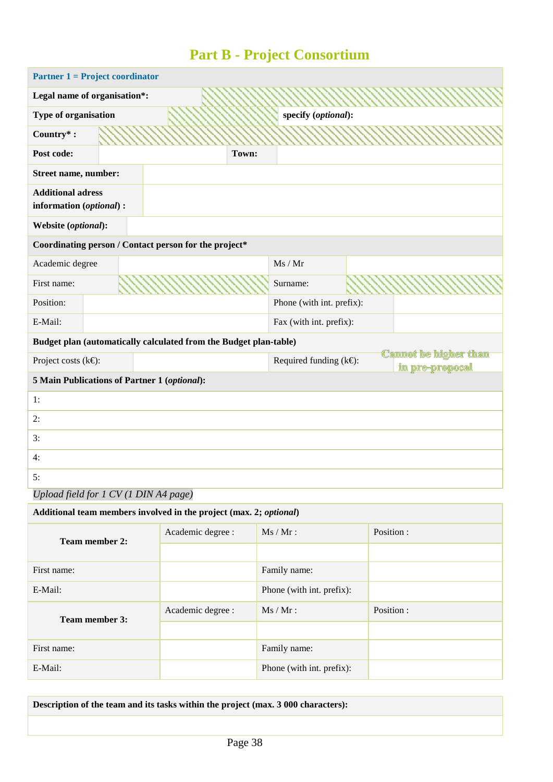# **Part B - Project Consortium**

| <b>Partner 1 = Project coordinator</b>               |                                                                   |       |                                 |  |                                                 |
|------------------------------------------------------|-------------------------------------------------------------------|-------|---------------------------------|--|-------------------------------------------------|
| Legal name of organisation*:                         |                                                                   |       |                                 |  |                                                 |
| Type of organisation                                 |                                                                   |       | specify (optional):             |  |                                                 |
| Country*:                                            |                                                                   |       |                                 |  |                                                 |
| Post code:                                           |                                                                   | Town: |                                 |  |                                                 |
| Street name, number:                                 |                                                                   |       |                                 |  |                                                 |
| <b>Additional adress</b><br>information (optional) : |                                                                   |       |                                 |  |                                                 |
| Website (optional):                                  |                                                                   |       |                                 |  |                                                 |
|                                                      | Coordinating person / Contact person for the project*             |       |                                 |  |                                                 |
| Academic degree                                      |                                                                   |       | Ms / Mr                         |  |                                                 |
| First name:                                          |                                                                   |       | Surname:                        |  |                                                 |
| Position:                                            |                                                                   |       | Phone (with int. prefix):       |  |                                                 |
| E-Mail:                                              |                                                                   |       | Fax (with int. prefix):         |  |                                                 |
|                                                      | Budget plan (automatically calculated from the Budget plan-table) |       |                                 |  |                                                 |
| Project costs ( $k \in \mathbb{C}$ ):                |                                                                   |       | Required funding $(k \oplus)$ : |  | <b>Cannot be higher than</b><br>in pre-proposal |
| 5 Main Publications of Partner 1 (optional):         |                                                                   |       |                                 |  |                                                 |
| 1:                                                   |                                                                   |       |                                 |  |                                                 |
| 2:                                                   |                                                                   |       |                                 |  |                                                 |
| 3:                                                   |                                                                   |       |                                 |  |                                                 |
| 4:                                                   |                                                                   |       |                                 |  |                                                 |
| 5:                                                   |                                                                   |       |                                 |  |                                                 |

*Upload field for 1 CV (1 DIN A4 page)*

| Additional team members involved in the project (max. 2; optional) |                                |                           |            |  |  |  |  |
|--------------------------------------------------------------------|--------------------------------|---------------------------|------------|--|--|--|--|
| <b>Team member 2:</b>                                              | $Ms/Mr$ :<br>Academic degree : |                           | Position : |  |  |  |  |
|                                                                    |                                |                           |            |  |  |  |  |
| First name:<br>Family name:                                        |                                |                           |            |  |  |  |  |
| E-Mail:                                                            |                                | Phone (with int. prefix): |            |  |  |  |  |
| <b>Team member 3:</b>                                              | Academic degree :              | $Ms / Mr$ :               | Position:  |  |  |  |  |
|                                                                    |                                |                           |            |  |  |  |  |
| First name:                                                        |                                | Family name:              |            |  |  |  |  |
| E-Mail:                                                            |                                | Phone (with int. prefix): |            |  |  |  |  |

**Description of the team and its tasks within the project (max. 3 000 characters):**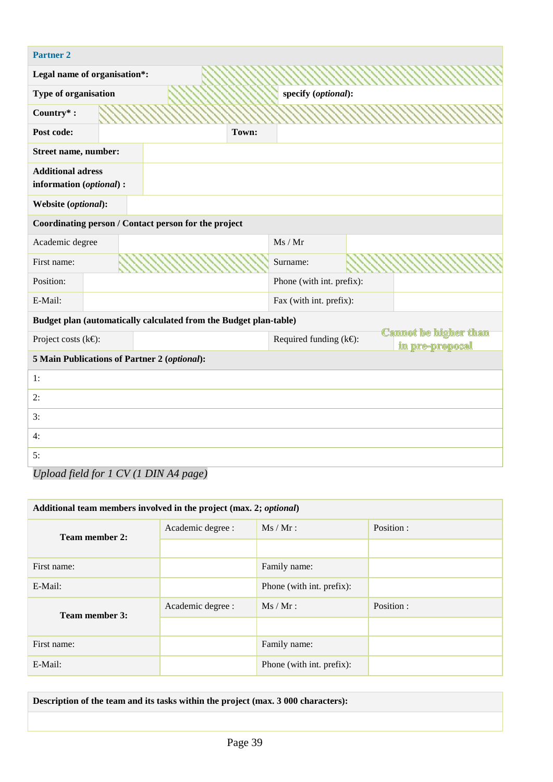| <b>Partner 2</b>                                                    |       |                                         |  |                                                 |
|---------------------------------------------------------------------|-------|-----------------------------------------|--|-------------------------------------------------|
| Legal name of organisation*:                                        |       |                                         |  |                                                 |
| Type of organisation                                                |       | specify (optional):                     |  |                                                 |
| Country*:                                                           |       |                                         |  |                                                 |
| Post code:                                                          | Town: |                                         |  |                                                 |
| Street name, number:                                                |       |                                         |  |                                                 |
| <b>Additional adress</b><br>information (optional) :                |       |                                         |  |                                                 |
| Website (optional):                                                 |       |                                         |  |                                                 |
| Coordinating person / Contact person for the project                |       |                                         |  |                                                 |
| Academic degree                                                     |       | Ms / Mr                                 |  |                                                 |
| First name:                                                         |       | Surname:                                |  |                                                 |
| Position:                                                           |       | Phone (with int. prefix):               |  |                                                 |
| E-Mail:                                                             |       | Fax (with int. prefix):                 |  |                                                 |
| Budget plan (automatically calculated from the Budget plan-table)   |       |                                         |  |                                                 |
| Project costs ( $k \in$ ):                                          |       | Required funding $(k \in \mathbb{R})$ : |  | <b>Cannot be higher than</b><br>in pre-proposal |
| 5 Main Publications of Partner 2 (optional):                        |       |                                         |  |                                                 |
| 1:                                                                  |       |                                         |  |                                                 |
| 2:                                                                  |       |                                         |  |                                                 |
| 3:                                                                  |       |                                         |  |                                                 |
| 4:                                                                  |       |                                         |  |                                                 |
| 5:<br>$\overline{1}$ a $\overline{1}$ $\overline{1}$ $\overline{2}$ |       |                                         |  |                                                 |

| Upload field for 1 CV (1 DIN A4 page) |  |  |
|---------------------------------------|--|--|
|---------------------------------------|--|--|

| Additional team members involved in the project (max. 2; optional) |                   |                           |            |  |  |  |
|--------------------------------------------------------------------|-------------------|---------------------------|------------|--|--|--|
| <b>Team member 2:</b>                                              | Academic degree : | $Ms / Mr$ :               | Position : |  |  |  |
|                                                                    |                   |                           |            |  |  |  |
| First name:                                                        | Family name:      |                           |            |  |  |  |
| E-Mail:                                                            |                   | Phone (with int. prefix): |            |  |  |  |
| <b>Team member 3:</b>                                              | Academic degree : | $Ms / Mr$ :               | Position : |  |  |  |
|                                                                    |                   |                           |            |  |  |  |
| First name:                                                        |                   | Family name:              |            |  |  |  |
| E-Mail:                                                            |                   | Phone (with int. prefix): |            |  |  |  |

**Description of the team and its tasks within the project (max. 3 000 characters):**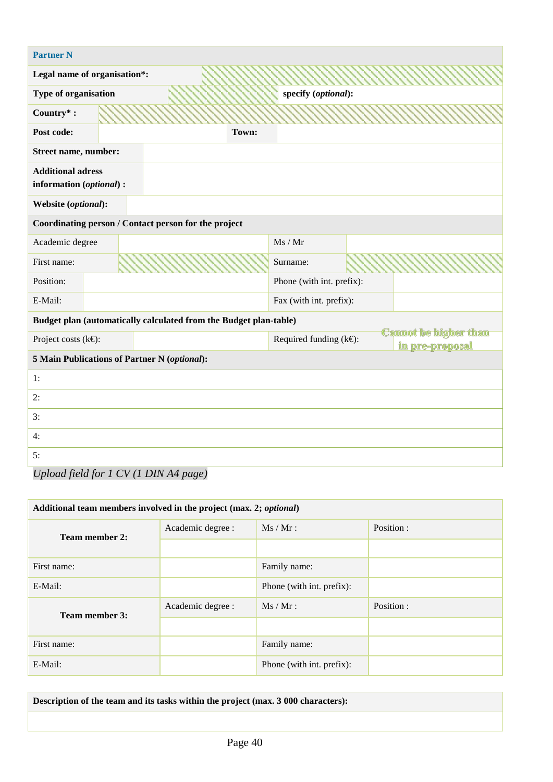| <b>Partner N</b>                                                    |       |                                 |  |                                                 |
|---------------------------------------------------------------------|-------|---------------------------------|--|-------------------------------------------------|
| Legal name of organisation*:                                        |       |                                 |  |                                                 |
| Type of organisation                                                |       | specify (optional):             |  |                                                 |
| Country*:                                                           |       |                                 |  |                                                 |
| Post code:                                                          | Town: |                                 |  |                                                 |
| Street name, number:                                                |       |                                 |  |                                                 |
| <b>Additional adress</b><br>information (optional) :                |       |                                 |  |                                                 |
| Website (optional):                                                 |       |                                 |  |                                                 |
| Coordinating person / Contact person for the project                |       |                                 |  |                                                 |
| Academic degree                                                     |       | Ms / Mr                         |  |                                                 |
| First name:                                                         |       | Surname:                        |  |                                                 |
| Position:                                                           |       | Phone (with int. prefix):       |  |                                                 |
| E-Mail:                                                             |       | Fax (with int. prefix):         |  |                                                 |
| Budget plan (automatically calculated from the Budget plan-table)   |       |                                 |  |                                                 |
| Project costs ( $k \in \mathbb{C}$ ):                               |       | Required funding $(k \oplus)$ : |  | <b>Cannot be higher than</b><br>in pre-proposal |
| 5 Main Publications of Partner N (optional):                        |       |                                 |  |                                                 |
| 1:                                                                  |       |                                 |  |                                                 |
| 2:                                                                  |       |                                 |  |                                                 |
| 3:                                                                  |       |                                 |  |                                                 |
| 4:                                                                  |       |                                 |  |                                                 |
| 5:<br>$\overline{1}$ a $\overline{1}$ $\overline{1}$ $\overline{2}$ |       |                                 |  |                                                 |

| Upload field for 1 CV (1 DIN A4 page) |  |  |  |
|---------------------------------------|--|--|--|
|---------------------------------------|--|--|--|

| Additional team members involved in the project (max. 2; optional) |                   |                           |            |  |  |  |
|--------------------------------------------------------------------|-------------------|---------------------------|------------|--|--|--|
| <b>Team member 2:</b>                                              | Academic degree : | $Ms / Mr$ :               | Position : |  |  |  |
|                                                                    |                   |                           |            |  |  |  |
| First name:                                                        | Family name:      |                           |            |  |  |  |
| E-Mail:                                                            |                   | Phone (with int. prefix): |            |  |  |  |
| <b>Team member 3:</b>                                              | Academic degree : | $Ms / Mr$ :               | Position : |  |  |  |
|                                                                    |                   |                           |            |  |  |  |
| First name:                                                        |                   | Family name:              |            |  |  |  |
| E-Mail:                                                            |                   | Phone (with int. prefix): |            |  |  |  |

**Description of the team and its tasks within the project (max. 3 000 characters):**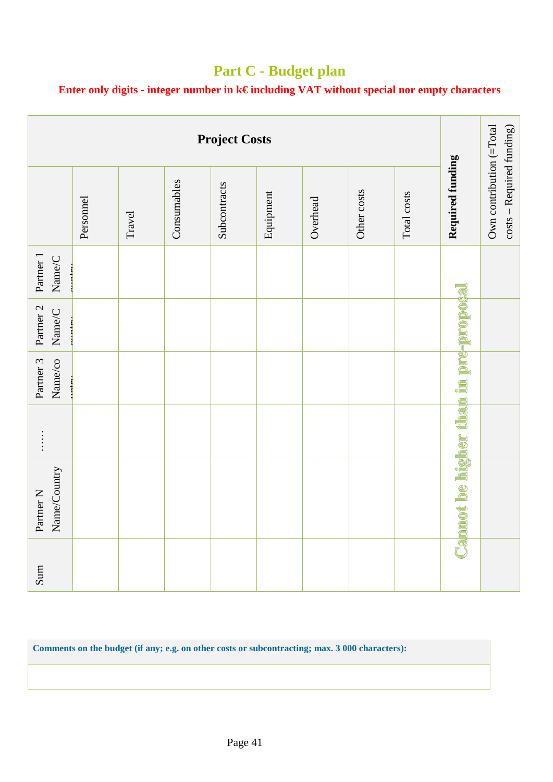# **Part C - Budget plan**

**Enter only digits - integer number in k€ including VAT without special nor empty characters**

| <b>Project Costs</b>                                      |           |        |             |              |           |          |             |             |                                              |                                                       |
|-----------------------------------------------------------|-----------|--------|-------------|--------------|-----------|----------|-------------|-------------|----------------------------------------------|-------------------------------------------------------|
|                                                           | Personnel | Travel | Consumables | Subcontracts | Equipment | Overhead | Other costs | Total costs | Required funding                             | Own contribution (=Total<br>costs - Required funding) |
| Partner 1<br>Name/C                                       |           |        |             |              |           |          |             |             |                                              |                                                       |
| Partner <sub>2</sub><br>Name/C                            |           |        |             |              |           |          |             |             |                                              |                                                       |
| Partner 3<br>Name/co                                      |           |        |             |              |           |          |             |             |                                              |                                                       |
| $\begin{array}{c} \vdots \\ \vdots \\ \vdots \end{array}$ |           |        |             |              |           |          |             |             |                                              |                                                       |
| Name/Country<br>Partner <sub>N</sub>                      |           |        |             |              |           |          |             |             | <b>Cannot be higher than in pre-proposal</b> |                                                       |
| Sum                                                       |           |        |             |              |           |          |             |             |                                              |                                                       |

**Comments on the budget (if any; e.g. on other costs or subcontracting; max. 3 000 characters):**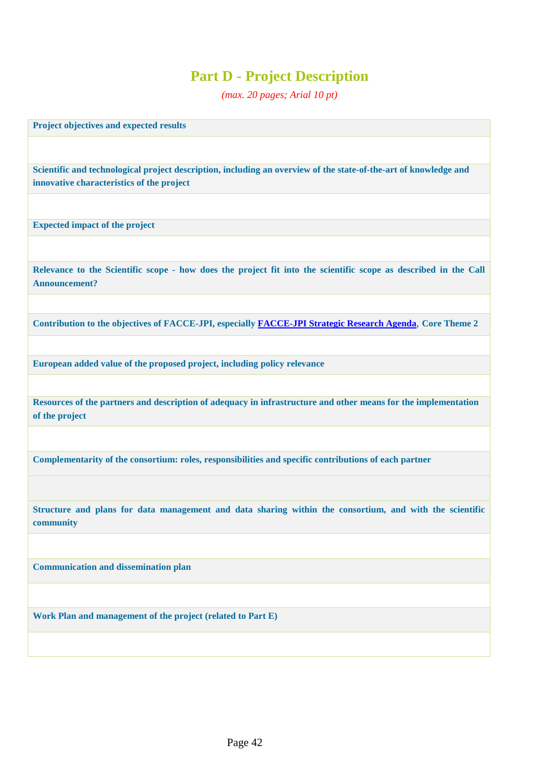# **Part D - Project Description**

*(max. 20 pages; Arial 10 pt)*

**Project objectives and expected results**

**Scientific and technological project description, including an overview of the state-of-the-art of knowledge and innovative characteristics of the project**

**Expected impact of the project**

**Relevance to the Scientific scope - how does the project fit into the scientific scope as described in the Call Announcement?**

**Contribution to the objectives of FACCE-JPI, especially [FACCE-JPI Strategic Research Agenda](http://www.faccejpi.com/Strategic-Research-Agenda)**, **Core Theme 2**

**European added value of the proposed project, including policy relevance**

**Resources of the partners and description of adequacy in infrastructure and other means for the implementation of the project**

**Complementarity of the consortium: roles, responsibilities and specific contributions of each partner**

**Structure and plans for data management and data sharing within the consortium, and with the scientific community**

**Communication and dissemination plan**

**Work Plan and management of the project (related to Part E)**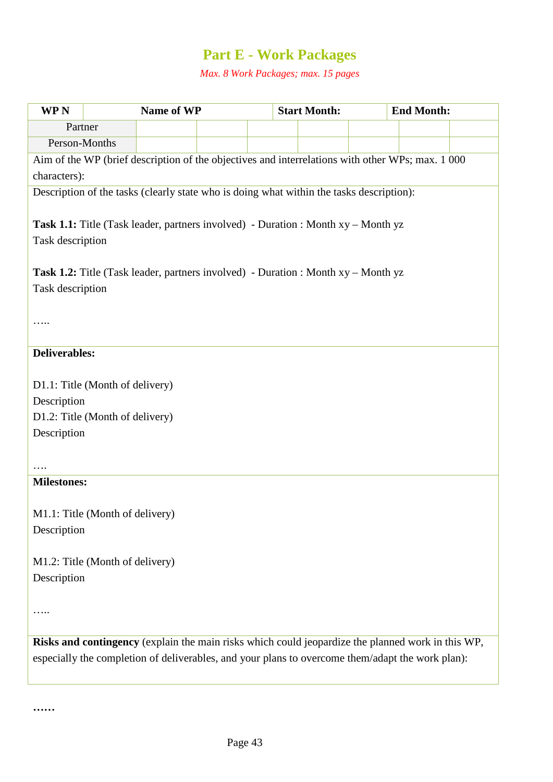# **Part E - Work Packages**

*Max. 8 Work Packages; max. 15 pages*

| <b>WPN</b>                      | Name of WP                                                                               |  | <b>Start Month:</b> | <b>End Month:</b>                                                                                 |  |
|---------------------------------|------------------------------------------------------------------------------------------|--|---------------------|---------------------------------------------------------------------------------------------------|--|
| Partner                         |                                                                                          |  |                     |                                                                                                   |  |
| Person-Months                   |                                                                                          |  |                     |                                                                                                   |  |
|                                 |                                                                                          |  |                     | Aim of the WP (brief description of the objectives and interrelations with other WPs; max. 1 000  |  |
| characters):                    |                                                                                          |  |                     |                                                                                                   |  |
|                                 | Description of the tasks (clearly state who is doing what within the tasks description): |  |                     |                                                                                                   |  |
|                                 |                                                                                          |  |                     |                                                                                                   |  |
|                                 | <b>Task 1.1:</b> Title (Task leader, partners involved) - Duration : Month xy – Month yz |  |                     |                                                                                                   |  |
| Task description                |                                                                                          |  |                     |                                                                                                   |  |
|                                 |                                                                                          |  |                     |                                                                                                   |  |
|                                 | <b>Task 1.2:</b> Title (Task leader, partners involved) - Duration : Month xy – Month yz |  |                     |                                                                                                   |  |
| Task description                |                                                                                          |  |                     |                                                                                                   |  |
|                                 |                                                                                          |  |                     |                                                                                                   |  |
|                                 |                                                                                          |  |                     |                                                                                                   |  |
|                                 |                                                                                          |  |                     |                                                                                                   |  |
| <b>Deliverables:</b>            |                                                                                          |  |                     |                                                                                                   |  |
|                                 |                                                                                          |  |                     |                                                                                                   |  |
| D1.1: Title (Month of delivery) |                                                                                          |  |                     |                                                                                                   |  |
| Description                     |                                                                                          |  |                     |                                                                                                   |  |
| D1.2: Title (Month of delivery) |                                                                                          |  |                     |                                                                                                   |  |
| Description                     |                                                                                          |  |                     |                                                                                                   |  |
|                                 |                                                                                          |  |                     |                                                                                                   |  |
|                                 |                                                                                          |  |                     |                                                                                                   |  |
| <b>Milestones:</b>              |                                                                                          |  |                     |                                                                                                   |  |
|                                 |                                                                                          |  |                     |                                                                                                   |  |
| M1.1: Title (Month of delivery) |                                                                                          |  |                     |                                                                                                   |  |
| Description                     |                                                                                          |  |                     |                                                                                                   |  |
| M1.2: Title (Month of delivery) |                                                                                          |  |                     |                                                                                                   |  |
|                                 |                                                                                          |  |                     |                                                                                                   |  |
| Description                     |                                                                                          |  |                     |                                                                                                   |  |
|                                 |                                                                                          |  |                     |                                                                                                   |  |
|                                 |                                                                                          |  |                     |                                                                                                   |  |
|                                 |                                                                                          |  |                     | Risks and contingency (explain the main risks which could jeopardize the planned work in this WP, |  |
|                                 |                                                                                          |  |                     | especially the completion of deliverables, and your plans to overcome them/adapt the work plan):  |  |
|                                 |                                                                                          |  |                     |                                                                                                   |  |
|                                 |                                                                                          |  |                     |                                                                                                   |  |

**……**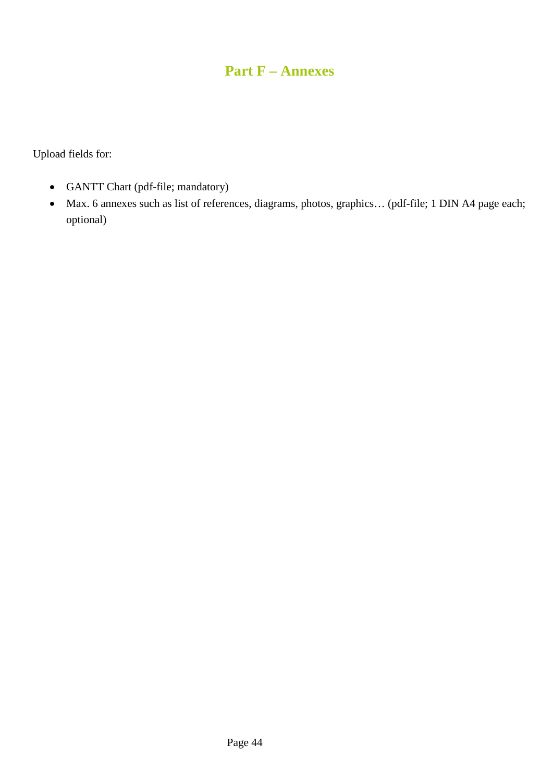# **Part F – Annexes**

Upload fields for:

- GANTT Chart (pdf-file; mandatory)
- Max. 6 annexes such as list of references, diagrams, photos, graphics… (pdf-file; 1 DIN A4 page each; optional)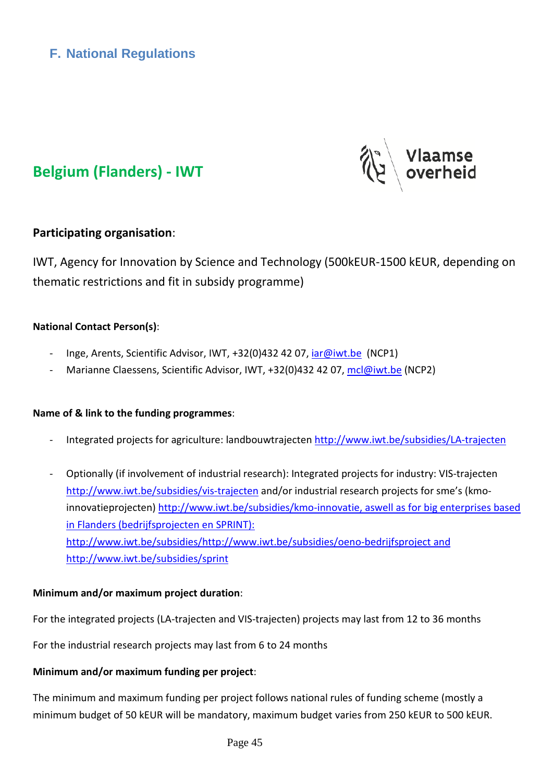



# **Belgium (Flanders) - IWT**

# **Participating organisation**:

IWT, Agency for Innovation by Science and Technology (500kEUR-1500 kEUR, depending on thematic restrictions and fit in subsidy programme)

# **National Contact Person(s)**:

- Inge, Arents, Scientific Advisor, IWT, +32(0)432 42 07, [iar@iwt.be](mailto:iar@iwt.be) (NCP1)
- Marianne Claessens, Scientific Advisor, IWT, +32(0)432 42 07, [mcl@iwt.be](mailto:mcl@iwt.be) (NCP2)

#### **Name of & link to the funding programmes**:

- Integrated projects for agriculture: landbouwtrajecten<http://www.iwt.be/subsidies/LA-trajecten>
- Optionally (if involvement of industrial research): Integrated projects for industry: VIS-trajecten <http://www.iwt.be/subsidies/vis-trajecten> and/or industrial research projects for sme's (kmoinnovatieprojecten) [http://www.iwt.be/subsidies/kmo-innovatie,](http://www.iwt.be/subsidies/kmo-innovatie) aswell as for big enterprises based in Flanders (bedrijfsprojecten en SPRINT): [http://www.iwt.be/subsidies/http://www.iwt.be/subsidies/oeno-bedrijfsproject](http://www.iwt.be/subsidies/http:/www.iwt.be/subsidies/oeno-bedrijfsproject) and http://www.iwt.be/subsidies/sprint

#### **Minimum and/or maximum project duration**:

For the integrated projects (LA-trajecten and VIS-trajecten) projects may last from 12 to 36 months

For the industrial research projects may last from 6 to 24 months

#### **Minimum and/or maximum funding per project**:

The minimum and maximum funding per project follows national rules of funding scheme (mostly a minimum budget of 50 kEUR will be mandatory, maximum budget varies from 250 kEUR to 500 kEUR.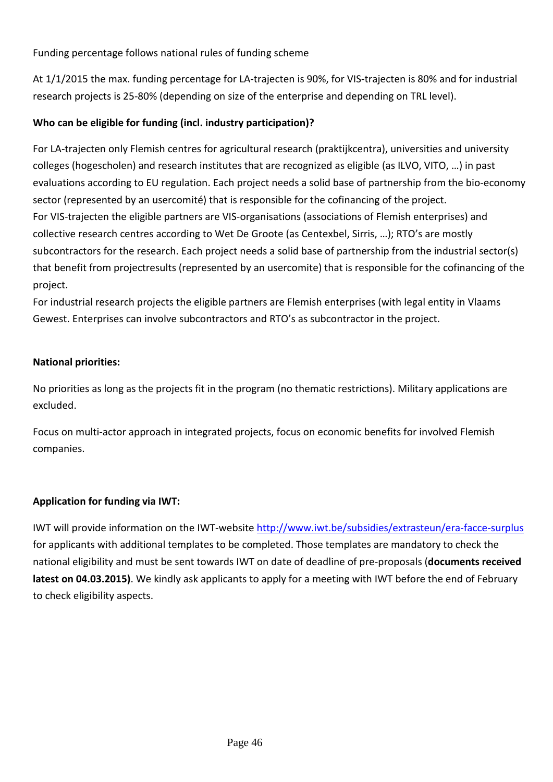Funding percentage follows national rules of funding scheme

At 1/1/2015 the max. funding percentage for LA-trajecten is 90%, for VIS-trajecten is 80% and for industrial research projects is 25-80% (depending on size of the enterprise and depending on TRL level).

# **Who can be eligible for funding (incl. industry participation)?**

For LA-trajecten only Flemish centres for agricultural research (praktijkcentra), universities and university colleges (hogescholen) and research institutes that are recognized as eligible (as ILVO, VITO, …) in past evaluations according to EU regulation. Each project needs a solid base of partnership from the bio-economy sector (represented by an usercomité) that is responsible for the cofinancing of the project. For VIS-trajecten the eligible partners are VIS-organisations (associations of Flemish enterprises) and collective research centres according to Wet De Groote (as Centexbel, Sirris, …); RTO's are mostly subcontractors for the research. Each project needs a solid base of partnership from the industrial sector(s) that benefit from projectresults (represented by an usercomite) that is responsible for the cofinancing of the project.

For industrial research projects the eligible partners are Flemish enterprises (with legal entity in Vlaams Gewest. Enterprises can involve subcontractors and RTO's as subcontractor in the project.

# **National priorities:**

No priorities as long as the projects fit in the program (no thematic restrictions). Military applications are excluded.

Focus on multi-actor approach in integrated projects, focus on economic benefits for involved Flemish companies.

# **Application for funding via IWT:**

IWT will provide information on the IWT-website<http://www.iwt.be/subsidies/extrasteun/era-facce-surplus> for applicants with additional templates to be completed. Those templates are mandatory to check the national eligibility and must be sent towards IWT on date of deadline of pre-proposals (**documents received latest on 04.03.2015)**. We kindly ask applicants to apply for a meeting with IWT before the end of February to check eligibility aspects.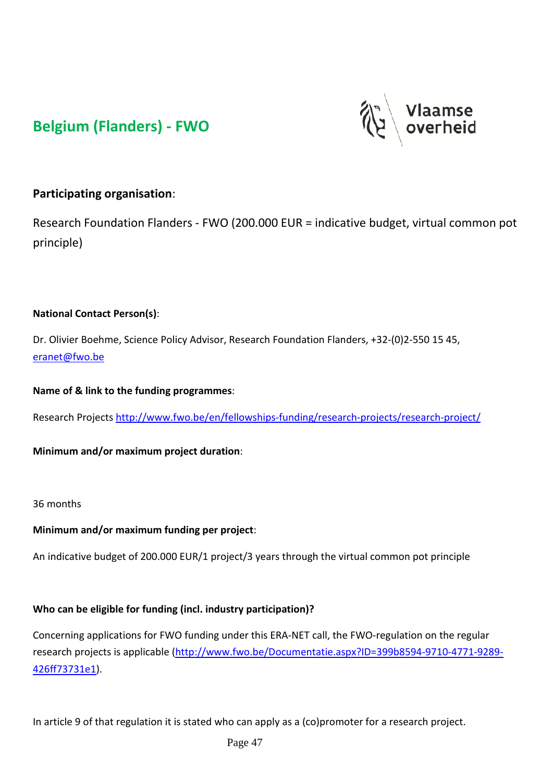# **Belgium (Flanders) - FWO**



# **Participating organisation**:

Research Foundation Flanders - FWO (200.000 EUR = indicative budget, virtual common pot principle)

### **National Contact Person(s)**:

Dr. Olivier Boehme, Science Policy Advisor, Research Foundation Flanders, +32-(0)2-550 15 45, [eranet@fwo.be](mailto:eranet@fwo.be)

**Name of & link to the funding programmes**:

Research Project[s http://www.fwo.be/en/fellowships-funding/research-projects/research-project/](http://www.fwo.be/en/fellowships-funding/research-projects/research-project/)

**Minimum and/or maximum project duration**:

#### 36 months

#### **Minimum and/or maximum funding per project**:

An indicative budget of 200.000 EUR/1 project/3 years through the virtual common pot principle

#### **Who can be eligible for funding (incl. industry participation)?**

Concerning applications for FWO funding under this ERA-NET call, the FWO-regulation on the regular research projects is applicable [\(http://www.fwo.be/Documentatie.aspx?ID=399b8594-9710-4771-9289-](http://www.fwo.be/Documentatie.aspx?ID=399b8594-9710-4771-9289-426ff73731e1) [426ff73731e1\)](http://www.fwo.be/Documentatie.aspx?ID=399b8594-9710-4771-9289-426ff73731e1).

In article 9 of that regulation it is stated who can apply as a (co)promoter for a research project.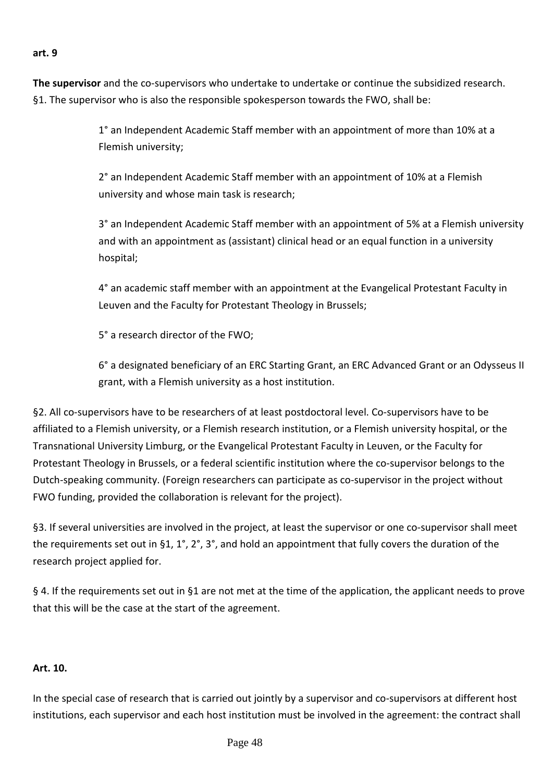#### **art. 9**

**The supervisor** and the co-supervisors who undertake to undertake or continue the subsidized research. §1. The supervisor who is also the responsible spokesperson towards the FWO, shall be:

> 1° an Independent Academic Staff member with an appointment of more than 10% at a Flemish university;

2° an Independent Academic Staff member with an appointment of 10% at a Flemish university and whose main task is research;

3° an Independent Academic Staff member with an appointment of 5% at a Flemish university and with an appointment as (assistant) clinical head or an equal function in a university hospital;

4° an academic staff member with an appointment at the Evangelical Protestant Faculty in Leuven and the Faculty for Protestant Theology in Brussels;

5° a research director of the FWO;

6° a designated beneficiary of an ERC Starting Grant, an ERC Advanced Grant or an Odysseus II grant, with a Flemish university as a host institution.

§2. All co-supervisors have to be researchers of at least postdoctoral level. Co-supervisors have to be affiliated to a Flemish university, or a Flemish research institution, or a Flemish university hospital, or the Transnational University Limburg, or the Evangelical Protestant Faculty in Leuven, or the Faculty for Protestant Theology in Brussels, or a federal scientific institution where the co-supervisor belongs to the Dutch-speaking community. (Foreign researchers can participate as co-supervisor in the project without FWO funding, provided the collaboration is relevant for the project).

§3. If several universities are involved in the project, at least the supervisor or one co-supervisor shall meet the requirements set out in §1, 1°, 2°, 3°, and hold an appointment that fully covers the duration of the research project applied for.

§ 4. If the requirements set out in §1 are not met at the time of the application, the applicant needs to prove that this will be the case at the start of the agreement.

#### **Art. 10.**

In the special case of research that is carried out jointly by a supervisor and co-supervisors at different host institutions, each supervisor and each host institution must be involved in the agreement: the contract shall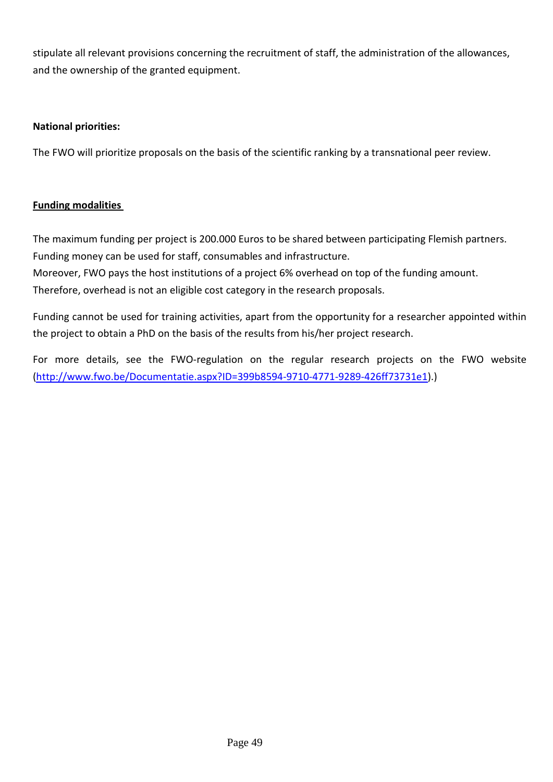stipulate all relevant provisions concerning the recruitment of staff, the administration of the allowances, and the ownership of the granted equipment.

### **National priorities:**

The FWO will prioritize proposals on the basis of the scientific ranking by a transnational peer review.

### **Funding modalities**

The maximum funding per project is 200.000 Euros to be shared between participating Flemish partners. Funding money can be used for staff, consumables and infrastructure.

Moreover, FWO pays the host institutions of a project 6% overhead on top of the funding amount.

Therefore, overhead is not an eligible cost category in the research proposals.

Funding cannot be used for training activities, apart from the opportunity for a researcher appointed within the project to obtain a PhD on the basis of the results from his/her project research.

For more details, see the FWO-regulation on the regular research projects on the FWO website [\(http://www.fwo.be/Documentatie.aspx?ID=399b8594-9710-4771-9289-426ff73731e1\)](http://www.fwo.be/Documentatie.aspx?ID=399b8594-9710-4771-9289-426ff73731e1).)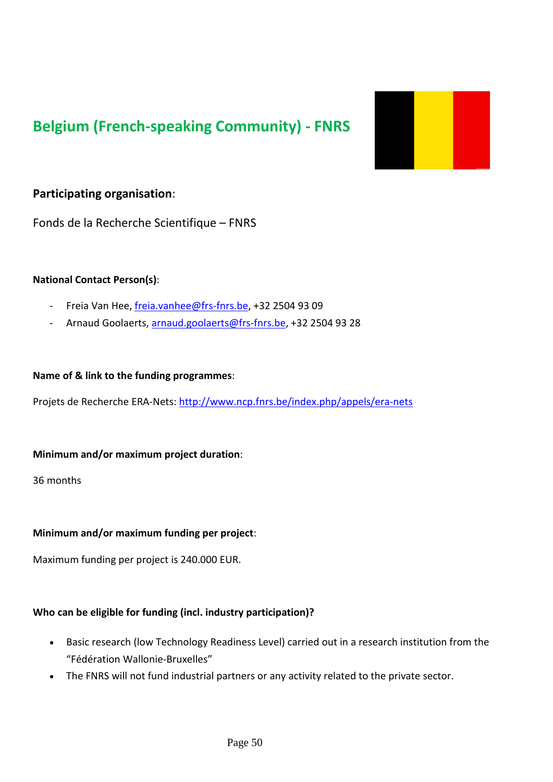# **Belgium (French-speaking Community) - FNRS**



# **Participating organisation**:

Fonds de la Recherche Scientifique – FNRS

#### **National Contact Person(s)**:

- Freia Van Hee, [freia.vanhee@frs-fnrs.be,](mailto:freia.vanhee@frs-fnrs.be) +32 2504 93 09
- Arnaud Goolaerts, [arnaud.goolaerts@frs-fnrs.be,](mailto:arnaud.goolaerts@frs-fnrs.be) +32 2504 93 28

#### **Name of & link to the funding programmes**:

Projets de Recherche ERA-Nets:<http://www.ncp.fnrs.be/index.php/appels/era-nets>

#### **Minimum and/or maximum project duration**:

36 months

#### **Minimum and/or maximum funding per project**:

Maximum funding per project is 240.000 EUR.

#### **Who can be eligible for funding (incl. industry participation)?**

- Basic research (low Technology Readiness Level) carried out in a research institution from the "Fédération Wallonie-Bruxelles"
- The FNRS will not fund industrial partners or any activity related to the private sector.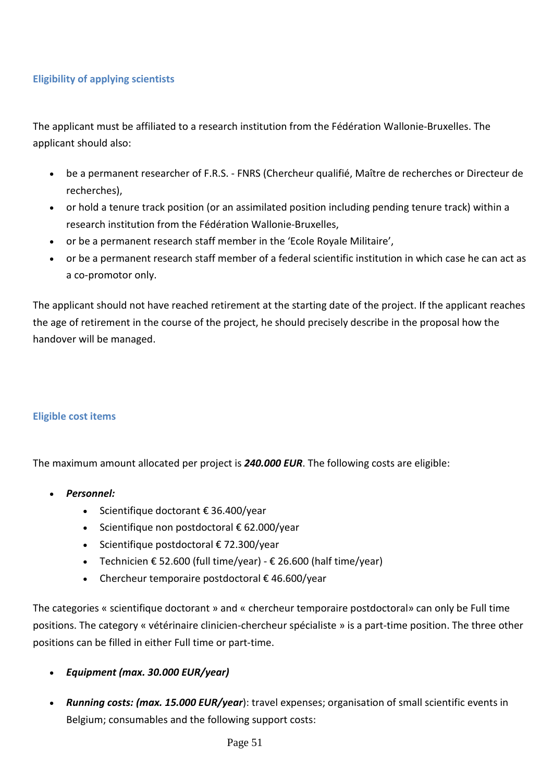# **Eligibility of applying scientists**

The applicant must be affiliated to a research institution from the Fédération Wallonie-Bruxelles. The applicant should also:

- be a permanent researcher of F.R.S. FNRS (Chercheur qualifié, Maître de recherches or Directeur de recherches),
- or hold a tenure track position (or an assimilated position including pending tenure track) within a research institution from the Fédération Wallonie-Bruxelles,
- or be a permanent research staff member in the 'Ecole Royale Militaire',
- or be a permanent research staff member of a federal scientific institution in which case he can act as a co-promotor only.

The applicant should not have reached retirement at the starting date of the project. If the applicant reaches the age of retirement in the course of the project, he should precisely describe in the proposal how the handover will be managed.

#### **Eligible cost items**

The maximum amount allocated per project is *240.000 EUR*. The following costs are eligible:

- *Personnel:*
	- Scientifique doctorant € 36.400/year
	- Scientifique non postdoctoral € 62.000/year
	- Scientifique postdoctoral € 72.300/year
	- Technicien  $\epsilon$  52.600 (full time/year)  $\epsilon$  26.600 (half time/year)
	- Chercheur temporaire postdoctoral  $\epsilon$  46.600/year

The categories « scientifique doctorant » and « chercheur temporaire postdoctoral» can only be Full time positions. The category « vétérinaire clinicien-chercheur spécialiste » is a part-time position. The three other positions can be filled in either Full time or part-time.

- *Equipment (max. 30.000 EUR/year)*
- *Running costs: (max. 15.000 EUR/year*): travel expenses; organisation of small scientific events in Belgium; consumables and the following support costs: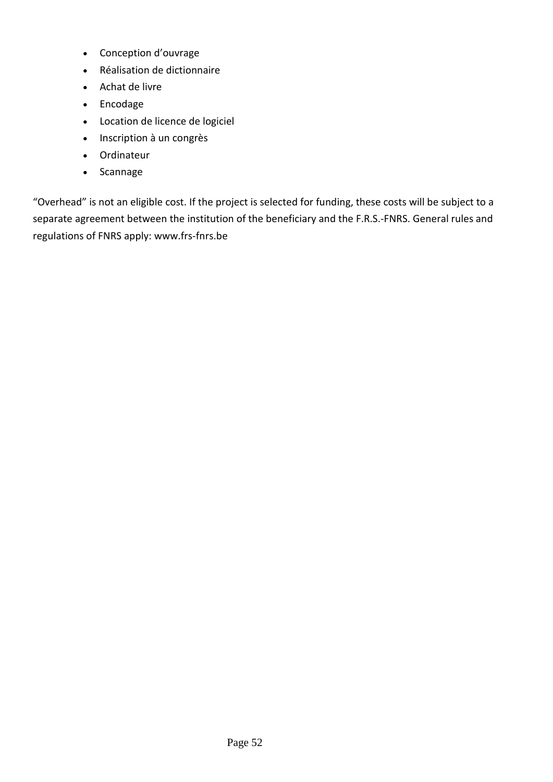- Conception d'ouvrage
- Réalisation de dictionnaire
- Achat de livre
- Encodage
- Location de licence de logiciel
- Inscription à un congrès
- Ordinateur
- Scannage

"Overhead" is not an eligible cost. If the project is selected for funding, these costs will be subject to a separate agreement between the institution of the beneficiary and the F.R.S.-FNRS. General rules and regulations of FNRS apply: www.frs-fnrs.be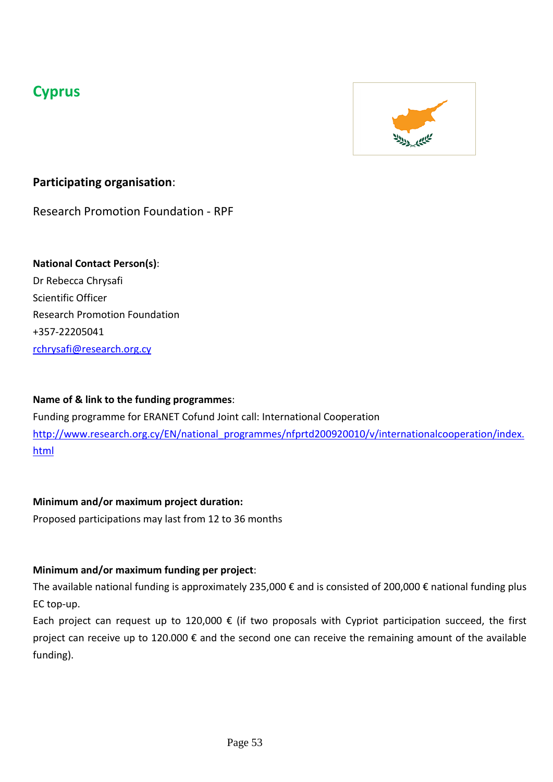# **Cyprus**



# **Participating organisation**:

Research Promotion Foundation - RPF

# **National Contact Person(s)**:

Dr Rebecca Chrysafi Scientific Officer Research Promotion Foundation +357-22205041 [rchrysafi@research.org.cy](mailto:rchrysafi@research.org.cy)

# **Name of & link to the funding programmes**:

Funding programme for ERANET Cofund Joint call: International Cooperation [http://www.research.org.cy/EN/national\\_programmes/nfprtd200920010/v/internationalcooperation/index.](http://www.research.org.cy/EN/national_programmes/nfprtd200920010/v/internationalcooperation/index.html) [html](http://www.research.org.cy/EN/national_programmes/nfprtd200920010/v/internationalcooperation/index.html)

# **Minimum and/or maximum project duration:**

Proposed participations may last from 12 to 36 months

# **Minimum and/or maximum funding per project**:

The available national funding is approximately 235,000 € and is consisted of 200,000 € national funding plus EC top-up.

Each project can request up to 120,000  $\epsilon$  (if two proposals with Cypriot participation succeed, the first project can receive up to 120.000 € and the second one can receive the remaining amount of the available funding).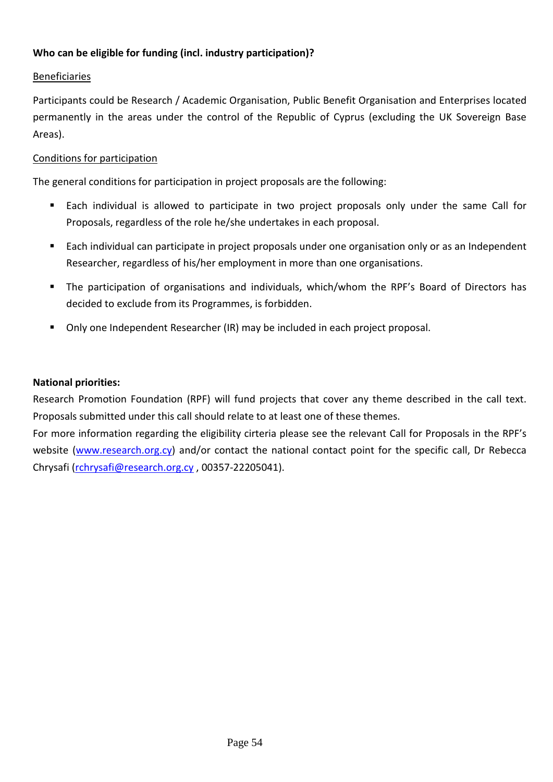### **Who can be eligible for funding (incl. industry participation)?**

### Beneficiaries

Participants could be Research / Academic Organisation, Public Benefit Organisation and Enterprises located permanently in the areas under the control of the Republic of Cyprus (excluding the UK Sovereign Base Areas).

#### Conditions for participation

The general conditions for participation in project proposals are the following:

- Each individual is allowed to participate in two project proposals only under the same Call for Proposals, regardless of the role he/she undertakes in each proposal.
- Each individual can participate in project proposals under one organisation only or as an Independent Researcher, regardless of his/her employment in more than one organisations.
- The participation of organisations and individuals, which/whom the RPF's Board of Directors has decided to exclude from its Programmes, is forbidden.
- Only one Independent Researcher (IR) may be included in each project proposal.

#### **National priorities:**

Research Promotion Foundation (RPF) will fund projects that cover any theme described in the call text. Proposals submitted under this call should relate to at least one of these themes.

For more information regarding the eligibility cirteria please see the relevant Call for Proposals in the RPF's website [\(www.research.org.cy\)](http://www.research.org.cy/) and/or contact the national contact point for the specific call, Dr Rebecca Chrysafi [\(rchrysafi@research.org.cy](mailto:rchrysafi@research.org.cy) , 00357-22205041).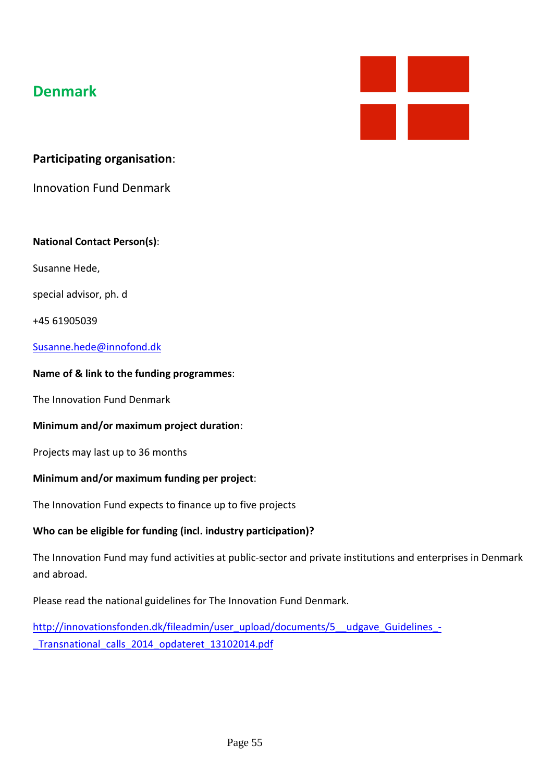# **Denmark**



# **Participating organisation**:

Innovation Fund Denmark

#### **National Contact Person(s)**:

Susanne Hede,

special advisor, ph. d

+45 61905039

#### [Susanne.hede@innofond.dk](mailto:Susanne.hede@innofond.dk)

#### **Name of & link to the funding programmes**:

The Innovation Fund Denmark

#### **Minimum and/or maximum project duration**:

Projects may last up to 36 months

#### **Minimum and/or maximum funding per project**:

The Innovation Fund expects to finance up to five projects

#### **Who can be eligible for funding (incl. industry participation)?**

The Innovation Fund may fund activities at public-sector and private institutions and enterprises in Denmark and abroad.

Please read the national guidelines for The Innovation Fund Denmark.

[http://innovationsfonden.dk/fileadmin/user\\_upload/documents/5\\_\\_udgave\\_Guidelines\\_-](http://innovationsfonden.dk/fileadmin/user_upload/documents/5__udgave_Guidelines_-_Transnational_calls_2014_opdateret_13102014.pdf) Transnational calls 2014 opdateret 13102014.pdf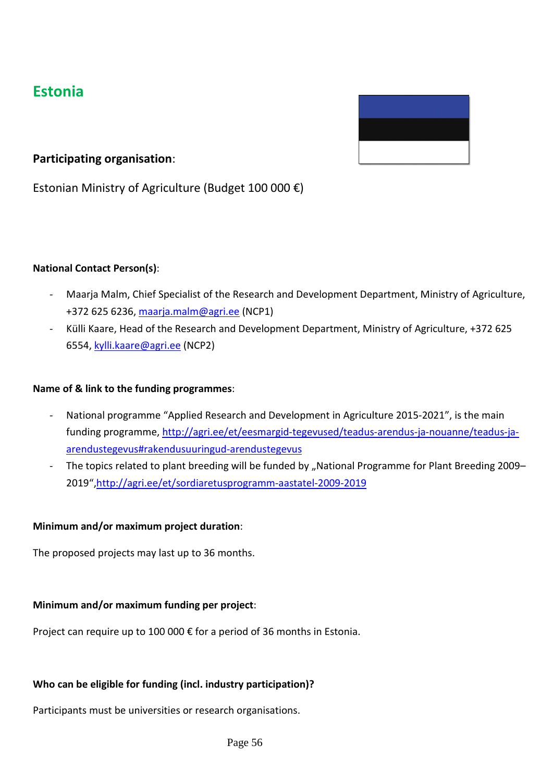# **Estonia**



# **Participating organisation**:

Estonian Ministry of Agriculture (Budget 100 000 €)

#### **National Contact Person(s)**:

- Maarja Malm, Chief Specialist of the Research and Development Department, Ministry of Agriculture, +372 625 6236, [maarja.malm@agri.ee](mailto:maarja.malm@agri.ee) (NCP1)
- Külli Kaare, Head of the Research and Development Department, Ministry of Agriculture, +372 625 6554, [kylli.kaare@agri.ee](mailto:kylli.kaare@agri.ee) (NCP2)

#### **Name of & link to the funding programmes**:

- National programme "Applied Research and Development in Agriculture 2015-2021", is the main funding programme[, http://agri.ee/et/eesmargid-tegevused/teadus-arendus-ja-nouanne/teadus-ja](http://agri.ee/et/eesmargid-tegevused/teadus-arendus-ja-nouanne/teadus-ja-arendustegevus%23rakendusuuringud-arendustegevus)[arendustegevus#rakendusuuringud-arendustegevus](http://agri.ee/et/eesmargid-tegevused/teadus-arendus-ja-nouanne/teadus-ja-arendustegevus%23rakendusuuringud-arendustegevus)
- The topics related to plant breeding will be funded by "National Programme for Plant Breeding 2009– 2019",http://agri.ee/et/sordiaretusprogramm-aastatel-2009-2019

#### **Minimum and/or maximum project duration**:

The proposed projects may last up to 36 months.

#### **Minimum and/or maximum funding per project**:

Project can require up to 100 000 € for a period of 36 months in Estonia.

# **Who can be eligible for funding (incl. industry participation)?**

Participants must be universities or research organisations.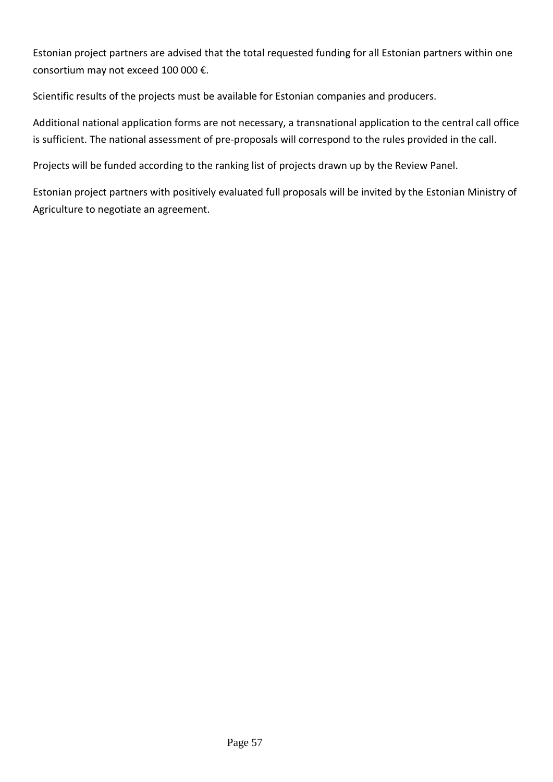Estonian project partners are advised that the total requested funding for all Estonian partners within one consortium may not exceed 100 000 €.

Scientific results of the projects must be available for Estonian companies and producers.

Additional national application forms are not necessary, a transnational application to the central call office is sufficient. The national assessment of pre-proposals will correspond to the rules provided in the call.

Projects will be funded according to the ranking list of projects drawn up by the Review Panel.

Estonian project partners with positively evaluated full proposals will be invited by the Estonian Ministry of Agriculture to negotiate an agreement.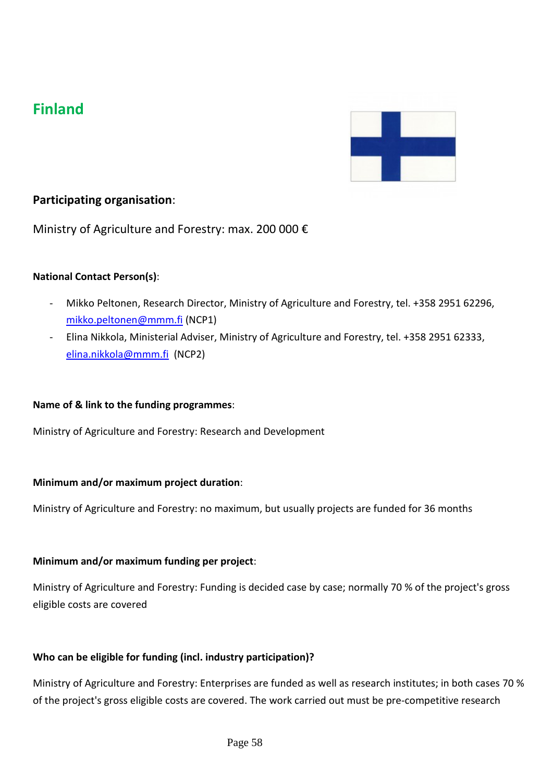# **Finland**



# **Participating organisation**:

Ministry of Agriculture and Forestry: max. 200 000 €

#### **National Contact Person(s)**:

- Mikko Peltonen, Research Director, Ministry of Agriculture and Forestry, tel. +358 2951 62296, [mikko.peltonen@mmm.fi](mailto:mikko.peltonen@mmm.fi) (NCP1)
- Elina Nikkola, Ministerial Adviser, Ministry of Agriculture and Forestry, tel. +358 2951 62333, [elina.nikkola@mmm.fi](mailto:elina.nikkola@mmm.fi) (NCP2)

#### **Name of & link to the funding programmes**:

Ministry of Agriculture and Forestry: Research and Development

#### **Minimum and/or maximum project duration**:

Ministry of Agriculture and Forestry: no maximum, but usually projects are funded for 36 months

#### **Minimum and/or maximum funding per project**:

Ministry of Agriculture and Forestry: Funding is decided case by case; normally 70 % of the project's gross eligible costs are covered

#### **Who can be eligible for funding (incl. industry participation)?**

Ministry of Agriculture and Forestry: Enterprises are funded as well as research institutes; in both cases 70 % of the project's gross eligible costs are covered. The work carried out must be pre-competitive research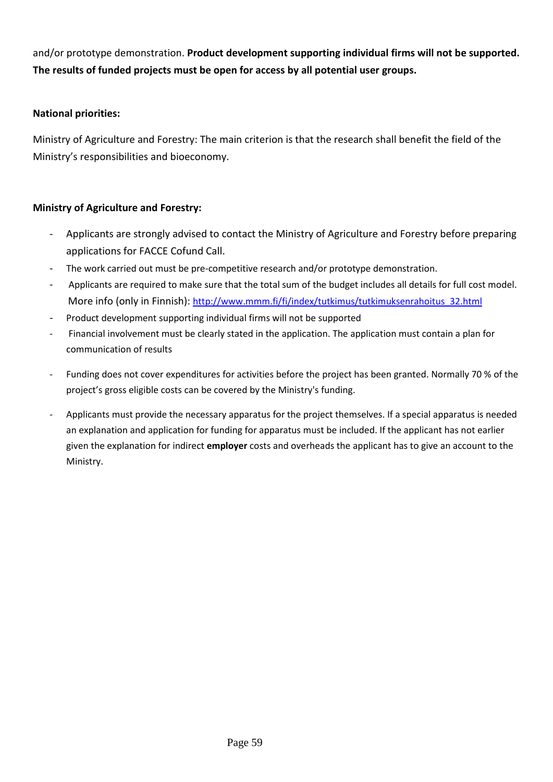and/or prototype demonstration. **Product development supporting individual firms will not be supported. The results of funded projects must be open for access by all potential user groups.**

### **National priorities:**

Ministry of Agriculture and Forestry: The main criterion is that the research shall benefit the field of the Ministry's responsibilities and bioeconomy.

#### **Ministry of Agriculture and Forestry:**

- Applicants are strongly advised to contact the Ministry of Agriculture and Forestry before preparing applications for FACCE Cofund Call.
- The work carried out must be pre-competitive research and/or prototype demonstration.
- Applicants are required to make sure that the total sum of the budget includes all details for full cost model. More info (only in Finnish): [http://www.mmm.fi/fi/index/tutkimus/tutkimuksenrahoitus\\_32.html](http://www.mmm.fi/fi/index/tutkimus/tutkimuksenrahoitus_32.html)
- Product development supporting individual firms will not be supported
- Financial involvement must be clearly stated in the application. The application must contain a plan for communication of results
- Funding does not cover expenditures for activities before the project has been granted. Normally 70 % of the project's gross eligible costs can be covered by the Ministry's funding.
- Applicants must provide the necessary apparatus for the project themselves. If a special apparatus is needed an explanation and application for funding for apparatus must be included. If the applicant has not earlier given the explanation for indirect **employer** costs and overheads the applicant has to give an account to the Ministry.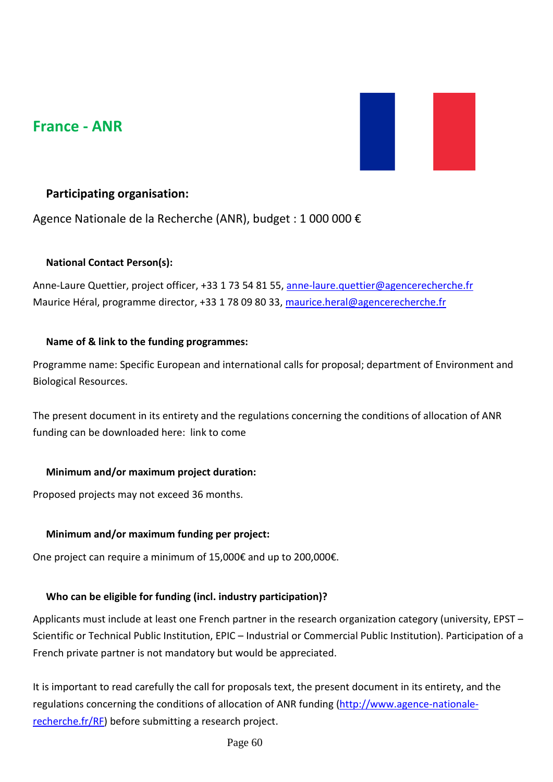# **France - ANR**



# **Participating organisation:**

Agence Nationale de la Recherche (ANR), budget : 1 000 000 €

#### **National Contact Person(s):**

Anne-Laure Quettier, project officer, +33 1 73 54 81 55, [anne-laure.quettier@agencerecherche.fr](mailto:anne-laure.quettier@agencerecherche.fr) Maurice Héral, programme director, +33 1 78 09 80 33, [maurice.heral@agencerecherche.fr](mailto:maurice.heral@agencerecherche.fr)

### **Name of & link to the funding programmes:**

Programme name: Specific European and international calls for proposal; department of Environment and Biological Resources.

The present document in its entirety and the regulations concerning the conditions of allocation of ANR funding can be downloaded here: link to come

#### **Minimum and/or maximum project duration:**

Proposed projects may not exceed 36 months.

# **Minimum and/or maximum funding per project:**

One project can require a minimum of 15,000€ and up to 200,000€.

# **Who can be eligible for funding (incl. industry participation)?**

Applicants must include at least one French partner in the research organization category (university, EPST – Scientific or Technical Public Institution, EPIC – Industrial or Commercial Public Institution). Participation of a French private partner is not mandatory but would be appreciated.

It is important to read carefully the call for proposals text, the present document in its entirety, and the regulations concerning the conditions of allocation of ANR funding [\(http://www.agence-nationale](http://www.agence-nationale-recherche.fr/RF)[recherche.fr/RF\)](http://www.agence-nationale-recherche.fr/RF) before submitting a research project.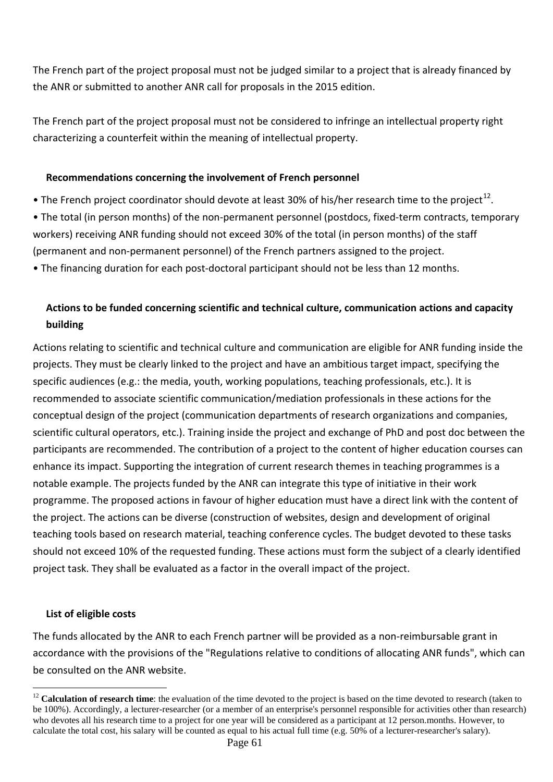The French part of the project proposal must not be judged similar to a project that is already financed by the ANR or submitted to another ANR call for proposals in the 2015 edition.

The French part of the project proposal must not be considered to infringe an intellectual property right characterizing a counterfeit within the meaning of intellectual property.

#### **Recommendations concerning the involvement of French personnel**

• The French project coordinator should devote at least 30% of his/her research time to the proiect<sup>[12](#page-60-0)</sup>.

• The total (in person months) of the non-permanent personnel (postdocs, fixed-term contracts, temporary workers) receiving ANR funding should not exceed 30% of the total (in person months) of the staff (permanent and non-permanent personnel) of the French partners assigned to the project.

• The financing duration for each post-doctoral participant should not be less than 12 months.

# **Actions to be funded concerning scientific and technical culture, communication actions and capacity building**

Actions relating to scientific and technical culture and communication are eligible for ANR funding inside the projects. They must be clearly linked to the project and have an ambitious target impact, specifying the specific audiences (e.g.: the media, youth, working populations, teaching professionals, etc.). It is recommended to associate scientific communication/mediation professionals in these actions for the conceptual design of the project (communication departments of research organizations and companies, scientific cultural operators, etc.). Training inside the project and exchange of PhD and post doc between the participants are recommended. The contribution of a project to the content of higher education courses can enhance its impact. Supporting the integration of current research themes in teaching programmes is a notable example. The projects funded by the ANR can integrate this type of initiative in their work programme. The proposed actions in favour of higher education must have a direct link with the content of the project. The actions can be diverse (construction of websites, design and development of original teaching tools based on research material, teaching conference cycles. The budget devoted to these tasks should not exceed 10% of the requested funding. These actions must form the subject of a clearly identified project task. They shall be evaluated as a factor in the overall impact of the project.

#### **List of eligible costs**

The funds allocated by the ANR to each French partner will be provided as a non-reimbursable grant in accordance with the provisions of the "Regulations relative to conditions of allocating ANR funds", which can be consulted on the ANR website.

<span id="page-60-0"></span><sup>&</sup>lt;sup>12</sup> Calculation of research time: the evaluation of the time devoted to the project is based on the time devoted to research (taken to be 100%). Accordingly, a lecturer-researcher (or a member of an enterprise's personnel responsible for activities other than research) who devotes all his research time to a project for one year will be considered as a participant at 12 person.months. However, to calculate the total cost, his salary will be counted as equal to his actual full time (e.g. 50% of a lecturer-researcher's salary).  $\overline{a}$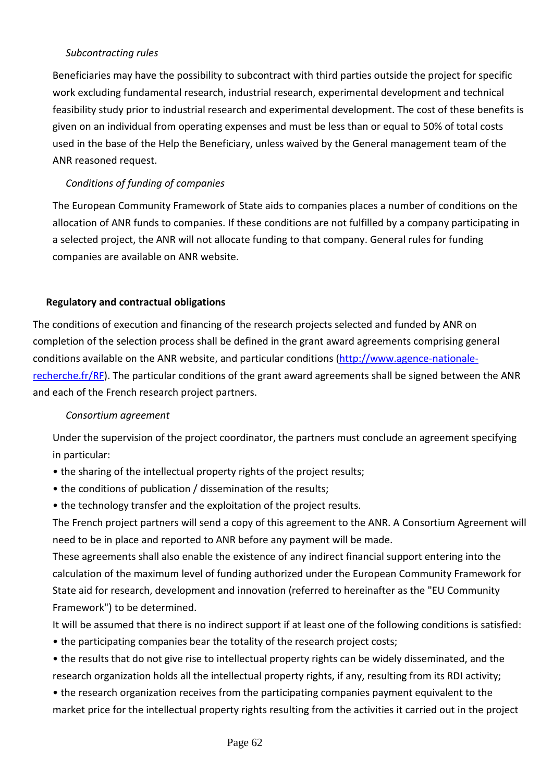#### *Subcontracting rules*

Beneficiaries may have the possibility to subcontract with third parties outside the project for specific work excluding fundamental research, industrial research, experimental development and technical feasibility study prior to industrial research and experimental development. The cost of these benefits is given on an individual from operating expenses and must be less than or equal to 50% of total costs used in the base of the Help the Beneficiary, unless waived by the General management team of the ANR reasoned request.

#### *Conditions of funding of companies*

The European Community Framework of State aids to companies places a number of conditions on the allocation of ANR funds to companies. If these conditions are not fulfilled by a company participating in a selected project, the ANR will not allocate funding to that company. General rules for funding companies are available on ANR website.

#### **Regulatory and contractual obligations**

The conditions of execution and financing of the research projects selected and funded by ANR on completion of the selection process shall be defined in the grant award agreements comprising general conditions available on the ANR website, and particular conditions [\(http://www.agence-nationale](http://www.agence-nationale-recherche.fr/RF)[recherche.fr/RF\)](http://www.agence-nationale-recherche.fr/RF). The particular conditions of the grant award agreements shall be signed between the ANR and each of the French research project partners.

#### *Consortium agreement*

Under the supervision of the project coordinator, the partners must conclude an agreement specifying in particular:

- the sharing of the intellectual property rights of the project results;
- the conditions of publication / dissemination of the results;
- the technology transfer and the exploitation of the project results.

The French project partners will send a copy of this agreement to the ANR. A Consortium Agreement will need to be in place and reported to ANR before any payment will be made.

These agreements shall also enable the existence of any indirect financial support entering into the calculation of the maximum level of funding authorized under the European Community Framework for State aid for research, development and innovation (referred to hereinafter as the "EU Community Framework") to be determined.

It will be assumed that there is no indirect support if at least one of the following conditions is satisfied:

• the participating companies bear the totality of the research project costs;

• the results that do not give rise to intellectual property rights can be widely disseminated, and the research organization holds all the intellectual property rights, if any, resulting from its RDI activity;

• the research organization receives from the participating companies payment equivalent to the market price for the intellectual property rights resulting from the activities it carried out in the project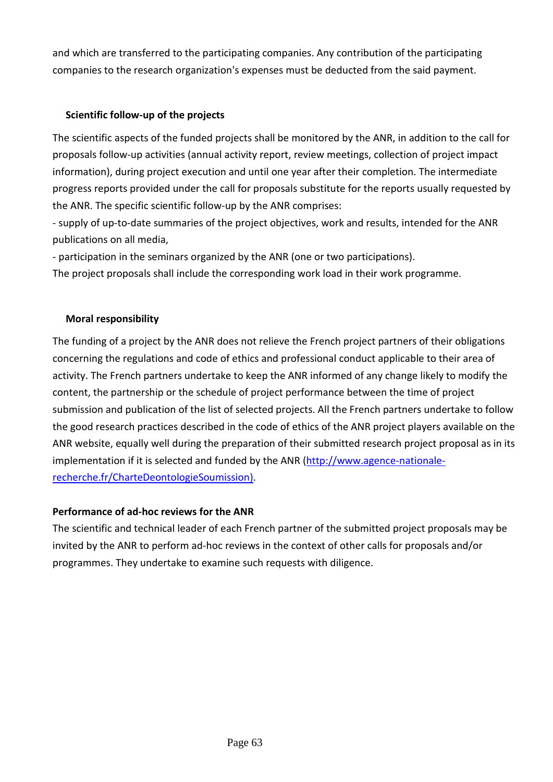and which are transferred to the participating companies. Any contribution of the participating companies to the research organization's expenses must be deducted from the said payment.

# **Scientific follow-up of the projects**

The scientific aspects of the funded projects shall be monitored by the ANR, in addition to the call for proposals follow-up activities (annual activity report, review meetings, collection of project impact information), during project execution and until one year after their completion. The intermediate progress reports provided under the call for proposals substitute for the reports usually requested by the ANR. The specific scientific follow-up by the ANR comprises:

- supply of up-to-date summaries of the project objectives, work and results, intended for the ANR publications on all media,

- participation in the seminars organized by the ANR (one or two participations).

The project proposals shall include the corresponding work load in their work programme.

### **Moral responsibility**

The funding of a project by the ANR does not relieve the French project partners of their obligations concerning the regulations and code of ethics and professional conduct applicable to their area of activity. The French partners undertake to keep the ANR informed of any change likely to modify the content, the partnership or the schedule of project performance between the time of project submission and publication of the list of selected projects. All the French partners undertake to follow the good research practices described in the code of ethics of the ANR project players available on the ANR website, equally well during the preparation of their submitted research project proposal as in its implementation if it is selected and funded by the ANR [\(http://www.agence-nationale](http://www.agence-nationale-recherche.fr/CharteDeontologieSoumission)[recherche.fr/CharteDeontologieSoumission\)](http://www.agence-nationale-recherche.fr/CharteDeontologieSoumission).

# **Performance of ad-hoc reviews for the ANR**

The scientific and technical leader of each French partner of the submitted project proposals may be invited by the ANR to perform ad-hoc reviews in the context of other calls for proposals and/or programmes. They undertake to examine such requests with diligence.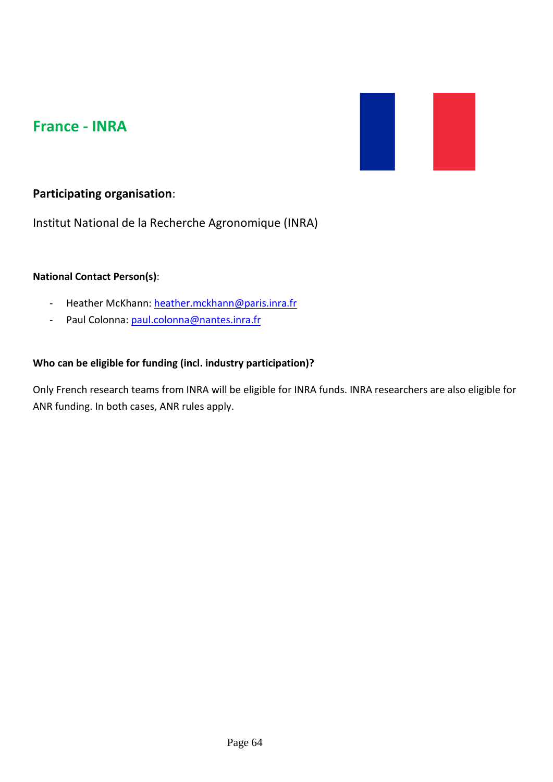# **France - INRA**



# **Participating organisation**:

Institut National de la Recherche Agronomique (INRA)

### **National Contact Person(s)**:

- Heather McKhann: [heather.mckhann@paris.inra.fr](mailto:heather.mckhann@paris.inra.fr)
- Paul Colonna: [paul.colonna@nantes.inra.fr](mailto:paul.colonna@nantes.inra.fr)

#### **Who can be eligible for funding (incl. industry participation)?**

Only French research teams from INRA will be eligible for INRA funds. INRA researchers are also eligible for ANR funding. In both cases, ANR rules apply.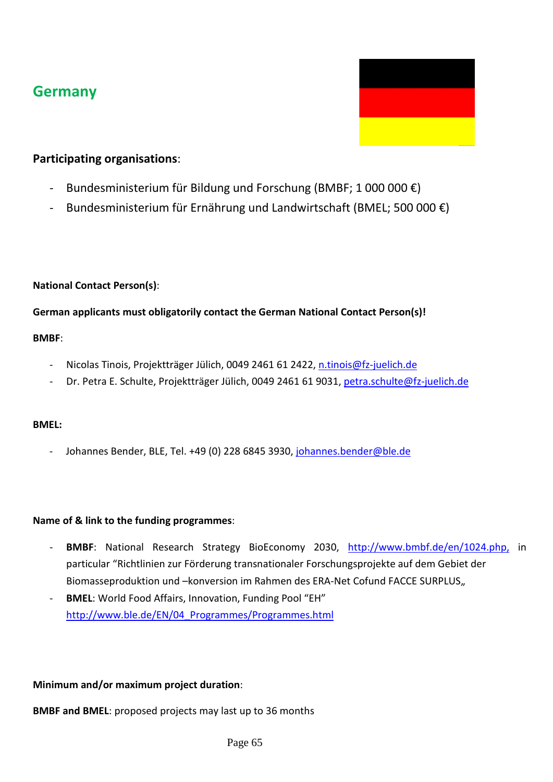# **Germany**



# **Participating organisations**:

- Bundesministerium für Bildung und Forschung (BMBF; 1 000 000  $\epsilon$ )
- Bundesministerium für Ernährung und Landwirtschaft (BMEL; 500 000  $\epsilon$ )

# **National Contact Person(s)**:

# **German applicants must obligatorily contact the German National Contact Person(s)!**

### **BMBF**:

- Nicolas Tinois, Projektträger Jülich, 0049 2461 61 2422, [n.tinois@fz-juelich.de](mailto:n.tinois@fz-juelich.de)
- Dr. Petra E. Schulte, Projektträger Jülich, 0049 2461 61 9031, [petra.schulte@fz-juelich.de](mailto:petra.schulte@fz-juelich.de)

# **BMEL:**

Johannes Bender, BLE, Tel. +49 (0) 228 6845 3930, [johannes.bender@ble.de](mailto:johannes.bender@ble.de)

# **Name of & link to the funding programmes**:

- **BMBF**: National Research Strategy BioEconomy 2030, [http://www.bmbf.de/en/1024.php,](http://www.bmbf.de/en/1024.php) in particular "Richtlinien zur Förderung transnationaler Forschungsprojekte auf dem Gebiet der Biomasseproduktion und –konversion im Rahmen des ERA-Net Cofund FACCE SURPLUS,
- **BMEL**: World Food Affairs, Innovation, Funding Pool "EH" [http://www.ble.de/EN/04\\_Programmes/Programmes.html](http://www.ble.de/EN/04_Programmes/Programmes.html)

# **Minimum and/or maximum project duration**:

**BMBF and BMEL**: proposed projects may last up to 36 months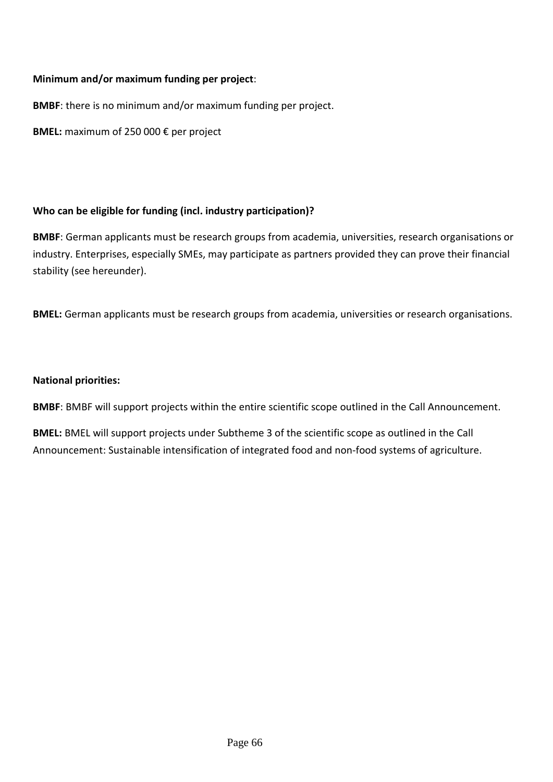#### **Minimum and/or maximum funding per project**:

**BMBF**: there is no minimum and/or maximum funding per project.

**BMEL:** maximum of 250 000 € per project

### **Who can be eligible for funding (incl. industry participation)?**

**BMBF**: German applicants must be research groups from academia, universities, research organisations or industry. Enterprises, especially SMEs, may participate as partners provided they can prove their financial stability (see hereunder).

**BMEL:** German applicants must be research groups from academia, universities or research organisations.

#### **National priorities:**

**BMBF**: BMBF will support projects within the entire scientific scope outlined in the Call Announcement.

**BMEL:** BMEL will support projects under Subtheme 3 of the scientific scope as outlined in the Call Announcement: Sustainable intensification of integrated food and non-food systems of agriculture.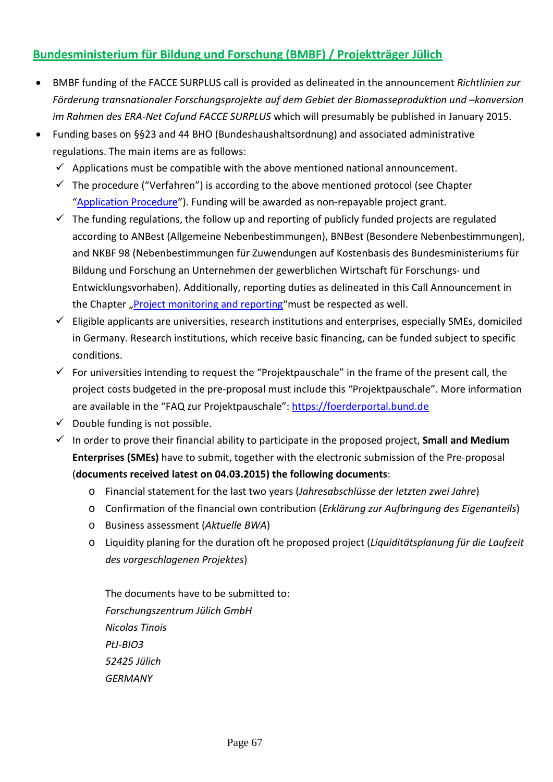# **Bundesministerium für Bildung und Forschung (BMBF) / Projektträger Jülich**

- BMBF funding of the FACCE SURPLUS call is provided as delineated in the announcement *Richtlinien zur Förderung transnationaler Forschungsprojekte auf dem Gebiet der Biomasseproduktion und –konversion im Rahmen des ERA-Net Cofund FACCE SURPLUS* which will presumably be published in January 2015.
- Funding bases on §§23 and 44 BHO (Bundeshaushaltsordnung) and associated administrative regulations. The main items are as follows:
	- $\checkmark$  Applications must be compatible with the above mentioned national announcement.
	- $\checkmark$  The procedure ("Verfahren") is according to the above mentioned protocol (see Chapter ["Application Procedure"](#page-12-0)). Funding will be awarded as non-repayable project grant.
	- $\checkmark$  The funding regulations, the follow up and reporting of publicly funded projects are regulated according to ANBest (Allgemeine Nebenbestimmungen), BNBest (Besondere Nebenbestimmungen), and NKBF 98 (Nebenbestimmungen für Zuwendungen auf Kostenbasis des Bundesministeriums für Bildung und Forschung an Unternehmen der gewerblichen Wirtschaft für Forschungs- und Entwicklungsvorhaben). Additionally, reporting duties as delineated in this Call Announcement in the Chapter ["Project monitoring and reporting"](#page-17-0)must be respected as well.
	- $\checkmark$  Eligible applicants are universities, research institutions and enterprises, especially SMEs, domiciled in Germany. Research institutions, which receive basic financing, can be funded subject to specific conditions.
	- $\checkmark$  For universities intending to request the "Projektpauschale" in the frame of the present call, the project costs budgeted in the pre-proposal must include this "Projektpauschale". More information are available in the "FAQ zur Projektpauschale": [https://foerderportal.bund.de](https://foerderportal.bund.de/)
	- $\checkmark$  Double funding is not possible.
	- $\checkmark$  In order to prove their financial ability to participate in the proposed project, **Small and Medium Enterprises (SMEs)** have to submit, together with the electronic submission of the Pre-proposal (**documents received latest on 04.03.2015) the following documents**:
		- o Financial statement for the last two years (*Jahresabschlüsse der letzten zwei Jahre*)
		- o Confirmation of the financial own contribution (*Erklärung zur Aufbringung des Eigenanteils*)
		- o Business assessment (*Aktuelle BWA*)
		- o Liquidity planing for the duration oft he proposed project (*Liquiditätsplanung für die Laufzeit des vorgeschlagenen Projektes*)

The documents have to be submitted to: *Forschungszentrum Jülich GmbH Nicolas Tinois PtJ-BIO3 52425 Jülich GERMANY*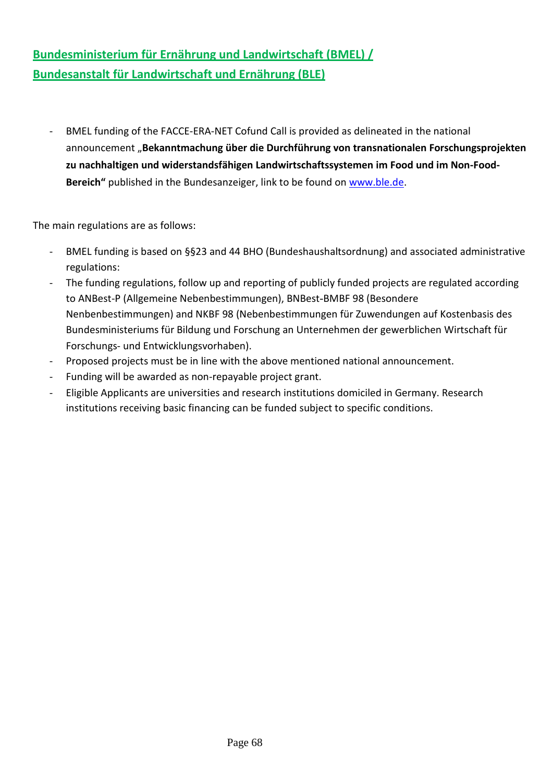# **Bundesministerium für Ernährung und Landwirtschaft (BMEL) / Bundesanstalt für Landwirtschaft und Ernährung (BLE)**

- BMEL funding of the FACCE-ERA-NET Cofund Call is provided as delineated in the national announcement "**Bekanntmachung über die Durchführung von transnationalen Forschungsprojekten zu nachhaltigen und widerstandsfähigen Landwirtschaftssystemen im Food und im Non-Food-Bereich"** published in the Bundesanzeiger, link to be found on [www.ble.de.](http://www.ble.de/)

The main regulations are as follows:

- BMEL funding is based on §§23 and 44 BHO (Bundeshaushaltsordnung) and associated administrative regulations:
- The funding regulations, follow up and reporting of publicly funded projects are regulated according to ANBest-P (Allgemeine Nebenbestimmungen), BNBest-BMBF 98 (Besondere Nenbenbestimmungen) and NKBF 98 (Nebenbestimmungen für Zuwendungen auf Kostenbasis des Bundesministeriums für Bildung und Forschung an Unternehmen der gewerblichen Wirtschaft für Forschungs- und Entwicklungsvorhaben).
- Proposed projects must be in line with the above mentioned national announcement.
- Funding will be awarded as non-repayable project grant.
- Eligible Applicants are universities and research institutions domiciled in Germany. Research institutions receiving basic financing can be funded subject to specific conditions.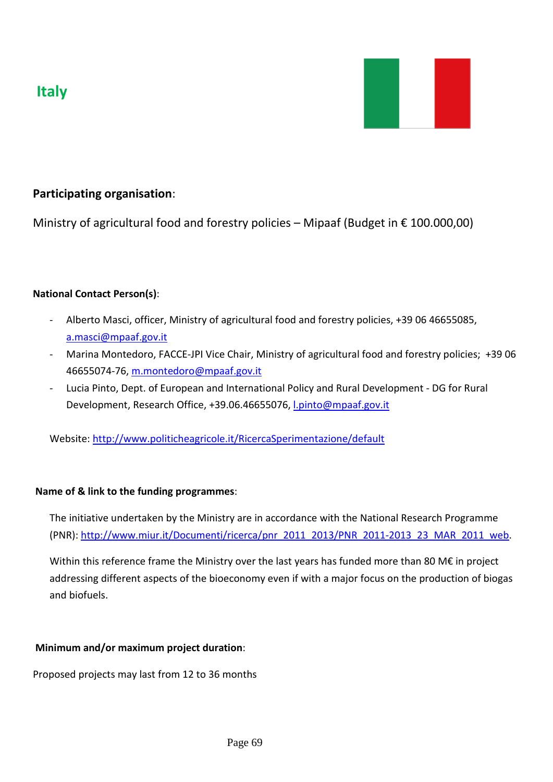



# **Participating organisation**:

Ministry of agricultural food and forestry policies – Mipaaf (Budget in  $\epsilon$  100.000,00)

### **National Contact Person(s)**:

- Alberto Masci, officer, Ministry of agricultural food and forestry policies, +39 06 46655085, a.masci@mpaaf.gov.it
- Marina Montedoro, FACCE-JPI Vice Chair, Ministry of agricultural food and forestry policies; +39 06 46655074-76, m.montedoro@mpaaf.gov.it
- Lucia Pinto, Dept. of European and International Policy and Rural Development DG for Rural Development, Research Office, +39.06.46655076, [l.pinto@mpaaf.gov.it](mailto:l.pinto@mpaaf.gov.it)

Website:<http://www.politicheagricole.it/RicercaSperimentazione/default>

#### **Name of & link to the funding programmes**:

The initiative undertaken by the Ministry are in accordance with the National Research Programme (PNR): [http://www.miur.it/Documenti/ricerca/pnr\\_2011\\_2013/PNR\\_2011-2013\\_23\\_MAR\\_2011\\_web.](http://www.miur.it/Documenti/ricerca/pnr_2011_2013/PNR_2011-2013_23_MAR_2011_web)

Within this reference frame the Ministry over the last years has funded more than 80 M€ in project addressing different aspects of the bioeconomy even if with a major focus on the production of biogas and biofuels.

# **Minimum and/or maximum project duration**:

Proposed projects may last from 12 to 36 months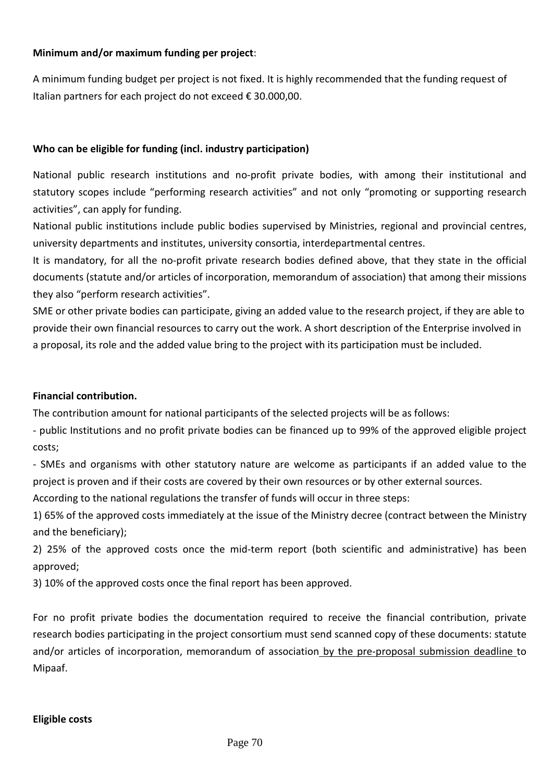#### **Minimum and/or maximum funding per project**:

A minimum funding budget per project is not fixed. It is highly recommended that the funding request of Italian partners for each project do not exceed € 30.000,00.

#### **Who can be eligible for funding (incl. industry participation)**

National public research institutions and no-profit private bodies, with among their institutional and statutory scopes include "performing research activities" and not only "promoting or supporting research activities", can apply for funding.

National public institutions include public bodies supervised by Ministries, regional and provincial centres, university departments and institutes, university consortia, interdepartmental centres.

It is mandatory, for all the no-profit private research bodies defined above, that they state in the official documents (statute and/or articles of incorporation, memorandum of association) that among their missions they also "perform research activities".

SME or other private bodies can participate, giving an added value to the research project, if they are able to provide their own financial resources to carry out the work. A short description of the Enterprise involved in a proposal, its role and the added value bring to the project with its participation must be included.

#### **Financial contribution.**

The contribution amount for national participants of the selected projects will be as follows:

- public Institutions and no profit private bodies can be financed up to 99% of the approved eligible project costs;

- SMEs and organisms with other statutory nature are welcome as participants if an added value to the project is proven and if their costs are covered by their own resources or by other external sources.

According to the national regulations the transfer of funds will occur in three steps:

1) 65% of the approved costs immediately at the issue of the Ministry decree (contract between the Ministry and the beneficiary);

2) 25% of the approved costs once the mid-term report (both scientific and administrative) has been approved;

3) 10% of the approved costs once the final report has been approved.

For no profit private bodies the documentation required to receive the financial contribution, private research bodies participating in the project consortium must send scanned copy of these documents: statute and/or articles of incorporation, memorandum of association by the pre-proposal submission deadline to Mipaaf.

#### **Eligible costs**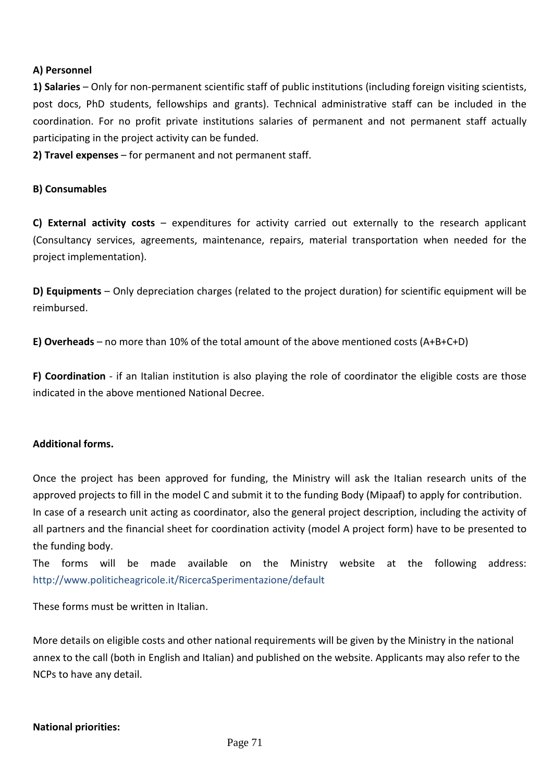#### **A) Personnel**

**1) Salaries** – Only for non-permanent scientific staff of public institutions (including foreign visiting scientists, post docs, PhD students, fellowships and grants). Technical administrative staff can be included in the coordination. For no profit private institutions salaries of permanent and not permanent staff actually participating in the project activity can be funded.

**2) Travel expenses** – for permanent and not permanent staff.

#### **B) Consumables**

**C) External activity costs** – expenditures for activity carried out externally to the research applicant (Consultancy services, agreements, maintenance, repairs, material transportation when needed for the project implementation).

**D) Equipments** – Only depreciation charges (related to the project duration) for scientific equipment will be reimbursed.

**E) Overheads** – no more than 10% of the total amount of the above mentioned costs (A+B+C+D)

**F) Coordination** - if an Italian institution is also playing the role of coordinator the eligible costs are those indicated in the above mentioned National Decree.

#### **Additional forms.**

Once the project has been approved for funding, the Ministry will ask the Italian research units of the approved projects to fill in the model C and submit it to the funding Body (Mipaaf) to apply for contribution. In case of a research unit acting as coordinator, also the general project description, including the activity of all partners and the financial sheet for coordination activity (model A project form) have to be presented to the funding body.

The forms will be made available on the Ministry website at the following address: <http://www.politicheagricole.it/RicercaSperimentazione/default>

These forms must be written in Italian.

More details on eligible costs and other national requirements will be given by the Ministry in the national annex to the call (both in English and Italian) and published on the website. Applicants may also refer to the NCPs to have any detail.

#### **National priorities:**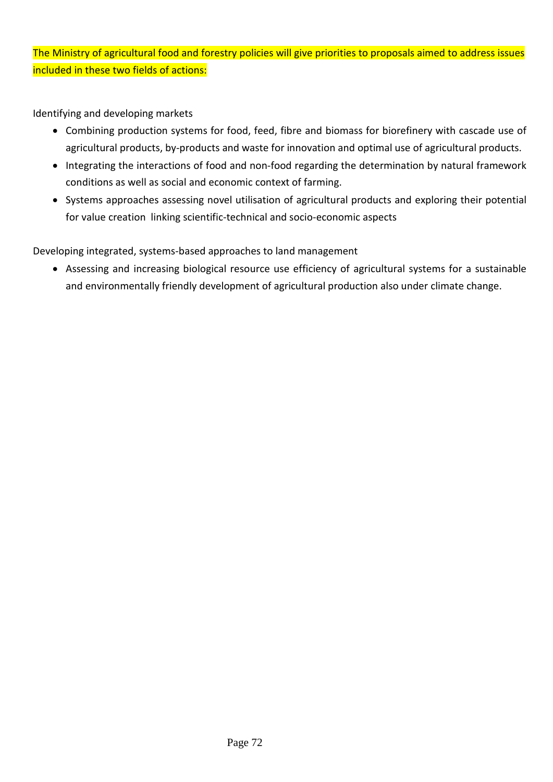The Ministry of agricultural food and forestry policies will give priorities to proposals aimed to address issues included in these two fields of actions:

Identifying and developing markets

- Combining production systems for food, feed, fibre and biomass for biorefinery with cascade use of agricultural products, by-products and waste for innovation and optimal use of agricultural products.
- Integrating the interactions of food and non-food regarding the determination by natural framework conditions as well as social and economic context of farming.
- Systems approaches assessing novel utilisation of agricultural products and exploring their potential for value creation linking scientific-technical and socio-economic aspects

Developing integrated, systems-based approaches to land management

• Assessing and increasing biological resource use efficiency of agricultural systems for a sustainable and environmentally friendly development of agricultural production also under climate change.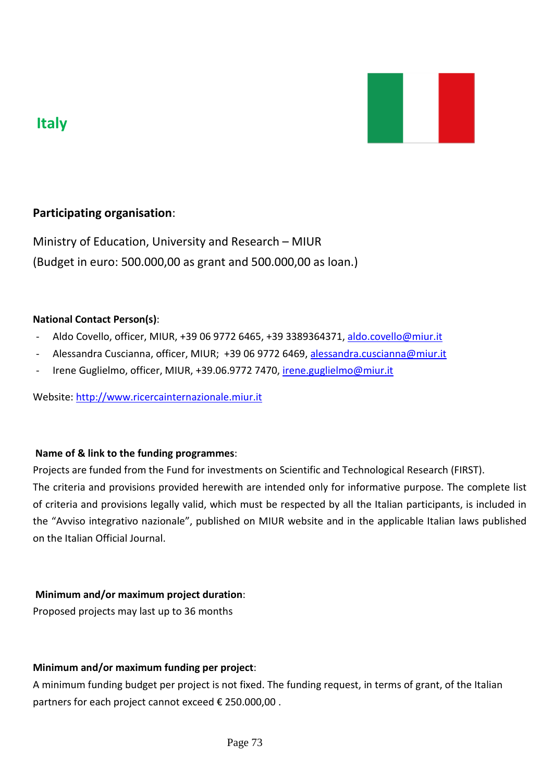



## **Participating organisation**:

Ministry of Education, University and Research – MIUR (Budget in euro: 500.000,00 as grant and 500.000,00 as loan.)

#### **National Contact Person(s)**:

- Aldo Covello, officer, MIUR, +39 06 9772 6465, +39 3389364371, [aldo.covello@miur.it](mailto:aldo.covello@miur.it)
- Alessandra Cuscianna, officer, MIUR; +39 06 9772 6469, alessandra.cuscianna@miur.it
- Irene Guglielmo, officer, MIUR, +39.06.9772 7470, [irene.guglielmo@miur.it](mailto:irene.guglielmo@miur.it)

Website: [http://www.ricercainternazionale.miur.it](http://www.ricercainternazionale.miur.it/)

#### **Name of & link to the funding programmes**:

Projects are funded from the Fund for investments on Scientific and Technological Research (FIRST). The criteria and provisions provided herewith are intended only for informative purpose. The complete list of criteria and provisions legally valid, which must be respected by all the Italian participants, is included in the "Avviso integrativo nazionale", published on MIUR website and in the applicable Italian laws published on the Italian Official Journal.

#### **Minimum and/or maximum project duration**:

Proposed projects may last up to 36 months

#### **Minimum and/or maximum funding per project**:

A minimum funding budget per project is not fixed. The funding request, in terms of grant, of the Italian partners for each project cannot exceed € 250.000,00 .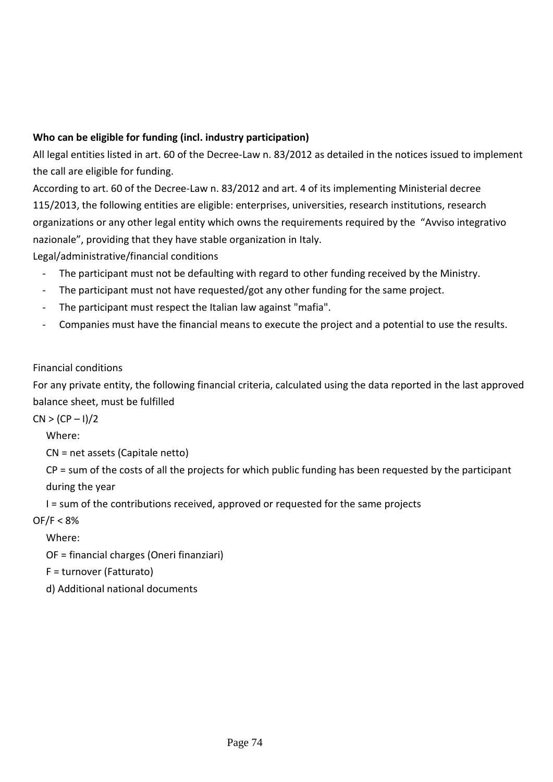### **Who can be eligible for funding (incl. industry participation)**

All legal entities listed in art. 60 of the Decree-Law n. 83/2012 as detailed in the notices issued to implement the call are eligible for funding.

According to art. 60 of the Decree-Law n. 83/2012 and art. 4 of its implementing Ministerial decree 115/2013, the following entities are eligible: enterprises, universities, research institutions, research organizations or any other legal entity which owns the requirements required by the "Avviso integrativo nazionale", providing that they have stable organization in Italy.

Legal/administrative/financial conditions

- The participant must not be defaulting with regard to other funding received by the Ministry.
- The participant must not have requested/got any other funding for the same project.
- The participant must respect the Italian law against "mafia".
- Companies must have the financial means to execute the project and a potential to use the results.

## Financial conditions

For any private entity, the following financial criteria, calculated using the data reported in the last approved balance sheet, must be fulfilled

 $CN > (CP - 1)/2$ 

Where:

CN = net assets (Capitale netto)

CP = sum of the costs of all the projects for which public funding has been requested by the participant during the year

I = sum of the contributions received, approved or requested for the same projects

OF/F < 8%

Where:

OF = financial charges (Oneri finanziari)

F = turnover (Fatturato)

d) Additional national documents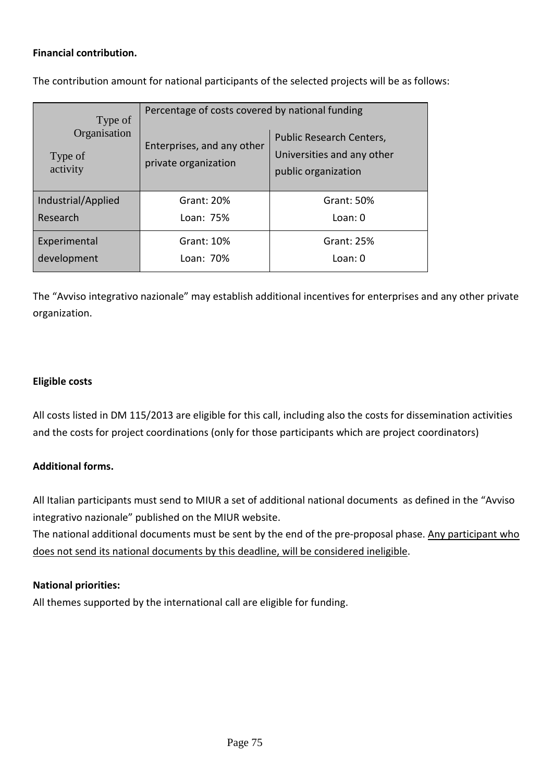#### **Financial contribution.**

The contribution amount for national participants of the selected projects will be as follows:

| Type of<br>Organisation<br>Type of<br>activity | Percentage of costs covered by national funding    |                                                                               |  |  |
|------------------------------------------------|----------------------------------------------------|-------------------------------------------------------------------------------|--|--|
|                                                | Enterprises, and any other<br>private organization | Public Research Centers,<br>Universities and any other<br>public organization |  |  |
| Industrial/Applied                             | Grant: 20%                                         | Grant: 50%                                                                    |  |  |
| Research                                       | Loan: 75%                                          | Loan: 0                                                                       |  |  |
| Experimental                                   | Grant: 10%                                         | Grant: 25%                                                                    |  |  |
| development<br>Loan: 70%                       |                                                    | Loan: 0                                                                       |  |  |

The "Avviso integrativo nazionale" may establish additional incentives for enterprises and any other private organization.

#### **Eligible costs**

All costs listed in DM 115/2013 are eligible for this call, including also the costs for dissemination activities and the costs for project coordinations (only for those participants which are project coordinators)

#### **Additional forms.**

All Italian participants must send to MIUR a set of additional national documents as defined in the "Avviso integrativo nazionale" published on the MIUR website.

The national additional documents must be sent by the end of the pre-proposal phase. Any participant who does not send its national documents by this deadline, will be considered ineligible.

#### **National priorities:**

All themes supported by the international call are eligible for funding.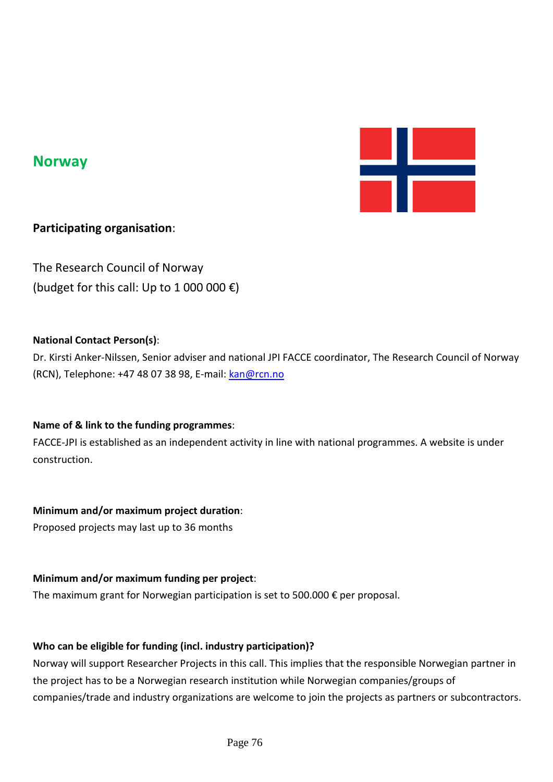

## **Norway**

## **Participating organisation**:

The Research Council of Norway (budget for this call: Up to 1 000 000  $\varepsilon$ )

#### **National Contact Person(s)**:

Dr. Kirsti Anker-Nilssen, Senior adviser and national JPI FACCE coordinator, The Research Council of Norway (RCN), Telephone: +47 48 07 38 98, E-mail: [kan@rcn.no](mailto:kan@rcn.no)

## **Name of & link to the funding programmes**:

FACCE-JPI is established as an independent activity in line with national programmes. A website is under construction.

## **Minimum and/or maximum project duration**:

Proposed projects may last up to 36 months

#### **Minimum and/or maximum funding per project**:

The maximum grant for Norwegian participation is set to 500.000  $\epsilon$  per proposal.

#### **Who can be eligible for funding (incl. industry participation)?**

Norway will support Researcher Projects in this call. This implies that the responsible Norwegian partner in the project has to be a Norwegian research institution while Norwegian companies/groups of companies/trade and industry organizations are welcome to join the projects as partners or subcontractors.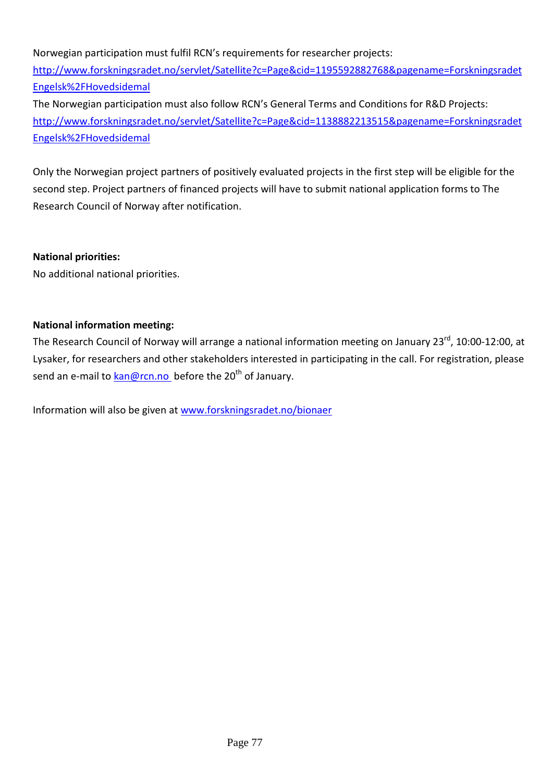Norwegian participation must fulfil RCN's requirements for researcher projects: [http://www.forskningsradet.no/servlet/Satellite?c=Page&cid=1195592882768&pagename=Forskningsradet](http://www.forskningsradet.no/servlet/Satellite?c=Page&cid=1195592882768&pagename=ForskningsradetEngelsk%2FHovedsidemal) [Engelsk%2FHovedsidemal](http://www.forskningsradet.no/servlet/Satellite?c=Page&cid=1195592882768&pagename=ForskningsradetEngelsk%2FHovedsidemal)

The Norwegian participation must also follow RCN's General Terms and Conditions for R&D Projects: [http://www.forskningsradet.no/servlet/Satellite?c=Page&cid=1138882213515&pagename=Forskningsradet](http://www.forskningsradet.no/servlet/Satellite?c=Page&cid=1138882213515&pagename=ForskningsradetEngelsk%2FHovedsidemal) [Engelsk%2FHovedsidemal](http://www.forskningsradet.no/servlet/Satellite?c=Page&cid=1138882213515&pagename=ForskningsradetEngelsk%2FHovedsidemal)

Only the Norwegian project partners of positively evaluated projects in the first step will be eligible for the second step. Project partners of financed projects will have to submit national application forms to The Research Council of Norway after notification.

#### **National priorities:**

No additional national priorities.

#### **National information meeting:**

The Research Council of Norway will arrange a national information meeting on January 23<sup>rd</sup>, 10:00-12:00. at Lysaker, for researchers and other stakeholders interested in participating in the call. For registration, please send an e-mail to [kan@rcn.no](mailto:kan@rcn.no) before the 20<sup>th</sup> of January.

Information will also be given at [www.forskningsradet.no/bionaer](http://www.forskningsradet.no/bionaer)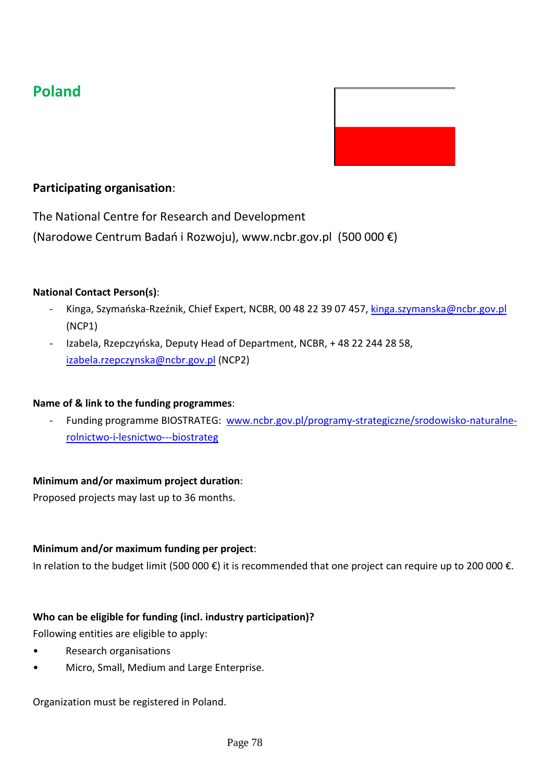# **Poland**



## **Participating organisation**:

The National Centre for Research and Development

(Narodowe Centrum Badań i Rozwoju), www.ncbr.gov.pl (500 000 €)

#### **National Contact Person(s)**:

- Kinga, Szymańska-Rzeźnik, Chief Expert, NCBR, 00 48 22 39 07 457, [kinga.szymanska@ncbr.gov.pl](mailto:kinga.szymanska@ncbr.gov.pl) (NCP1)
- Izabela, Rzepczyńska, Deputy Head of Department, NCBR, + 48 22 244 28 58, [izabela.rzepczynska@ncbr.gov.pl](mailto:izabela.rzepczynska@ncbr.gov.pl) (NCP2)

#### **Name of & link to the funding programmes**:

- Funding programme BIOSTRATEG: [www.ncbr.gov.pl/programy-strategiczne/srodowisko-naturalne](http://www.ncbr.gov.pl/programy-strategiczne/srodowisko-naturalne-rolnictwo-i-lesnictwo---biostrateg)[rolnictwo-i-lesnictwo---biostrateg](http://www.ncbr.gov.pl/programy-strategiczne/srodowisko-naturalne-rolnictwo-i-lesnictwo---biostrateg)

#### **Minimum and/or maximum project duration**:

Proposed projects may last up to 36 months.

#### **Minimum and/or maximum funding per project**:

In relation to the budget limit (500 000 €) it is recommended that one project can require up to 200 000 €.

#### **Who can be eligible for funding (incl. industry participation)?**

Following entities are eligible to apply:

- Research organisations
- Micro, Small, Medium and Large Enterprise.

Organization must be registered in Poland.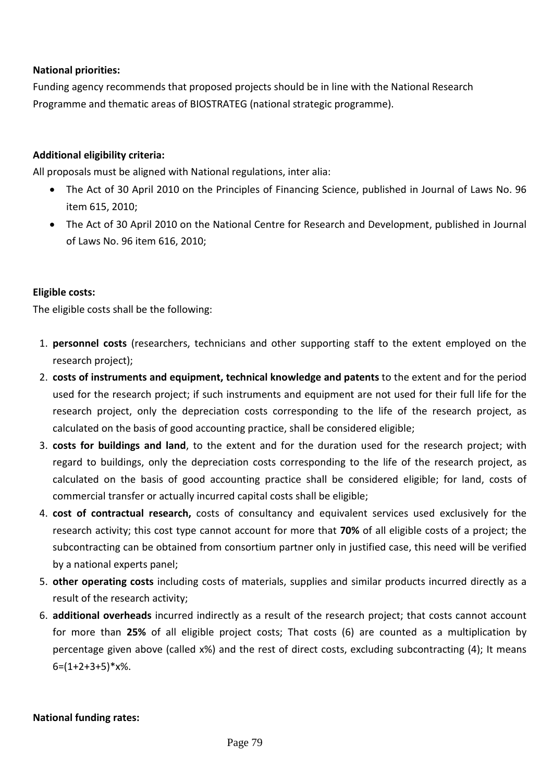#### **National priorities:**

Funding agency recommends that proposed projects should be in line with the National Research Programme and thematic areas of BIOSTRATEG (national strategic programme).

#### **Additional eligibility criteria:**

All proposals must be aligned with National regulations, inter alia:

- The Act of 30 April 2010 on the Principles of Financing Science, published in Journal of Laws No. 96 item 615, 2010;
- The Act of 30 April 2010 on the National Centre for Research and Development, published in Journal of Laws No. 96 item 616, 2010;

#### **Eligible costs:**

The eligible costs shall be the following:

- 1. **personnel costs** (researchers, technicians and other supporting staff to the extent employed on the research project);
- 2. **costs of instruments and equipment, technical knowledge and patents** to the extent and for the period used for the research project; if such instruments and equipment are not used for their full life for the research project, only the depreciation costs corresponding to the life of the research project, as calculated on the basis of good accounting practice, shall be considered eligible;
- 3. **costs for buildings and land**, to the extent and for the duration used for the research project; with regard to buildings, only the depreciation costs corresponding to the life of the research project, as calculated on the basis of good accounting practice shall be considered eligible; for land, costs of commercial transfer or actually incurred capital costs shall be eligible;
- 4. **cost of contractual research,** costs of consultancy and equivalent services used exclusively for the research activity; this cost type cannot account for more that **70%** of all eligible costs of a project; the subcontracting can be obtained from consortium partner only in justified case, this need will be verified by a national experts panel;
- 5. **other operating costs** including costs of materials, supplies and similar products incurred directly as a result of the research activity;
- 6. **additional overheads** incurred indirectly as a result of the research project; that costs cannot account for more than **25%** of all eligible project costs; That costs (6) are counted as a multiplication by percentage given above (called x%) and the rest of direct costs, excluding subcontracting (4); It means  $6=(1+2+3+5)*x%$ .

#### **National funding rates:**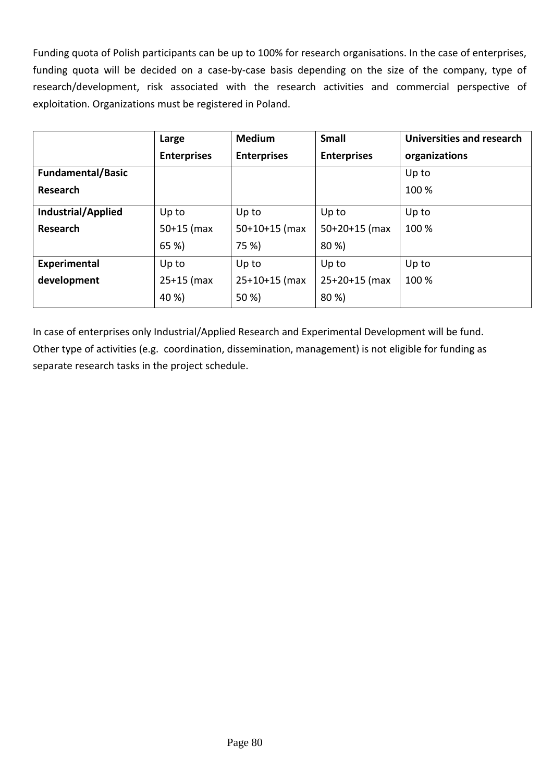Funding quota of Polish participants can be up to 100% for research organisations. In the case of enterprises, funding quota will be decided on a case-by-case basis depending on the size of the company, type of research/development, risk associated with the research activities and commercial perspective of exploitation. Organizations must be registered in Poland.

|                           | Large              | <b>Medium</b>      | <b>Small</b>       | <b>Universities and research</b> |
|---------------------------|--------------------|--------------------|--------------------|----------------------------------|
|                           | <b>Enterprises</b> | <b>Enterprises</b> | <b>Enterprises</b> | organizations                    |
| <b>Fundamental/Basic</b>  |                    |                    |                    | Up to                            |
| Research                  |                    |                    |                    | 100 %                            |
| <b>Industrial/Applied</b> | Up to              | Up to              | Up to              | Up to                            |
| Research                  | $50+15$ (max       | $50+10+15$ (max    | $50+20+15$ (max    | 100 %                            |
|                           | 65 %)              | 75 %)              | 80 %)              |                                  |
| Experimental              | Up to              | Up to              | Up to              | Up to                            |
| development               | $25+15$ (max       | $25+10+15$ (max    | $25+20+15$ (max    | 100 %                            |
|                           | 40 %)              | 50 %)              | 80 %)              |                                  |

In case of enterprises only Industrial/Applied Research and Experimental Development will be fund. Other type of activities (e.g. coordination, dissemination, management) is not eligible for funding as separate research tasks in the project schedule.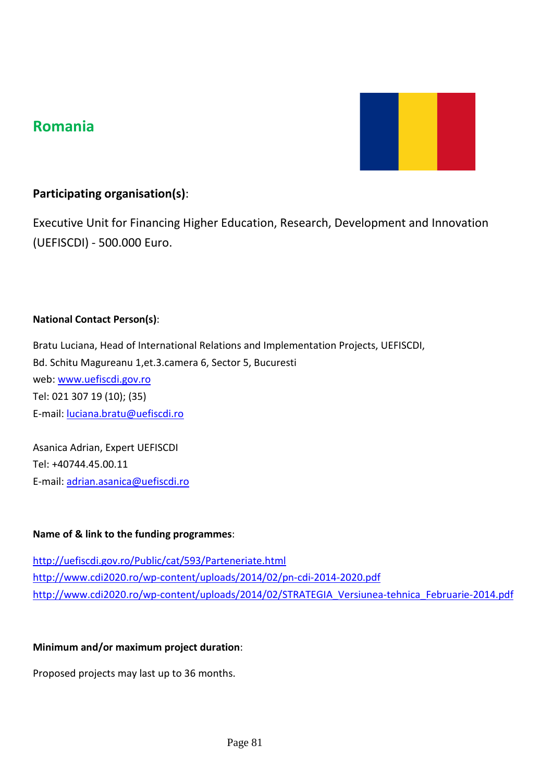## **Romania**



## **Participating organisation(s)**:

Executive Unit for Financing Higher Education, Research, Development and Innovation (UEFISCDI) - 500.000 Euro.

#### **National Contact Person(s)**:

Bratu Luciana, Head of International Relations and Implementation Projects, UEFISCDI, Bd. Schitu Magureanu 1,et.3.camera 6, Sector 5, Bucuresti web: [www.uefiscdi.gov.ro](http://www.uefiscdi.gov.ro/) Tel: 021 307 19 (10); (35) E-mail[: luciana.bratu@uefiscdi.ro](mailto:luciana.bratu@uefiscdi.ro)

Asanica Adrian, Expert UEFISCDI Tel: +40744.45.00.11 E-mail[: adrian.asanica@uefiscdi.ro](mailto:adrian.asanica@uefiscdi.ro)

#### **Name of & link to the funding programmes**:

<http://uefiscdi.gov.ro/Public/cat/593/Parteneriate.html> <http://www.cdi2020.ro/wp-content/uploads/2014/02/pn-cdi-2014-2020.pdf> [http://www.cdi2020.ro/wp-content/uploads/2014/02/STRATEGIA\\_Versiunea-tehnica\\_Februarie-2014.pdf](http://www.cdi2020.ro/wp-content/uploads/2014/02/STRATEGIA_Versiunea-tehnica_Februarie-2014.pdf)

#### **Minimum and/or maximum project duration**:

Proposed projects may last up to 36 months.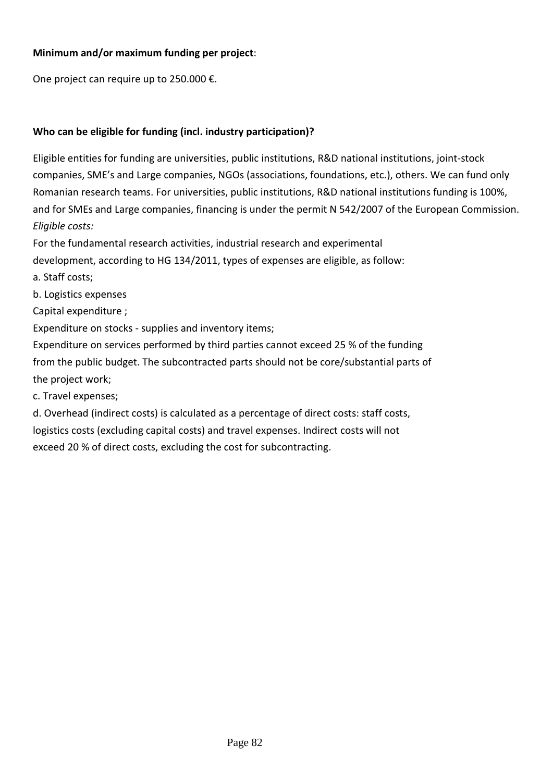### **Minimum and/or maximum funding per project**:

One project can require up to 250.000 €.

## **Who can be eligible for funding (incl. industry participation)?**

Eligible entities for funding are universities, public institutions, R&D national institutions, joint-stock companies, SME's and Large companies, NGOs (associations, foundations, etc.), others. We can fund only Romanian research teams. For universities, public institutions, R&D national institutions funding is 100%, and for SMEs and Large companies, financing is under the permit N 542/2007 of the European Commission. *Eligible costs:*

For the fundamental research activities, industrial research and experimental

development, according to HG 134/2011, types of expenses are eligible, as follow:

a. Staff costs;

b. Logistics expenses

Capital expenditure ;

Expenditure on stocks - supplies and inventory items;

Expenditure on services performed by third parties cannot exceed 25 % of the funding from the public budget. The subcontracted parts should not be core/substantial parts of the project work;

c. Travel expenses;

d. Overhead (indirect costs) is calculated as a percentage of direct costs: staff costs, logistics costs (excluding capital costs) and travel expenses. Indirect costs will not exceed 20 % of direct costs, excluding the cost for subcontracting.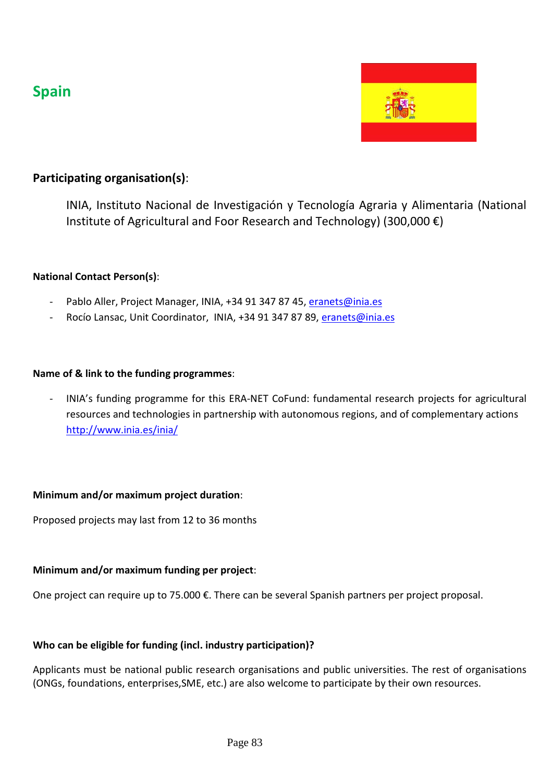## **Spain**



## **Participating organisation(s)**:

INIA, Instituto Nacional de Investigación y Tecnología Agraria y Alimentaria (National Institute of Agricultural and Foor Research and Technology) (300,000 €)

#### **National Contact Person(s)**:

- Pablo Aller, Project Manager, INIA, +34 91 347 87 45, [eranets@inia.es](mailto:eranets@inia.es)
- Rocío Lansac, Unit Coordinator, INIA, +34 91 347 87 89, [eranets@inia.es](mailto:eranets@inia.es)

#### **Name of & link to the funding programmes**:

- INIA's [funding programme for this ERA-NET CoFund: fundamental research projects for agricultural](http://www.idi.mineco.gob.es/portal/site/MICINN/menuitem.d20caeda35a0c5dc7c68b11001432ea0/?vgnextoid=551c282978ea0210VgnVCM1000001034e20aRCRD)  [resources and technologies in partnership with autonomous regions, and of complementary actions](http://www.idi.mineco.gob.es/portal/site/MICINN/menuitem.d20caeda35a0c5dc7c68b11001432ea0/?vgnextoid=551c282978ea0210VgnVCM1000001034e20aRCRD) <http://www.inia.es/inia/>

#### **Minimum and/or maximum project duration**:

Proposed projects may last from 12 to 36 months

#### **Minimum and/or maximum funding per project**:

One project can require up to 75.000 €. There can be several Spanish partners per project proposal.

#### **Who can be eligible for funding (incl. industry participation)?**

Applicants must be national public research organisations and public universities. The rest of organisations (ONGs, foundations, enterprises,SME, etc.) are also welcome to participate by their own resources.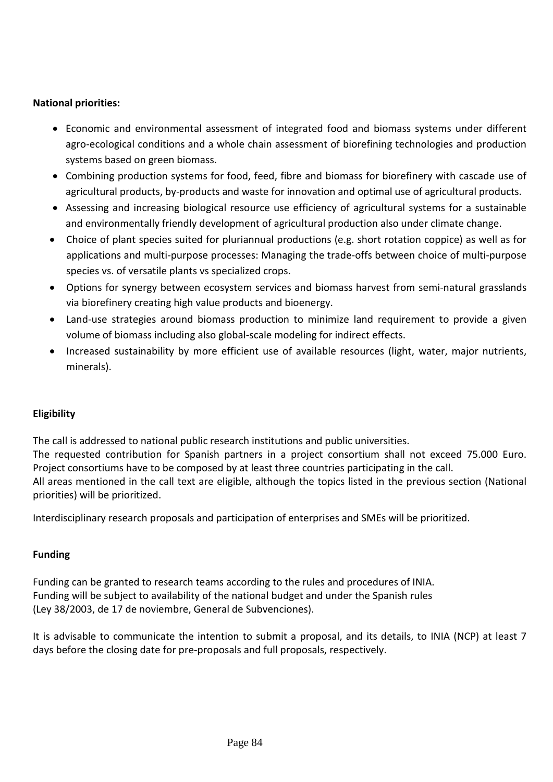#### **National priorities:**

- Economic and environmental assessment of integrated food and biomass systems under different agro-ecological conditions and a whole chain assessment of biorefining technologies and production systems based on green biomass.
- Combining production systems for food, feed, fibre and biomass for biorefinery with cascade use of agricultural products, by-products and waste for innovation and optimal use of agricultural products.
- Assessing and increasing biological resource use efficiency of agricultural systems for a sustainable and environmentally friendly development of agricultural production also under climate change.
- Choice of plant species suited for pluriannual productions (e.g. short rotation coppice) as well as for applications and multi-purpose processes: Managing the trade-offs between choice of multi-purpose species vs. of versatile plants vs specialized crops.
- Options for synergy between ecosystem services and biomass harvest from semi-natural grasslands via biorefinery creating high value products and bioenergy.
- Land-use strategies around biomass production to minimize land requirement to provide a given volume of biomass including also global-scale modeling for indirect effects.
- Increased sustainability by more efficient use of available resources (light, water, major nutrients, minerals).

## **Eligibility**

The call is addressed to national public research institutions and public universities.

The requested contribution for Spanish partners in a project consortium shall not exceed 75.000 Euro. Project consortiums have to be composed by at least three countries participating in the call.

All areas mentioned in the call text are eligible, although the topics listed in the previous section (National priorities) will be prioritized.

Interdisciplinary research proposals and participation of enterprises and SMEs will be prioritized.

## **Funding**

Funding can be granted to research teams according to the rules and procedures of INIA. Funding will be subject to availability of the national budget and under the Spanish rules (Ley 38/2003, de 17 de noviembre, General de Subvenciones).

It is advisable to communicate the intention to submit a proposal, and its details, to INIA (NCP) at least 7 days before the closing date for pre-proposals and full proposals, respectively.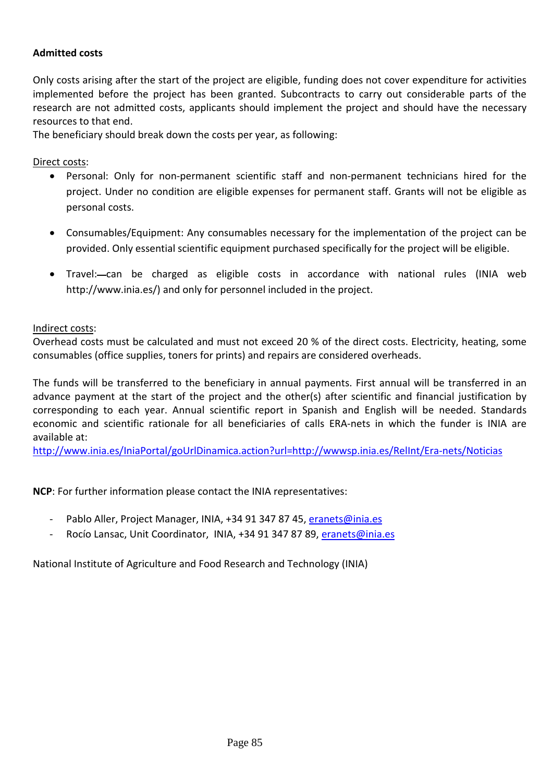#### **Admitted costs**

Only costs arising after the start of the project are eligible, funding does not cover expenditure for activities implemented before the project has been granted. Subcontracts to carry out considerable parts of the research are not admitted costs, applicants should implement the project and should have the necessary resources to that end.

The beneficiary should break down the costs per year, as following:

Direct costs:

- Personal: Only for non-permanent scientific staff and non-permanent technicians hired for the project. Under no condition are eligible expenses for permanent staff. Grants will not be eligible as personal costs.
- Consumables/Equipment: Any consumables necessary for the implementation of the project can be provided. Only essential scientific equipment purchased specifically for the project will be eligible.
- Travel:—can be charged as eligible costs in accordance with national rules (INIA web http://www.inia.es/) and only for personnel included in the project.

Indirect costs:

Overhead costs must be calculated and must not exceed 20 % of the direct costs. Electricity, heating, some consumables (office supplies, toners for prints) and repairs are considered overheads.

The funds will be transferred to the beneficiary in annual payments. First annual will be transferred in an advance payment at the start of the project and the other(s) after scientific and financial justification by corresponding to each year. Annual scientific report in Spanish and English will be needed. Standards economic and scientific rationale for all beneficiaries of calls ERA-nets in which the funder is INIA are available at:

<http://www.inia.es/IniaPortal/goUrlDinamica.action?url=http://wwwsp.inia.es/RelInt/Era-nets/Noticias>

**NCP**: For further information please contact the INIA representatives:

- Pablo Aller, Project Manager, INIA, +34 91 347 87 45[, eranets@inia.es](mailto:eranets@inia.es)
- Rocío Lansac, Unit Coordinator, INIA, +34 91 347 87 89, [eranets@inia.es](mailto:eranets@inia.es)

National Institute of Agriculture and Food Research and Technology (INIA)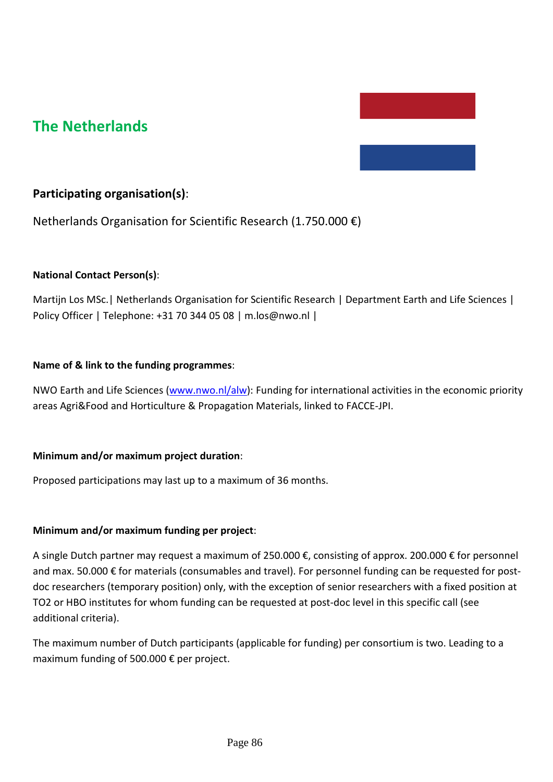## **The Netherlands**

## **Participating organisation(s)**:

Netherlands Organisation for Scientific Research (1.750.000 €)

#### **National Contact Person(s)**:

Martijn Los MSc.| Netherlands Organisation for Scientific Research | Department Earth and Life Sciences | Policy Officer | Telephone: +31 70 344 05 08 | m.los@nwo.nl |

#### **Name of & link to the funding programmes**:

NWO Earth and Life Sciences [\(www.nwo.nl/alw\)](http://www.nwo.nl/alw): Funding for international activities in the economic priority areas Agri&Food and Horticulture & Propagation Materials, linked to FACCE-JPI.

#### **Minimum and/or maximum project duration**:

Proposed participations may last up to a maximum of 36 months.

#### **Minimum and/or maximum funding per project**:

A single Dutch partner may request a maximum of 250.000 €, consisting of approx. 200.000 € for personnel and max. 50.000 € for materials (consumables and travel). For personnel funding can be requested for postdoc researchers (temporary position) only, with the exception of senior researchers with a fixed position at TO2 or HBO institutes for whom funding can be requested at post-doc level in this specific call (see additional criteria).

The maximum number of Dutch participants (applicable for funding) per consortium is two. Leading to a maximum funding of 500.000 € per project.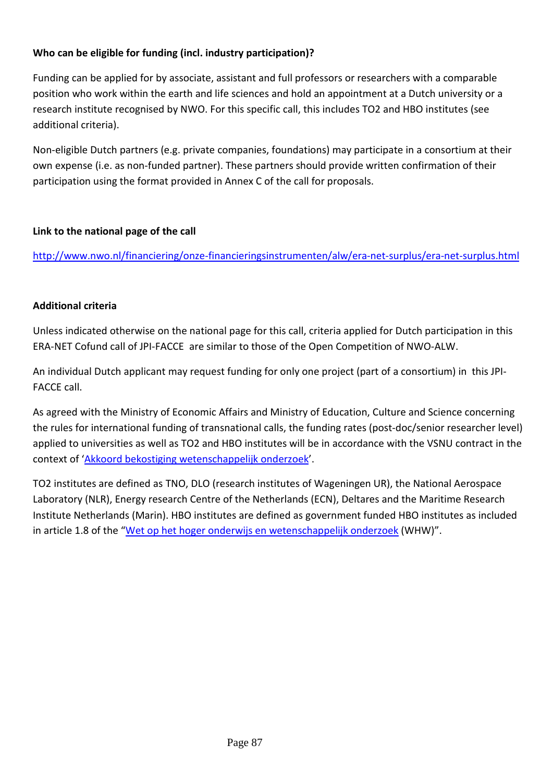## **Who can be eligible for funding (incl. industry participation)?**

Funding can be applied for by associate, assistant and full professors or researchers with a comparable position who work within the earth and life sciences and hold an appointment at a Dutch university or a research institute recognised by NWO. For this specific call, this includes TO2 and HBO institutes (see additional criteria).

Non-eligible Dutch partners (e.g. private companies, foundations) may participate in a consortium at their own expense (i.e. as non-funded partner). These partners should provide written confirmation of their participation using the format provided in Annex C of the call for proposals.

## **Link to the national page of the call**

<http://www.nwo.nl/financiering/onze-financieringsinstrumenten/alw/era-net-surplus/era-net-surplus.html>

#### **Additional criteria**

Unless indicated otherwise on the national page for this call, criteria applied for Dutch participation in this ERA-NET Cofund call of JPI-FACCE are similar to those of the Open Competition of NWO-ALW.

An individual Dutch applicant may request funding for only one project (part of a consortium) in this JPI-FACCE call.

As agreed with the Ministry of Economic Affairs and Ministry of Education, Culture and Science concerning the rules for international funding of transnational calls, the funding rates (post-doc/senior researcher level) applied to universities as well as TO2 and HBO institutes will be in accordance with the VSNU contract in the context of ['Akkoord bekostiging wetenschappelijk onderzoek'](http://www.nwo.nl/financiering/hoe-werkt-dat/Salaristabellen).

TO2 institutes are defined as TNO, DLO (research institutes of Wageningen UR), the National Aerospace Laboratory (NLR), Energy research Centre of the Netherlands (ECN), Deltares and the Maritime Research Institute Netherlands (Marin). HBO institutes are defined as government funded HBO institutes as included in article 1.8 of the ["Wet op het hoger onderwijs en wetenschappelijk onderzoek](http://wetten.overheid.nl/BWBR0005682/geldigheidsdatum_11-11-2014) (WHW)".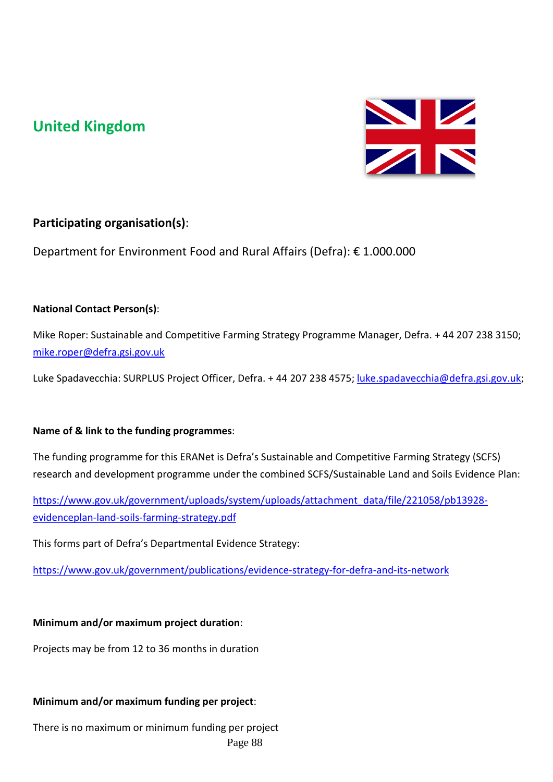# **United Kingdom**



## **Participating organisation(s)**:

Department for Environment Food and Rural Affairs (Defra): € 1.000.000

## **National Contact Person(s)**:

Mike Roper: Sustainable and Competitive Farming Strategy Programme Manager, Defra. + 44 207 238 3150; [mike.roper@defra.gsi.gov.uk](mailto:mike.roper@defra.gsi.gov.uk)

Luke Spadavecchia: SURPLUS Project Officer, Defra. + 44 207 238 4575; [luke.spadavecchia@defra.gsi.gov.uk;](mailto:luke.spadavecchia@defra.gsi.gov.uk)

## **Name of & link to the funding programmes**:

The funding programme for this ERANet is Defra's Sustainable and Competitive Farming Strategy (SCFS) research and development programme under the combined SCFS/Sustainable Land and Soils Evidence Plan:

[https://www.gov.uk/government/uploads/system/uploads/attachment\\_data/file/221058/pb13928](https://www.gov.uk/government/uploads/system/uploads/attachment_data/file/221058/pb13928-evidenceplan-land-soils-farming-strategy.pdf) [evidenceplan-land-soils-farming-strategy.pdf](https://www.gov.uk/government/uploads/system/uploads/attachment_data/file/221058/pb13928-evidenceplan-land-soils-farming-strategy.pdf)

This forms part of Defra's Departmental Evidence Strategy:

<https://www.gov.uk/government/publications/evidence-strategy-for-defra-and-its-network>

## **Minimum and/or maximum project duration**:

Projects may be from 12 to 36 months in duration

## **Minimum and/or maximum funding per project**:

There is no maximum or minimum funding per project Page 88